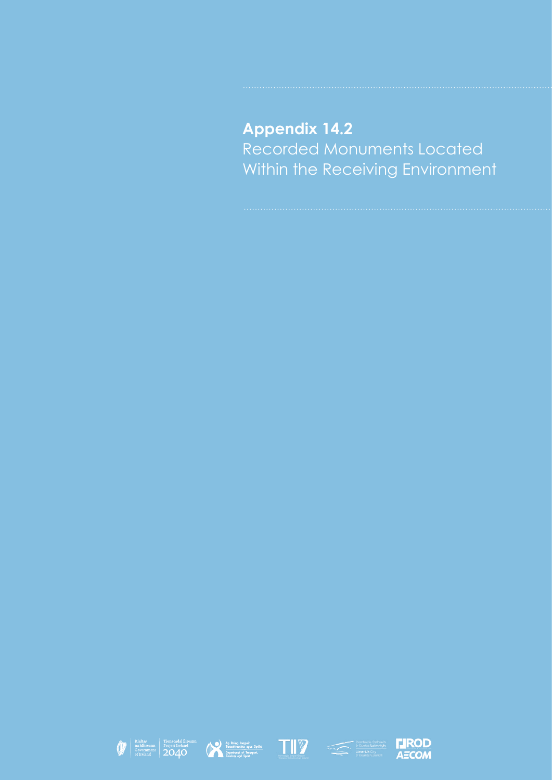## **Appendix 14.2** Recorded Monuments Located Within the Receiving Environment









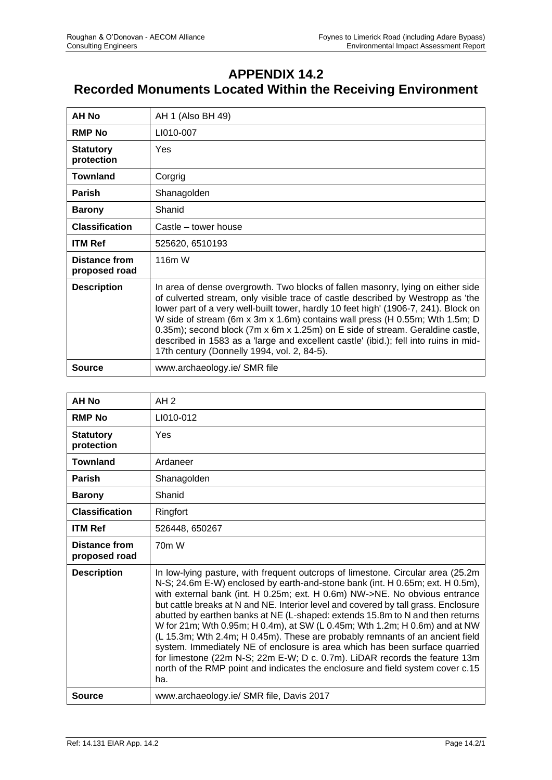## **APPENDIX 14.2 Recorded Monuments Located Within the Receiving Environment**

| <b>AH No</b>                          | AH 1 (Also BH 49)                                                                                                                                                                                                                                                                                                                                                                                                                                                                                                                                                |
|---------------------------------------|------------------------------------------------------------------------------------------------------------------------------------------------------------------------------------------------------------------------------------------------------------------------------------------------------------------------------------------------------------------------------------------------------------------------------------------------------------------------------------------------------------------------------------------------------------------|
| <b>RMP No</b>                         | LI010-007                                                                                                                                                                                                                                                                                                                                                                                                                                                                                                                                                        |
| <b>Statutory</b><br>protection        | Yes                                                                                                                                                                                                                                                                                                                                                                                                                                                                                                                                                              |
| <b>Townland</b>                       | Corgrig                                                                                                                                                                                                                                                                                                                                                                                                                                                                                                                                                          |
| <b>Parish</b>                         | Shanagolden                                                                                                                                                                                                                                                                                                                                                                                                                                                                                                                                                      |
| <b>Barony</b>                         | Shanid                                                                                                                                                                                                                                                                                                                                                                                                                                                                                                                                                           |
| <b>Classification</b>                 | Castle – tower house                                                                                                                                                                                                                                                                                                                                                                                                                                                                                                                                             |
| <b>ITM Ref</b>                        | 525620, 6510193                                                                                                                                                                                                                                                                                                                                                                                                                                                                                                                                                  |
| <b>Distance from</b><br>proposed road | 116m W                                                                                                                                                                                                                                                                                                                                                                                                                                                                                                                                                           |
| <b>Description</b>                    | In area of dense overgrowth. Two blocks of fallen masonry, lying on either side<br>of culverted stream, only visible trace of castle described by Westropp as 'the<br>lower part of a very well-built tower, hardly 10 feet high' (1906-7, 241). Block on<br>W side of stream (6m x 3m x 1.6m) contains wall press (H 0.55m; Wth 1.5m; D<br>0.35m); second block (7m x 6m x 1.25m) on E side of stream. Geraldine castle,<br>described in 1583 as a 'large and excellent castle' (ibid.); fell into ruins in mid-<br>17th century (Donnelly 1994, vol. 2, 84-5). |
| <b>Source</b>                         | www.archaeology.ie/ SMR file                                                                                                                                                                                                                                                                                                                                                                                                                                                                                                                                     |

| <b>AH No</b>                          | AH <sub>2</sub>                                                                                                                                                                                                                                                                                                                                                                                                                                                                                                                                                                                                                                                                                                                                                                                                                             |
|---------------------------------------|---------------------------------------------------------------------------------------------------------------------------------------------------------------------------------------------------------------------------------------------------------------------------------------------------------------------------------------------------------------------------------------------------------------------------------------------------------------------------------------------------------------------------------------------------------------------------------------------------------------------------------------------------------------------------------------------------------------------------------------------------------------------------------------------------------------------------------------------|
| <b>RMP No</b>                         | LI010-012                                                                                                                                                                                                                                                                                                                                                                                                                                                                                                                                                                                                                                                                                                                                                                                                                                   |
| <b>Statutory</b><br>protection        | Yes                                                                                                                                                                                                                                                                                                                                                                                                                                                                                                                                                                                                                                                                                                                                                                                                                                         |
| <b>Townland</b>                       | Ardaneer                                                                                                                                                                                                                                                                                                                                                                                                                                                                                                                                                                                                                                                                                                                                                                                                                                    |
| <b>Parish</b>                         | Shanagolden                                                                                                                                                                                                                                                                                                                                                                                                                                                                                                                                                                                                                                                                                                                                                                                                                                 |
| <b>Barony</b>                         | Shanid                                                                                                                                                                                                                                                                                                                                                                                                                                                                                                                                                                                                                                                                                                                                                                                                                                      |
| <b>Classification</b>                 | Ringfort                                                                                                                                                                                                                                                                                                                                                                                                                                                                                                                                                                                                                                                                                                                                                                                                                                    |
| <b>ITM Ref</b>                        | 526448, 650267                                                                                                                                                                                                                                                                                                                                                                                                                                                                                                                                                                                                                                                                                                                                                                                                                              |
| <b>Distance from</b><br>proposed road | 70 <sub>m</sub> W                                                                                                                                                                                                                                                                                                                                                                                                                                                                                                                                                                                                                                                                                                                                                                                                                           |
| <b>Description</b>                    | In low-lying pasture, with frequent outcrops of limestone. Circular area (25.2m)<br>N-S; 24.6m E-W) enclosed by earth-and-stone bank (int. H 0.65m; ext. H 0.5m),<br>with external bank (int. H 0.25m; ext. H 0.6m) NW->NE. No obvious entrance<br>but cattle breaks at N and NE. Interior level and covered by tall grass. Enclosure<br>abutted by earthen banks at NE (L-shaped: extends 15.8m to N and then returns<br>W for 21m; Wth 0.95m; H 0.4m), at SW (L 0.45m; Wth 1.2m; H 0.6m) and at NW<br>(L 15.3m; Wth 2.4m; H 0.45m). These are probably remnants of an ancient field<br>system. Immediately NE of enclosure is area which has been surface quarried<br>for limestone (22m N-S; 22m E-W; D c. 0.7m). LiDAR records the feature 13m<br>north of the RMP point and indicates the enclosure and field system cover c.15<br>ha. |
| Source                                | www.archaeology.ie/ SMR file, Davis 2017                                                                                                                                                                                                                                                                                                                                                                                                                                                                                                                                                                                                                                                                                                                                                                                                    |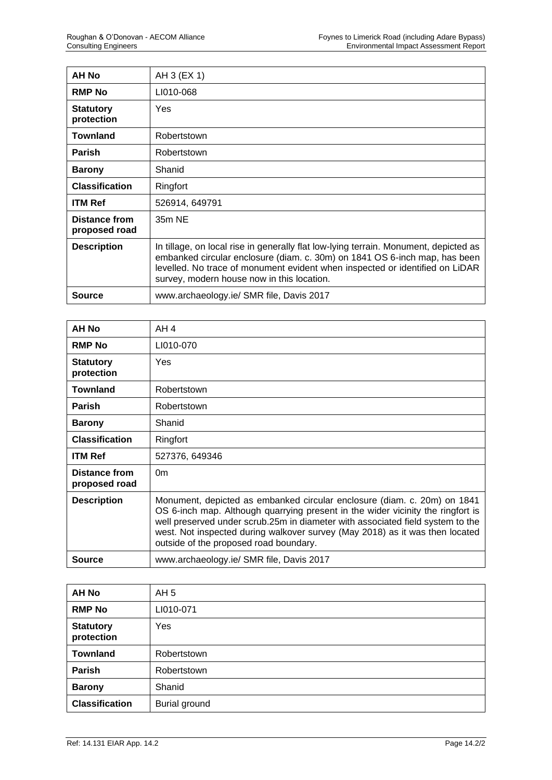| <b>AH No</b>                   | AH 3 (EX 1)                                                                                                                                                                                                                                                                                      |
|--------------------------------|--------------------------------------------------------------------------------------------------------------------------------------------------------------------------------------------------------------------------------------------------------------------------------------------------|
| <b>RMP No</b>                  | LI010-068                                                                                                                                                                                                                                                                                        |
| <b>Statutory</b><br>protection | Yes                                                                                                                                                                                                                                                                                              |
| Townland                       | Robertstown                                                                                                                                                                                                                                                                                      |
| <b>Parish</b>                  | Robertstown                                                                                                                                                                                                                                                                                      |
| <b>Barony</b>                  | Shanid                                                                                                                                                                                                                                                                                           |
| <b>Classification</b>          | Ringfort                                                                                                                                                                                                                                                                                         |
| <b>ITM Ref</b>                 | 526914, 649791                                                                                                                                                                                                                                                                                   |
| Distance from<br>proposed road | 35m NE                                                                                                                                                                                                                                                                                           |
| <b>Description</b>             | In tillage, on local rise in generally flat low-lying terrain. Monument, depicted as<br>embanked circular enclosure (diam. c. 30m) on 1841 OS 6-inch map, has been<br>levelled. No trace of monument evident when inspected or identified on LiDAR<br>survey, modern house now in this location. |
| <b>Source</b>                  | www.archaeology.ie/ SMR file, Davis 2017                                                                                                                                                                                                                                                         |

| AH No                          | AH <sub>4</sub>                                                                                                                                                                                                                                                                                                                                                         |
|--------------------------------|-------------------------------------------------------------------------------------------------------------------------------------------------------------------------------------------------------------------------------------------------------------------------------------------------------------------------------------------------------------------------|
| <b>RMP No</b>                  | LI010-070                                                                                                                                                                                                                                                                                                                                                               |
| <b>Statutory</b><br>protection | <b>Yes</b>                                                                                                                                                                                                                                                                                                                                                              |
| Townland                       | Robertstown                                                                                                                                                                                                                                                                                                                                                             |
| <b>Parish</b>                  | Robertstown                                                                                                                                                                                                                                                                                                                                                             |
| <b>Barony</b>                  | Shanid                                                                                                                                                                                                                                                                                                                                                                  |
| <b>Classification</b>          | Ringfort                                                                                                                                                                                                                                                                                                                                                                |
| <b>ITM Ref</b>                 | 527376, 649346                                                                                                                                                                                                                                                                                                                                                          |
| Distance from<br>proposed road | 0 <sub>m</sub>                                                                                                                                                                                                                                                                                                                                                          |
| <b>Description</b>             | Monument, depicted as embanked circular enclosure (diam. c. 20m) on 1841<br>OS 6-inch map. Although quarrying present in the wider vicinity the ringfort is<br>well preserved under scrub.25m in diameter with associated field system to the<br>west. Not inspected during walkover survey (May 2018) as it was then located<br>outside of the proposed road boundary. |
| <b>Source</b>                  | www.archaeology.ie/ SMR file, Davis 2017                                                                                                                                                                                                                                                                                                                                |

| <b>AH No</b>                   | AH 5                 |
|--------------------------------|----------------------|
| <b>RMP No</b>                  | LI010-071            |
| <b>Statutory</b><br>protection | Yes                  |
| <b>Townland</b>                | Robertstown          |
| Parish                         | Robertstown          |
| <b>Barony</b>                  | Shanid               |
| <b>Classification</b>          | <b>Burial ground</b> |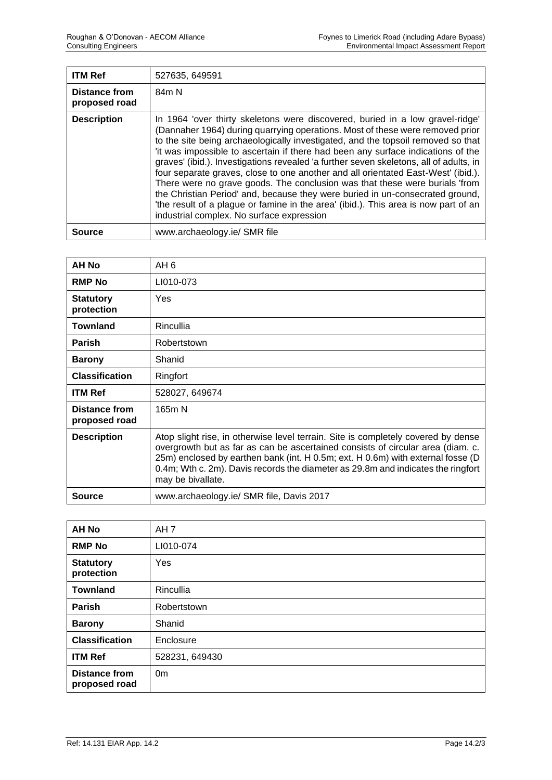| <b>ITM Ref</b>                        | 527635, 649591                                                                                                                                                                                                                                                                                                                                                                                                                                                                                                                                                                                                                                                                                                                                                                                                            |
|---------------------------------------|---------------------------------------------------------------------------------------------------------------------------------------------------------------------------------------------------------------------------------------------------------------------------------------------------------------------------------------------------------------------------------------------------------------------------------------------------------------------------------------------------------------------------------------------------------------------------------------------------------------------------------------------------------------------------------------------------------------------------------------------------------------------------------------------------------------------------|
| <b>Distance from</b><br>proposed road | 84m N                                                                                                                                                                                                                                                                                                                                                                                                                                                                                                                                                                                                                                                                                                                                                                                                                     |
| <b>Description</b>                    | In 1964 'over thirty skeletons were discovered, buried in a low gravel-ridge'<br>(Dannaher 1964) during quarrying operations. Most of these were removed prior<br>to the site being archaeologically investigated, and the topsoil removed so that<br>'it was impossible to ascertain if there had been any surface indications of the<br>graves' (ibid.). Investigations revealed 'a further seven skeletons, all of adults, in<br>four separate graves, close to one another and all orientated East-West' (ibid.).<br>There were no grave goods. The conclusion was that these were burials 'from<br>the Christian Period' and, because they were buried in un-consecrated ground,<br>'the result of a plague or famine in the area' (ibid.). This area is now part of an<br>industrial complex. No surface expression |
| Source                                | www.archaeology.ie/ SMR file                                                                                                                                                                                                                                                                                                                                                                                                                                                                                                                                                                                                                                                                                                                                                                                              |

| AH No                          | AH <sub>6</sub>                                                                                                                                                                                                                                                                                                                                                  |
|--------------------------------|------------------------------------------------------------------------------------------------------------------------------------------------------------------------------------------------------------------------------------------------------------------------------------------------------------------------------------------------------------------|
| <b>RMP No</b>                  | LI010-073                                                                                                                                                                                                                                                                                                                                                        |
| <b>Statutory</b><br>protection | Yes                                                                                                                                                                                                                                                                                                                                                              |
| <b>Townland</b>                | Rincullia                                                                                                                                                                                                                                                                                                                                                        |
| <b>Parish</b>                  | Robertstown                                                                                                                                                                                                                                                                                                                                                      |
| <b>Barony</b>                  | Shanid                                                                                                                                                                                                                                                                                                                                                           |
| <b>Classification</b>          | Ringfort                                                                                                                                                                                                                                                                                                                                                         |
| <b>ITM Ref</b>                 | 528027, 649674                                                                                                                                                                                                                                                                                                                                                   |
| Distance from<br>proposed road | 165m N                                                                                                                                                                                                                                                                                                                                                           |
| <b>Description</b>             | Atop slight rise, in otherwise level terrain. Site is completely covered by dense<br>overgrowth but as far as can be ascertained consists of circular area (diam. c.<br>25m) enclosed by earthen bank (int. H 0.5m; ext. H 0.6m) with external fosse (D<br>0.4m; Wth c. 2m). Davis records the diameter as 29.8m and indicates the ringfort<br>may be bivallate. |
| Source                         | www.archaeology.ie/ SMR file, Davis 2017                                                                                                                                                                                                                                                                                                                         |

| <b>AH No</b>                          | AH <sub>7</sub> |
|---------------------------------------|-----------------|
| <b>RMP No</b>                         | LI010-074       |
| <b>Statutory</b><br>protection        | Yes             |
| <b>Townland</b>                       | Rincullia       |
| <b>Parish</b>                         | Robertstown     |
| <b>Barony</b>                         | Shanid          |
| <b>Classification</b>                 | Enclosure       |
| <b>ITM Ref</b>                        | 528231, 649430  |
| <b>Distance from</b><br>proposed road | 0 <sub>m</sub>  |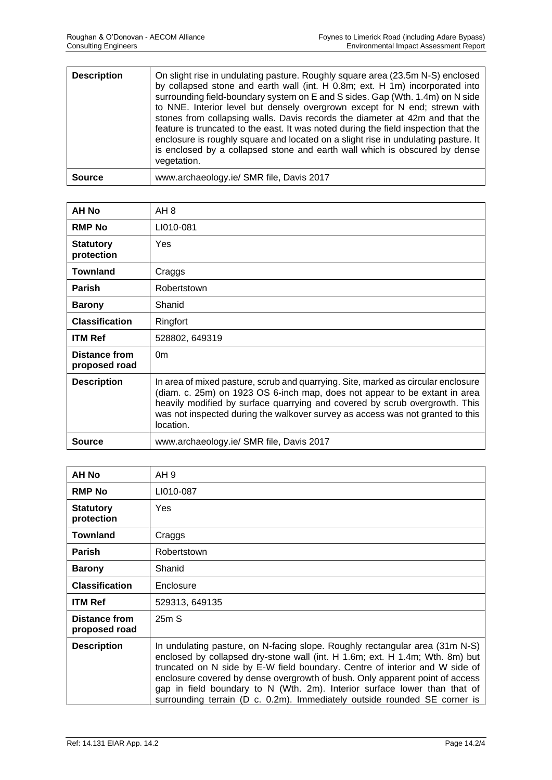| <b>Description</b> | On slight rise in undulating pasture. Roughly square area (23.5m N-S) enclosed<br>by collapsed stone and earth wall (int. H 0.8m; ext. H 1m) incorporated into<br>surrounding field-boundary system on E and S sides. Gap (Wth. 1.4m) on N side<br>to NNE. Interior level but densely overgrown except for N end; strewn with<br>stones from collapsing walls. Davis records the diameter at 42m and that the<br>feature is truncated to the east. It was noted during the field inspection that the<br>enclosure is roughly square and located on a slight rise in undulating pasture. It<br>is enclosed by a collapsed stone and earth wall which is obscured by dense<br>vegetation. |
|--------------------|-----------------------------------------------------------------------------------------------------------------------------------------------------------------------------------------------------------------------------------------------------------------------------------------------------------------------------------------------------------------------------------------------------------------------------------------------------------------------------------------------------------------------------------------------------------------------------------------------------------------------------------------------------------------------------------------|
| <b>Source</b>      | www.archaeology.ie/ SMR file, Davis 2017                                                                                                                                                                                                                                                                                                                                                                                                                                                                                                                                                                                                                                                |

| AH No                          | AH 8                                                                                                                                                                                                                                                                                                                                          |
|--------------------------------|-----------------------------------------------------------------------------------------------------------------------------------------------------------------------------------------------------------------------------------------------------------------------------------------------------------------------------------------------|
| <b>RMP No</b>                  | LI010-081                                                                                                                                                                                                                                                                                                                                     |
| <b>Statutory</b><br>protection | Yes                                                                                                                                                                                                                                                                                                                                           |
| <b>Townland</b>                | Craggs                                                                                                                                                                                                                                                                                                                                        |
| <b>Parish</b>                  | Robertstown                                                                                                                                                                                                                                                                                                                                   |
| <b>Barony</b>                  | Shanid                                                                                                                                                                                                                                                                                                                                        |
| <b>Classification</b>          | Ringfort                                                                                                                                                                                                                                                                                                                                      |
| <b>ITM Ref</b>                 | 528802, 649319                                                                                                                                                                                                                                                                                                                                |
| Distance from<br>proposed road | 0 <sub>m</sub>                                                                                                                                                                                                                                                                                                                                |
| <b>Description</b>             | In area of mixed pasture, scrub and quarrying. Site, marked as circular enclosure<br>(diam. c. 25m) on 1923 OS 6-inch map, does not appear to be extant in area<br>heavily modified by surface quarrying and covered by scrub overgrowth. This<br>was not inspected during the walkover survey as access was not granted to this<br>location. |
| Source                         | www.archaeology.ie/ SMR file, Davis 2017                                                                                                                                                                                                                                                                                                      |

| AH No                                 | AH <sub>9</sub>                                                                                                                                                                                                                                                                                                                                                                                                                                                                       |
|---------------------------------------|---------------------------------------------------------------------------------------------------------------------------------------------------------------------------------------------------------------------------------------------------------------------------------------------------------------------------------------------------------------------------------------------------------------------------------------------------------------------------------------|
| <b>RMP No</b>                         | LI010-087                                                                                                                                                                                                                                                                                                                                                                                                                                                                             |
| <b>Statutory</b><br>protection        | Yes                                                                                                                                                                                                                                                                                                                                                                                                                                                                                   |
| <b>Townland</b>                       | Craggs                                                                                                                                                                                                                                                                                                                                                                                                                                                                                |
| <b>Parish</b>                         | Robertstown                                                                                                                                                                                                                                                                                                                                                                                                                                                                           |
| <b>Barony</b>                         | Shanid                                                                                                                                                                                                                                                                                                                                                                                                                                                                                |
| <b>Classification</b>                 | Enclosure                                                                                                                                                                                                                                                                                                                                                                                                                                                                             |
| <b>ITM Ref</b>                        | 529313, 649135                                                                                                                                                                                                                                                                                                                                                                                                                                                                        |
| <b>Distance from</b><br>proposed road | 25mS                                                                                                                                                                                                                                                                                                                                                                                                                                                                                  |
| <b>Description</b>                    | In undulating pasture, on N-facing slope. Roughly rectangular area (31m N-S)<br>enclosed by collapsed dry-stone wall (int. H 1.6m; ext. H 1.4m; Wth. 8m) but<br>truncated on N side by E-W field boundary. Centre of interior and W side of<br>enclosure covered by dense overgrowth of bush. Only apparent point of access<br>gap in field boundary to N (Wth. 2m). Interior surface lower than that of<br>surrounding terrain (D c. 0.2m). Immediately outside rounded SE corner is |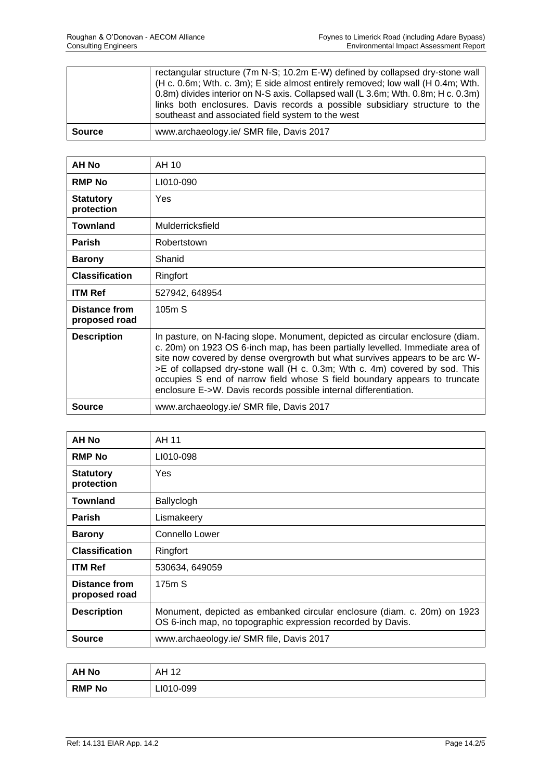|               | rectangular structure (7m N-S; 10.2m E-W) defined by collapsed dry-stone wall<br>(H c. 0.6m; Wth. c. 3m); E side almost entirely removed; low wall (H 0.4m; Wth.<br>0.8m) divides interior on N-S axis. Collapsed wall (L 3.6m; Wth. 0.8m; H c. 0.3m)<br>links both enclosures. Davis records a possible subsidiary structure to the<br>southeast and associated field system to the west |
|---------------|-------------------------------------------------------------------------------------------------------------------------------------------------------------------------------------------------------------------------------------------------------------------------------------------------------------------------------------------------------------------------------------------|
| <b>Source</b> | www.archaeology.ie/ SMR file, Davis 2017                                                                                                                                                                                                                                                                                                                                                  |

| AH No                                 | AH 10                                                                                                                                                                                                                                                                                                                                                                                                                                                                         |
|---------------------------------------|-------------------------------------------------------------------------------------------------------------------------------------------------------------------------------------------------------------------------------------------------------------------------------------------------------------------------------------------------------------------------------------------------------------------------------------------------------------------------------|
| <b>RMP No</b>                         | LI010-090                                                                                                                                                                                                                                                                                                                                                                                                                                                                     |
| <b>Statutory</b><br>protection        | Yes                                                                                                                                                                                                                                                                                                                                                                                                                                                                           |
| <b>Townland</b>                       | Mulderricksfield                                                                                                                                                                                                                                                                                                                                                                                                                                                              |
| <b>Parish</b>                         | Robertstown                                                                                                                                                                                                                                                                                                                                                                                                                                                                   |
| <b>Barony</b>                         | Shanid                                                                                                                                                                                                                                                                                                                                                                                                                                                                        |
| <b>Classification</b>                 | Ringfort                                                                                                                                                                                                                                                                                                                                                                                                                                                                      |
| <b>ITM Ref</b>                        | 527942, 648954                                                                                                                                                                                                                                                                                                                                                                                                                                                                |
| <b>Distance from</b><br>proposed road | 105m S                                                                                                                                                                                                                                                                                                                                                                                                                                                                        |
| <b>Description</b>                    | In pasture, on N-facing slope. Monument, depicted as circular enclosure (diam.<br>c. 20m) on 1923 OS 6-inch map, has been partially levelled. Immediate area of<br>site now covered by dense overgrowth but what survives appears to be arc W-<br>>E of collapsed dry-stone wall (H c. 0.3m; Wth c. 4m) covered by sod. This<br>occupies S end of narrow field whose S field boundary appears to truncate<br>enclosure E->W. Davis records possible internal differentiation. |
| <b>Source</b>                         | www.archaeology.ie/ SMR file, Davis 2017                                                                                                                                                                                                                                                                                                                                                                                                                                      |

| <b>AH No</b>                          | AH 11                                                                                                                                   |
|---------------------------------------|-----------------------------------------------------------------------------------------------------------------------------------------|
| <b>RMP No</b>                         | LI010-098                                                                                                                               |
| <b>Statutory</b><br>protection        | Yes                                                                                                                                     |
| <b>Townland</b>                       | Ballyclogh                                                                                                                              |
| <b>Parish</b>                         | Lismakeery                                                                                                                              |
| <b>Barony</b>                         | <b>Connello Lower</b>                                                                                                                   |
| <b>Classification</b>                 | Ringfort                                                                                                                                |
| <b>ITM Ref</b>                        | 530634, 649059                                                                                                                          |
| <b>Distance from</b><br>proposed road | 175mS                                                                                                                                   |
| <b>Description</b>                    | Monument, depicted as embanked circular enclosure (diam. c. 20m) on 1923<br>OS 6-inch map, no topographic expression recorded by Davis. |
| <b>Source</b>                         | www.archaeology.ie/ SMR file, Davis 2017                                                                                                |

| <b>AH No</b>  | AH 12<br>╹ |
|---------------|------------|
| <b>RMP No</b> | LI010-099  |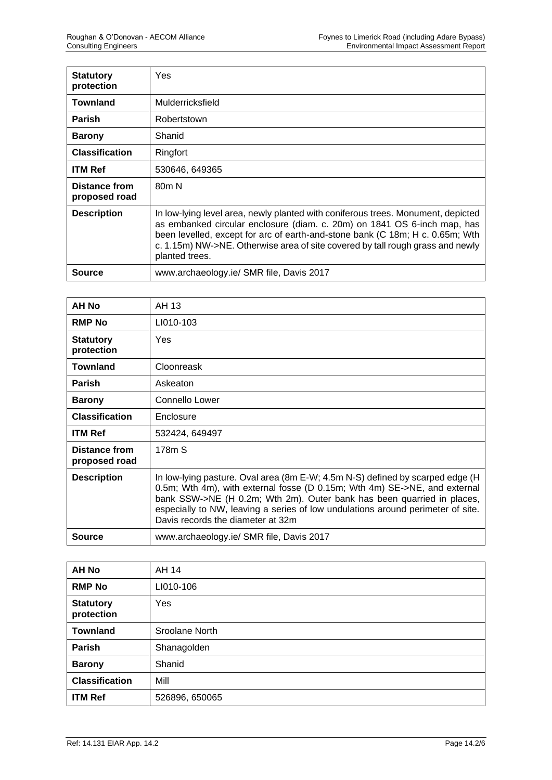| <b>Statutory</b><br>protection        | Yes                                                                                                                                                                                                                                                                                                                                               |
|---------------------------------------|---------------------------------------------------------------------------------------------------------------------------------------------------------------------------------------------------------------------------------------------------------------------------------------------------------------------------------------------------|
| <b>Townland</b>                       | Mulderricksfield                                                                                                                                                                                                                                                                                                                                  |
| <b>Parish</b>                         | Robertstown                                                                                                                                                                                                                                                                                                                                       |
| <b>Barony</b>                         | Shanid                                                                                                                                                                                                                                                                                                                                            |
| <b>Classification</b>                 | Ringfort                                                                                                                                                                                                                                                                                                                                          |
| <b>ITM Ref</b>                        | 530646, 649365                                                                                                                                                                                                                                                                                                                                    |
| <b>Distance from</b><br>proposed road | 80 <sub>m</sub> N                                                                                                                                                                                                                                                                                                                                 |
| <b>Description</b>                    | In low-lying level area, newly planted with coniferous trees. Monument, depicted<br>as embanked circular enclosure (diam. c. 20m) on 1841 OS 6-inch map, has<br>been levelled, except for arc of earth-and-stone bank (C 18m; H c. 0.65m; Wth<br>c. 1.15m) NW->NE. Otherwise area of site covered by tall rough grass and newly<br>planted trees. |
| Source                                | www.archaeology.ie/ SMR file, Davis 2017                                                                                                                                                                                                                                                                                                          |

| AH No                                 | AH 13                                                                                                                                                                                                                                                                                                                                                        |
|---------------------------------------|--------------------------------------------------------------------------------------------------------------------------------------------------------------------------------------------------------------------------------------------------------------------------------------------------------------------------------------------------------------|
| <b>RMP No</b>                         | LI010-103                                                                                                                                                                                                                                                                                                                                                    |
| <b>Statutory</b><br>protection        | Yes                                                                                                                                                                                                                                                                                                                                                          |
| <b>Townland</b>                       | Cloonreask                                                                                                                                                                                                                                                                                                                                                   |
| <b>Parish</b>                         | Askeaton                                                                                                                                                                                                                                                                                                                                                     |
| <b>Barony</b>                         | <b>Connello Lower</b>                                                                                                                                                                                                                                                                                                                                        |
| <b>Classification</b>                 | Enclosure                                                                                                                                                                                                                                                                                                                                                    |
| <b>ITM Ref</b>                        | 532424, 649497                                                                                                                                                                                                                                                                                                                                               |
| <b>Distance from</b><br>proposed road | 178m S                                                                                                                                                                                                                                                                                                                                                       |
| <b>Description</b>                    | In low-lying pasture. Oval area (8m E-W; 4.5m N-S) defined by scarped edge (H<br>0.5m; Wth 4m), with external fosse (D 0.15m; Wth 4m) SE->NE, and external<br>bank SSW->NE (H 0.2m; Wth 2m). Outer bank has been quarried in places,<br>especially to NW, leaving a series of low undulations around perimeter of site.<br>Davis records the diameter at 32m |
| <b>Source</b>                         | www.archaeology.ie/ SMR file, Davis 2017                                                                                                                                                                                                                                                                                                                     |

| <b>AH No</b>                   | AH 14          |
|--------------------------------|----------------|
| <b>RMP No</b>                  | LI010-106      |
| <b>Statutory</b><br>protection | Yes            |
| <b>Townland</b>                | Sroolane North |
| Parish                         | Shanagolden    |
| <b>Barony</b>                  | Shanid         |
| <b>Classification</b>          | Mill           |
| <b>ITM Ref</b>                 | 526896, 650065 |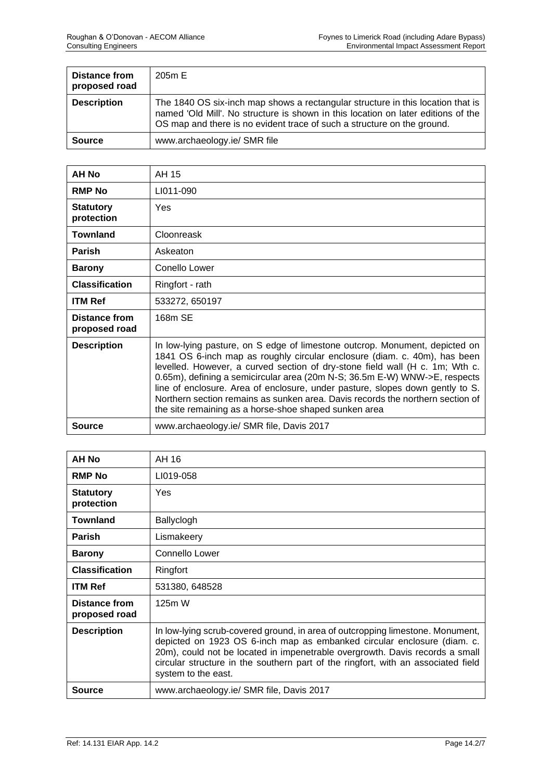| Distance from<br>proposed road | 205m E                                                                                                                                                                                                                                          |
|--------------------------------|-------------------------------------------------------------------------------------------------------------------------------------------------------------------------------------------------------------------------------------------------|
| <b>Description</b>             | The 1840 OS six-inch map shows a rectangular structure in this location that is<br>named 'Old Mill'. No structure is shown in this location on later editions of the<br>OS map and there is no evident trace of such a structure on the ground. |
| <b>Source</b>                  | www.archaeology.ie/ SMR file                                                                                                                                                                                                                    |

| <b>AH No</b>                   | AH 15                                                                                                                                                                                                                                                                                                                                                                                                                                                                                                                                              |
|--------------------------------|----------------------------------------------------------------------------------------------------------------------------------------------------------------------------------------------------------------------------------------------------------------------------------------------------------------------------------------------------------------------------------------------------------------------------------------------------------------------------------------------------------------------------------------------------|
| <b>RMP No</b>                  | LI011-090                                                                                                                                                                                                                                                                                                                                                                                                                                                                                                                                          |
| <b>Statutory</b><br>protection | <b>Yes</b>                                                                                                                                                                                                                                                                                                                                                                                                                                                                                                                                         |
| <b>Townland</b>                | Cloonreask                                                                                                                                                                                                                                                                                                                                                                                                                                                                                                                                         |
| <b>Parish</b>                  | Askeaton                                                                                                                                                                                                                                                                                                                                                                                                                                                                                                                                           |
| <b>Barony</b>                  | Conello Lower                                                                                                                                                                                                                                                                                                                                                                                                                                                                                                                                      |
| <b>Classification</b>          | Ringfort - rath                                                                                                                                                                                                                                                                                                                                                                                                                                                                                                                                    |
| <b>ITM Ref</b>                 | 533272, 650197                                                                                                                                                                                                                                                                                                                                                                                                                                                                                                                                     |
| Distance from<br>proposed road | 168m SE                                                                                                                                                                                                                                                                                                                                                                                                                                                                                                                                            |
| <b>Description</b>             | In low-lying pasture, on S edge of limestone outcrop. Monument, depicted on<br>1841 OS 6-inch map as roughly circular enclosure (diam. c. 40m), has been<br>levelled. However, a curved section of dry-stone field wall (H c. 1m; Wth c.<br>0.65m), defining a semicircular area (20m N-S; 36.5m E-W) WNW->E, respects<br>line of enclosure. Area of enclosure, under pasture, slopes down gently to S.<br>Northern section remains as sunken area. Davis records the northern section of<br>the site remaining as a horse-shoe shaped sunken area |
| <b>Source</b>                  | www.archaeology.ie/ SMR file, Davis 2017                                                                                                                                                                                                                                                                                                                                                                                                                                                                                                           |

| AH No                                 | AH 16                                                                                                                                                                                                                                                                                                                                                 |
|---------------------------------------|-------------------------------------------------------------------------------------------------------------------------------------------------------------------------------------------------------------------------------------------------------------------------------------------------------------------------------------------------------|
| <b>RMP No</b>                         | LI019-058                                                                                                                                                                                                                                                                                                                                             |
| <b>Statutory</b><br>protection        | Yes                                                                                                                                                                                                                                                                                                                                                   |
| <b>Townland</b>                       | Ballyclogh                                                                                                                                                                                                                                                                                                                                            |
| <b>Parish</b>                         | Lismakeery                                                                                                                                                                                                                                                                                                                                            |
| <b>Barony</b>                         | Connello Lower                                                                                                                                                                                                                                                                                                                                        |
| <b>Classification</b>                 | Ringfort                                                                                                                                                                                                                                                                                                                                              |
| <b>ITM Ref</b>                        | 531380, 648528                                                                                                                                                                                                                                                                                                                                        |
| <b>Distance from</b><br>proposed road | 125m W                                                                                                                                                                                                                                                                                                                                                |
| <b>Description</b>                    | In low-lying scrub-covered ground, in area of outcropping limestone. Monument,<br>depicted on 1923 OS 6-inch map as embanked circular enclosure (diam. c.<br>20m), could not be located in impenetrable overgrowth. Davis records a small<br>circular structure in the southern part of the ringfort, with an associated field<br>system to the east. |
| <b>Source</b>                         | www.archaeology.ie/ SMR file, Davis 2017                                                                                                                                                                                                                                                                                                              |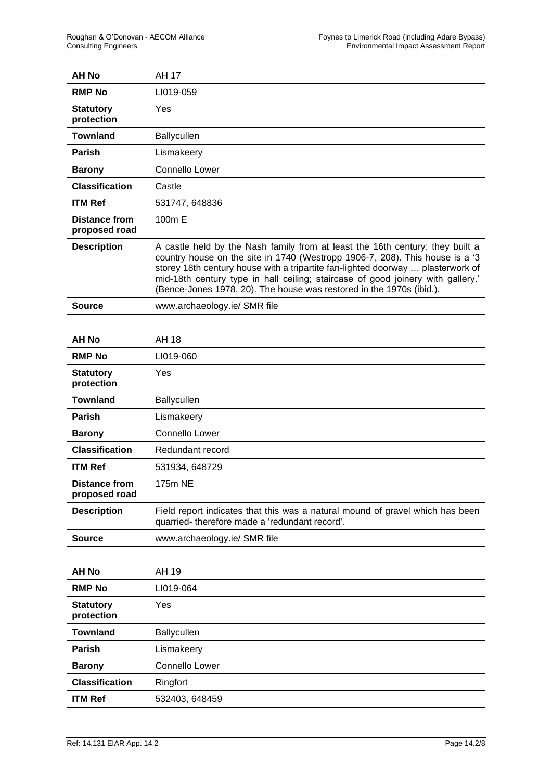| <b>AH No</b>                   | AH 17                                                                                                                                                                                                                                                                                                                                                                                                       |
|--------------------------------|-------------------------------------------------------------------------------------------------------------------------------------------------------------------------------------------------------------------------------------------------------------------------------------------------------------------------------------------------------------------------------------------------------------|
| <b>RMP No</b>                  | LI019-059                                                                                                                                                                                                                                                                                                                                                                                                   |
| <b>Statutory</b><br>protection | Yes                                                                                                                                                                                                                                                                                                                                                                                                         |
| <b>Townland</b>                | <b>Ballycullen</b>                                                                                                                                                                                                                                                                                                                                                                                          |
| <b>Parish</b>                  | Lismakeery                                                                                                                                                                                                                                                                                                                                                                                                  |
| <b>Barony</b>                  | Connello Lower                                                                                                                                                                                                                                                                                                                                                                                              |
| <b>Classification</b>          | Castle                                                                                                                                                                                                                                                                                                                                                                                                      |
| <b>ITM Ref</b>                 | 531747, 648836                                                                                                                                                                                                                                                                                                                                                                                              |
| Distance from<br>proposed road | 100m E                                                                                                                                                                                                                                                                                                                                                                                                      |
| <b>Description</b>             | A castle held by the Nash family from at least the 16th century; they built a<br>country house on the site in 1740 (Westropp 1906-7, 208). This house is a '3<br>storey 18th century house with a tripartite fan-lighted doorway  plasterwork of<br>mid-18th century type in hall ceiling; staircase of good joinery with gallery.'<br>(Bence-Jones 1978, 20). The house was restored in the 1970s (ibid.). |
| <b>Source</b>                  | www.archaeology.ie/ SMR file                                                                                                                                                                                                                                                                                                                                                                                |

| <b>AH No</b>                   | AH 18                                                                                                                          |
|--------------------------------|--------------------------------------------------------------------------------------------------------------------------------|
| <b>RMP No</b>                  | LI019-060                                                                                                                      |
| <b>Statutory</b><br>protection | Yes                                                                                                                            |
| <b>Townland</b>                | <b>Ballycullen</b>                                                                                                             |
| <b>Parish</b>                  | Lismakeery                                                                                                                     |
| <b>Barony</b>                  | Connello Lower                                                                                                                 |
| <b>Classification</b>          | Redundant record                                                                                                               |
| <b>ITM Ref</b>                 | 531934, 648729                                                                                                                 |
| Distance from<br>proposed road | 175m NE                                                                                                                        |
| <b>Description</b>             | Field report indicates that this was a natural mound of gravel which has been<br>quarried-therefore made a 'redundant record'. |
| <b>Source</b>                  | www.archaeology.ie/ SMR file                                                                                                   |

| <b>AH No</b>                   | AH 19          |
|--------------------------------|----------------|
| <b>RMP No</b>                  | LI019-064      |
| <b>Statutory</b><br>protection | Yes            |
| <b>Townland</b>                | Ballycullen    |
| <b>Parish</b>                  | Lismakeery     |
| <b>Barony</b>                  | Connello Lower |
| <b>Classification</b>          | Ringfort       |
| <b>ITM Ref</b>                 | 532403, 648459 |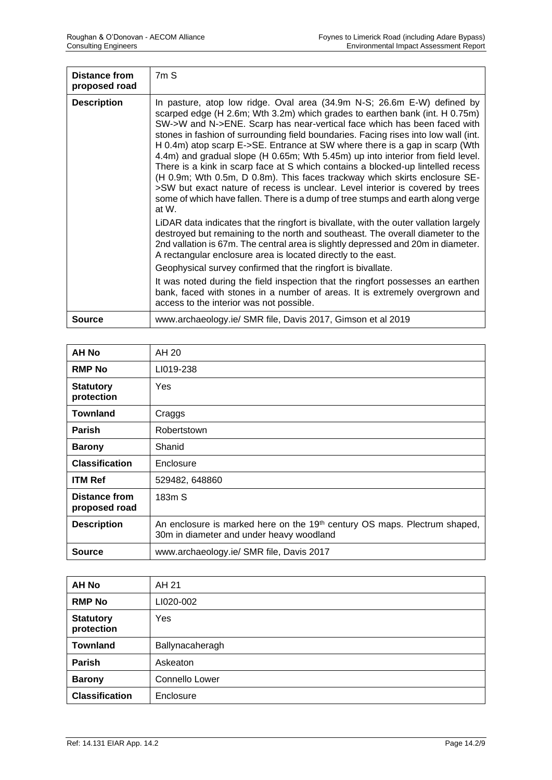| Distance from<br>proposed road | 7mS                                                                                                                                                                                                                                                                                                                                                                                                                                                                                                                                                                                                                                                                                                                                                                                                                                       |
|--------------------------------|-------------------------------------------------------------------------------------------------------------------------------------------------------------------------------------------------------------------------------------------------------------------------------------------------------------------------------------------------------------------------------------------------------------------------------------------------------------------------------------------------------------------------------------------------------------------------------------------------------------------------------------------------------------------------------------------------------------------------------------------------------------------------------------------------------------------------------------------|
| <b>Description</b>             | In pasture, atop low ridge. Oval area (34.9m N-S; 26.6m E-W) defined by<br>scarped edge (H 2.6m; Wth 3.2m) which grades to earthen bank (int. H 0.75m)<br>SW->W and N->ENE. Scarp has near-vertical face which has been faced with<br>stones in fashion of surrounding field boundaries. Facing rises into low wall (int.<br>H 0.4m) atop scarp E->SE. Entrance at SW where there is a gap in scarp (Wth<br>4.4m) and gradual slope (H 0.65m; Wth 5.45m) up into interior from field level.<br>There is a kink in scarp face at S which contains a blocked-up lintelled recess<br>(H 0.9m; Wth 0.5m, D 0.8m). This faces trackway which skirts enclosure SE-<br>>SW but exact nature of recess is unclear. Level interior is covered by trees<br>some of which have fallen. There is a dump of tree stumps and earth along verge<br>at W. |
|                                | LiDAR data indicates that the ringfort is bivallate, with the outer vallation largely<br>destroyed but remaining to the north and southeast. The overall diameter to the<br>2nd vallation is 67m. The central area is slightly depressed and 20m in diameter.<br>A rectangular enclosure area is located directly to the east.                                                                                                                                                                                                                                                                                                                                                                                                                                                                                                            |
|                                | Geophysical survey confirmed that the ringfort is bivallate.                                                                                                                                                                                                                                                                                                                                                                                                                                                                                                                                                                                                                                                                                                                                                                              |
|                                | It was noted during the field inspection that the ringfort possesses an earthen<br>bank, faced with stones in a number of areas. It is extremely overgrown and<br>access to the interior was not possible.                                                                                                                                                                                                                                                                                                                                                                                                                                                                                                                                                                                                                                |
| Source                         | www.archaeology.ie/ SMR file, Davis 2017, Gimson et al 2019                                                                                                                                                                                                                                                                                                                                                                                                                                                                                                                                                                                                                                                                                                                                                                               |

| <b>AH No</b>                          | AH 20                                                                                                                             |
|---------------------------------------|-----------------------------------------------------------------------------------------------------------------------------------|
| <b>RMP No</b>                         | LI019-238                                                                                                                         |
| <b>Statutory</b><br>protection        | <b>Yes</b>                                                                                                                        |
| <b>Townland</b>                       | Craggs                                                                                                                            |
| <b>Parish</b>                         | Robertstown                                                                                                                       |
| <b>Barony</b>                         | Shanid                                                                                                                            |
| <b>Classification</b>                 | Enclosure                                                                                                                         |
| <b>ITM Ref</b>                        | 529482, 648860                                                                                                                    |
| <b>Distance from</b><br>proposed road | 183m S                                                                                                                            |
| <b>Description</b>                    | An enclosure is marked here on the 19 <sup>th</sup> century OS maps. Plectrum shaped,<br>30m in diameter and under heavy woodland |
| <b>Source</b>                         | www.archaeology.ie/ SMR file, Davis 2017                                                                                          |

| <b>AH No</b>                   | AH 21           |
|--------------------------------|-----------------|
| <b>RMP No</b>                  | LI020-002       |
| <b>Statutory</b><br>protection | Yes             |
| <b>Townland</b>                | Ballynacaheragh |
| <b>Parish</b>                  | Askeaton        |
| <b>Barony</b>                  | Connello Lower  |
| <b>Classification</b>          | Enclosure       |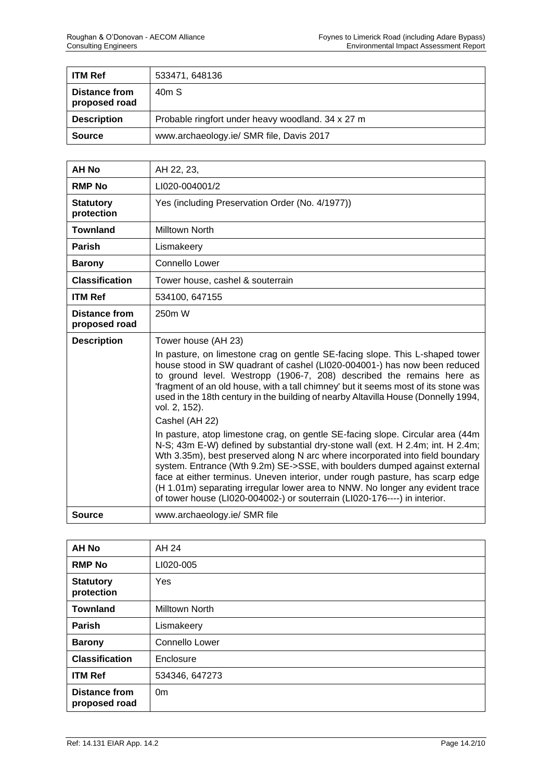| <b>ITM Ref</b>                        | 533471, 648136                                    |
|---------------------------------------|---------------------------------------------------|
| <b>Distance from</b><br>proposed road | 40 <sub>m</sub> S                                 |
| <b>Description</b>                    | Probable ringfort under heavy woodland. 34 x 27 m |
| <b>Source</b>                         | www.archaeology.ie/ SMR file, Davis 2017          |

| <b>AH No</b>                          | AH 22, 23,                                                                                                                                                                                                                                                                                                                                                                                                                                                                                                                                                                     |
|---------------------------------------|--------------------------------------------------------------------------------------------------------------------------------------------------------------------------------------------------------------------------------------------------------------------------------------------------------------------------------------------------------------------------------------------------------------------------------------------------------------------------------------------------------------------------------------------------------------------------------|
| <b>RMP No</b>                         | LI020-004001/2                                                                                                                                                                                                                                                                                                                                                                                                                                                                                                                                                                 |
| <b>Statutory</b><br>protection        | Yes (including Preservation Order (No. 4/1977))                                                                                                                                                                                                                                                                                                                                                                                                                                                                                                                                |
| <b>Townland</b>                       | Milltown North                                                                                                                                                                                                                                                                                                                                                                                                                                                                                                                                                                 |
| Parish                                | Lismakeery                                                                                                                                                                                                                                                                                                                                                                                                                                                                                                                                                                     |
| <b>Barony</b>                         | Connello Lower                                                                                                                                                                                                                                                                                                                                                                                                                                                                                                                                                                 |
| <b>Classification</b>                 | Tower house, cashel & souterrain                                                                                                                                                                                                                                                                                                                                                                                                                                                                                                                                               |
| <b>ITM Ref</b>                        | 534100, 647155                                                                                                                                                                                                                                                                                                                                                                                                                                                                                                                                                                 |
| <b>Distance from</b><br>proposed road | 250m W                                                                                                                                                                                                                                                                                                                                                                                                                                                                                                                                                                         |
| <b>Description</b>                    | Tower house (AH 23)                                                                                                                                                                                                                                                                                                                                                                                                                                                                                                                                                            |
|                                       | In pasture, on limestone crag on gentle SE-facing slope. This L-shaped tower<br>house stood in SW quadrant of cashel (LI020-004001-) has now been reduced<br>to ground level. Westropp (1906-7, 208) described the remains here as<br>'fragment of an old house, with a tall chimney' but it seems most of its stone was<br>used in the 18th century in the building of nearby Altavilla House (Donnelly 1994,<br>vol. 2, 152).                                                                                                                                                |
|                                       | Cashel (AH 22)                                                                                                                                                                                                                                                                                                                                                                                                                                                                                                                                                                 |
|                                       | In pasture, atop limestone crag, on gentle SE-facing slope. Circular area (44m<br>N-S; 43m E-W) defined by substantial dry-stone wall (ext. H 2.4m; int. H 2.4m;<br>Wth 3.35m), best preserved along N arc where incorporated into field boundary<br>system. Entrance (Wth 9.2m) SE->SSE, with boulders dumped against external<br>face at either terminus. Uneven interior, under rough pasture, has scarp edge<br>(H 1.01m) separating irregular lower area to NNW. No longer any evident trace<br>of tower house (LI020-004002-) or souterrain (LI020-176----) in interior. |
| <b>Source</b>                         | www.archaeology.ie/ SMR file                                                                                                                                                                                                                                                                                                                                                                                                                                                                                                                                                   |

| <b>AH No</b>                          | AH 24                 |
|---------------------------------------|-----------------------|
| <b>RMP No</b>                         | LI020-005             |
| <b>Statutory</b><br>protection        | Yes                   |
| <b>Townland</b>                       | <b>Milltown North</b> |
| <b>Parish</b>                         | Lismakeery            |
| <b>Barony</b>                         | Connello Lower        |
| <b>Classification</b>                 | Enclosure             |
| <b>ITM Ref</b>                        | 534346, 647273        |
| <b>Distance from</b><br>proposed road | 0 <sub>m</sub>        |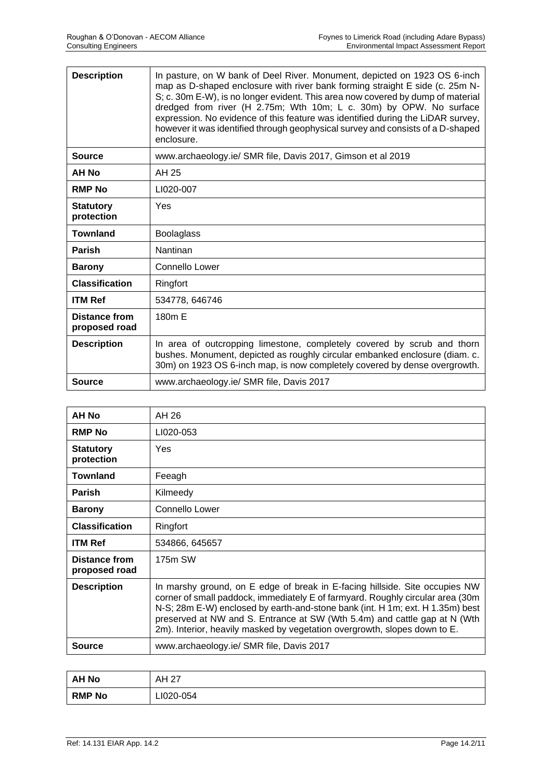| <b>Description</b>                    | In pasture, on W bank of Deel River. Monument, depicted on 1923 OS 6-inch<br>map as D-shaped enclosure with river bank forming straight E side (c. 25m N-<br>S; c. 30m E-W), is no longer evident. This area now covered by dump of material<br>dredged from river (H 2.75m; Wth 10m; L c. 30m) by OPW. No surface<br>expression. No evidence of this feature was identified during the LiDAR survey,<br>however it was identified through geophysical survey and consists of a D-shaped<br>enclosure. |
|---------------------------------------|--------------------------------------------------------------------------------------------------------------------------------------------------------------------------------------------------------------------------------------------------------------------------------------------------------------------------------------------------------------------------------------------------------------------------------------------------------------------------------------------------------|
| Source                                | www.archaeology.ie/ SMR file, Davis 2017, Gimson et al 2019                                                                                                                                                                                                                                                                                                                                                                                                                                            |
| AH No                                 | AH 25                                                                                                                                                                                                                                                                                                                                                                                                                                                                                                  |
| <b>RMP No</b>                         | LI020-007                                                                                                                                                                                                                                                                                                                                                                                                                                                                                              |
| <b>Statutory</b><br>protection        | Yes                                                                                                                                                                                                                                                                                                                                                                                                                                                                                                    |
| <b>Townland</b>                       | <b>Boolaglass</b>                                                                                                                                                                                                                                                                                                                                                                                                                                                                                      |
| <b>Parish</b>                         | Nantinan                                                                                                                                                                                                                                                                                                                                                                                                                                                                                               |
| <b>Barony</b>                         | Connello Lower                                                                                                                                                                                                                                                                                                                                                                                                                                                                                         |
| <b>Classification</b>                 | Ringfort                                                                                                                                                                                                                                                                                                                                                                                                                                                                                               |
| <b>ITM Ref</b>                        | 534778, 646746                                                                                                                                                                                                                                                                                                                                                                                                                                                                                         |
| <b>Distance from</b><br>proposed road | 180m E                                                                                                                                                                                                                                                                                                                                                                                                                                                                                                 |
| <b>Description</b>                    | In area of outcropping limestone, completely covered by scrub and thorn<br>bushes. Monument, depicted as roughly circular embanked enclosure (diam. c.<br>30m) on 1923 OS 6-inch map, is now completely covered by dense overgrowth.                                                                                                                                                                                                                                                                   |
| <b>Source</b>                         | www.archaeology.ie/ SMR file, Davis 2017                                                                                                                                                                                                                                                                                                                                                                                                                                                               |

| AH 26<br>LI020-053<br>Yes<br>Feeagh<br>Kilmeedy<br>Connello Lower                                                                                                                                                                                                                                                                                                                                         |
|-----------------------------------------------------------------------------------------------------------------------------------------------------------------------------------------------------------------------------------------------------------------------------------------------------------------------------------------------------------------------------------------------------------|
|                                                                                                                                                                                                                                                                                                                                                                                                           |
|                                                                                                                                                                                                                                                                                                                                                                                                           |
|                                                                                                                                                                                                                                                                                                                                                                                                           |
|                                                                                                                                                                                                                                                                                                                                                                                                           |
|                                                                                                                                                                                                                                                                                                                                                                                                           |
|                                                                                                                                                                                                                                                                                                                                                                                                           |
| Ringfort                                                                                                                                                                                                                                                                                                                                                                                                  |
| 534866, 645657                                                                                                                                                                                                                                                                                                                                                                                            |
| 175m SW                                                                                                                                                                                                                                                                                                                                                                                                   |
| In marshy ground, on E edge of break in E-facing hillside. Site occupies NW<br>corner of small paddock, immediately E of farmyard. Roughly circular area (30m)<br>N-S; 28m E-W) enclosed by earth-and-stone bank (int. H 1m; ext. H 1.35m) best<br>preserved at NW and S. Entrance at SW (Wth 5.4m) and cattle gap at N (Wth<br>2m). Interior, heavily masked by vegetation overgrowth, slopes down to E. |
| www.archaeology.ie/ SMR file, Davis 2017                                                                                                                                                                                                                                                                                                                                                                  |
|                                                                                                                                                                                                                                                                                                                                                                                                           |

| <b>AH No</b>  | AH 27     |
|---------------|-----------|
| <b>RMP No</b> | LI020-054 |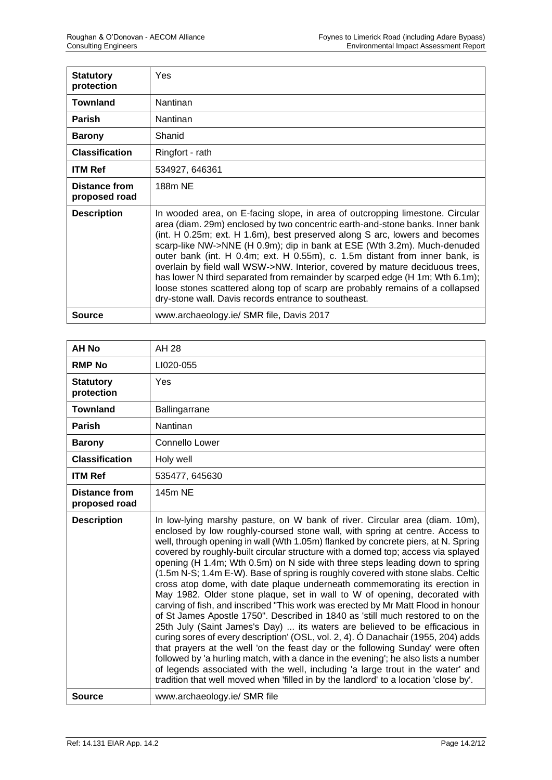| <b>Statutory</b><br>protection | Yes                                                                                                                                                                                                                                                                                                                                                                                                                                                                                                                                                                                                                                                                                                               |
|--------------------------------|-------------------------------------------------------------------------------------------------------------------------------------------------------------------------------------------------------------------------------------------------------------------------------------------------------------------------------------------------------------------------------------------------------------------------------------------------------------------------------------------------------------------------------------------------------------------------------------------------------------------------------------------------------------------------------------------------------------------|
| <b>Townland</b>                | <b>Nantinan</b>                                                                                                                                                                                                                                                                                                                                                                                                                                                                                                                                                                                                                                                                                                   |
| <b>Parish</b>                  | Nantinan                                                                                                                                                                                                                                                                                                                                                                                                                                                                                                                                                                                                                                                                                                          |
| <b>Barony</b>                  | Shanid                                                                                                                                                                                                                                                                                                                                                                                                                                                                                                                                                                                                                                                                                                            |
| <b>Classification</b>          | Ringfort - rath                                                                                                                                                                                                                                                                                                                                                                                                                                                                                                                                                                                                                                                                                                   |
| <b>ITM Ref</b>                 | 534927, 646361                                                                                                                                                                                                                                                                                                                                                                                                                                                                                                                                                                                                                                                                                                    |
| Distance from<br>proposed road | 188m NE                                                                                                                                                                                                                                                                                                                                                                                                                                                                                                                                                                                                                                                                                                           |
| <b>Description</b>             | In wooded area, on E-facing slope, in area of outcropping limestone. Circular<br>area (diam. 29m) enclosed by two concentric earth-and-stone banks. Inner bank<br>(int. H 0.25m; ext. H 1.6m), best preserved along S arc, lowers and becomes<br>scarp-like NW->NNE (H 0.9m); dip in bank at ESE (Wth 3.2m). Much-denuded<br>outer bank (int. H 0.4m; ext. H 0.55m), c. 1.5m distant from inner bank, is<br>overlain by field wall WSW->NW. Interior, covered by mature deciduous trees,<br>has lower N third separated from remainder by scarped edge (H 1m; Wth 6.1m);<br>loose stones scattered along top of scarp are probably remains of a collapsed<br>dry-stone wall. Davis records entrance to southeast. |
| <b>Source</b>                  | www.archaeology.ie/ SMR file, Davis 2017                                                                                                                                                                                                                                                                                                                                                                                                                                                                                                                                                                                                                                                                          |

| <b>AH No</b>                          | AH 28                                                                                                                                                                                                                                                                                                                                                                                                                                                                                                                                                                                                                                                                                                                                                                                                                                                                                                                                                                                                                                                                                                                                                                                                                                                                                                                                                            |
|---------------------------------------|------------------------------------------------------------------------------------------------------------------------------------------------------------------------------------------------------------------------------------------------------------------------------------------------------------------------------------------------------------------------------------------------------------------------------------------------------------------------------------------------------------------------------------------------------------------------------------------------------------------------------------------------------------------------------------------------------------------------------------------------------------------------------------------------------------------------------------------------------------------------------------------------------------------------------------------------------------------------------------------------------------------------------------------------------------------------------------------------------------------------------------------------------------------------------------------------------------------------------------------------------------------------------------------------------------------------------------------------------------------|
| <b>RMP No</b>                         | LI020-055                                                                                                                                                                                                                                                                                                                                                                                                                                                                                                                                                                                                                                                                                                                                                                                                                                                                                                                                                                                                                                                                                                                                                                                                                                                                                                                                                        |
| <b>Statutory</b><br>protection        | Yes                                                                                                                                                                                                                                                                                                                                                                                                                                                                                                                                                                                                                                                                                                                                                                                                                                                                                                                                                                                                                                                                                                                                                                                                                                                                                                                                                              |
| <b>Townland</b>                       | Ballingarrane                                                                                                                                                                                                                                                                                                                                                                                                                                                                                                                                                                                                                                                                                                                                                                                                                                                                                                                                                                                                                                                                                                                                                                                                                                                                                                                                                    |
| <b>Parish</b>                         | Nantinan                                                                                                                                                                                                                                                                                                                                                                                                                                                                                                                                                                                                                                                                                                                                                                                                                                                                                                                                                                                                                                                                                                                                                                                                                                                                                                                                                         |
| <b>Barony</b>                         | Connello Lower                                                                                                                                                                                                                                                                                                                                                                                                                                                                                                                                                                                                                                                                                                                                                                                                                                                                                                                                                                                                                                                                                                                                                                                                                                                                                                                                                   |
| <b>Classification</b>                 | Holy well                                                                                                                                                                                                                                                                                                                                                                                                                                                                                                                                                                                                                                                                                                                                                                                                                                                                                                                                                                                                                                                                                                                                                                                                                                                                                                                                                        |
| <b>ITM Ref</b>                        | 535477, 645630                                                                                                                                                                                                                                                                                                                                                                                                                                                                                                                                                                                                                                                                                                                                                                                                                                                                                                                                                                                                                                                                                                                                                                                                                                                                                                                                                   |
| <b>Distance from</b><br>proposed road | 145m NE                                                                                                                                                                                                                                                                                                                                                                                                                                                                                                                                                                                                                                                                                                                                                                                                                                                                                                                                                                                                                                                                                                                                                                                                                                                                                                                                                          |
| <b>Description</b>                    | In low-lying marshy pasture, on W bank of river. Circular area (diam. 10m),<br>enclosed by low roughly-coursed stone wall, with spring at centre. Access to<br>well, through opening in wall (Wth 1.05m) flanked by concrete piers, at N. Spring<br>covered by roughly-built circular structure with a domed top; access via splayed<br>opening (H 1.4m; Wth 0.5m) on N side with three steps leading down to spring<br>(1.5m N-S; 1.4m E-W). Base of spring is roughly covered with stone slabs. Celtic<br>cross atop dome, with date plaque underneath commemorating its erection in<br>May 1982. Older stone plaque, set in wall to W of opening, decorated with<br>carving of fish, and inscribed "This work was erected by Mr Matt Flood in honour<br>of St James Apostle 1750". Described in 1840 as 'still much restored to on the<br>25th July (Saint James's Day)  its waters are believed to be efficacious in<br>curing sores of every description' (OSL, vol. 2, 4). Ó Danachair (1955, 204) adds<br>that prayers at the well 'on the feast day or the following Sunday' were often<br>followed by 'a hurling match, with a dance in the evening'; he also lists a number<br>of legends associated with the well, including 'a large trout in the water' and<br>tradition that well moved when 'filled in by the landlord' to a location 'close by'. |
| <b>Source</b>                         | www.archaeology.ie/ SMR file                                                                                                                                                                                                                                                                                                                                                                                                                                                                                                                                                                                                                                                                                                                                                                                                                                                                                                                                                                                                                                                                                                                                                                                                                                                                                                                                     |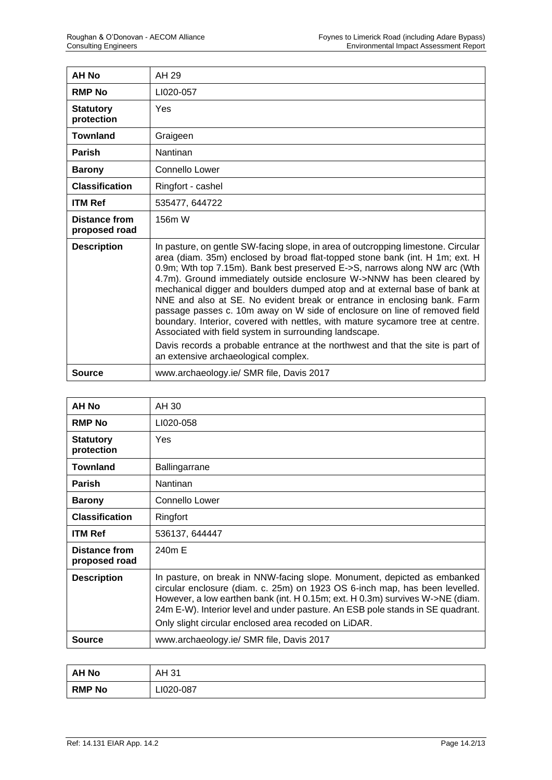| AH No                                 | AH 29                                                                                                                                                                                                                                                                                                                                                                                                                                                                                                                                                                                                                                                                                                        |
|---------------------------------------|--------------------------------------------------------------------------------------------------------------------------------------------------------------------------------------------------------------------------------------------------------------------------------------------------------------------------------------------------------------------------------------------------------------------------------------------------------------------------------------------------------------------------------------------------------------------------------------------------------------------------------------------------------------------------------------------------------------|
| <b>RMP No</b>                         | LI020-057                                                                                                                                                                                                                                                                                                                                                                                                                                                                                                                                                                                                                                                                                                    |
| <b>Statutory</b><br>protection        | Yes                                                                                                                                                                                                                                                                                                                                                                                                                                                                                                                                                                                                                                                                                                          |
| <b>Townland</b>                       | Graigeen                                                                                                                                                                                                                                                                                                                                                                                                                                                                                                                                                                                                                                                                                                     |
| <b>Parish</b>                         | <b>Nantinan</b>                                                                                                                                                                                                                                                                                                                                                                                                                                                                                                                                                                                                                                                                                              |
| <b>Barony</b>                         | Connello Lower                                                                                                                                                                                                                                                                                                                                                                                                                                                                                                                                                                                                                                                                                               |
| <b>Classification</b>                 | Ringfort - cashel                                                                                                                                                                                                                                                                                                                                                                                                                                                                                                                                                                                                                                                                                            |
| <b>ITM Ref</b>                        | 535477, 644722                                                                                                                                                                                                                                                                                                                                                                                                                                                                                                                                                                                                                                                                                               |
| <b>Distance from</b><br>proposed road | 156m W                                                                                                                                                                                                                                                                                                                                                                                                                                                                                                                                                                                                                                                                                                       |
| <b>Description</b>                    | In pasture, on gentle SW-facing slope, in area of outcropping limestone. Circular<br>area (diam. 35m) enclosed by broad flat-topped stone bank (int. H 1m; ext. H<br>0.9m; Wth top 7.15m). Bank best preserved E->S, narrows along NW arc (Wth<br>4.7m). Ground immediately outside enclosure W->NNW has been cleared by<br>mechanical digger and boulders dumped atop and at external base of bank at<br>NNE and also at SE. No evident break or entrance in enclosing bank. Farm<br>passage passes c. 10m away on W side of enclosure on line of removed field<br>boundary. Interior, covered with nettles, with mature sycamore tree at centre.<br>Associated with field system in surrounding landscape. |
|                                       | Davis records a probable entrance at the northwest and that the site is part of<br>an extensive archaeological complex.                                                                                                                                                                                                                                                                                                                                                                                                                                                                                                                                                                                      |
| <b>Source</b>                         | www.archaeology.ie/ SMR file, Davis 2017                                                                                                                                                                                                                                                                                                                                                                                                                                                                                                                                                                                                                                                                     |

| AH No                                 | AH 30                                                                                                                                                                                                                                                                                                                                                                              |
|---------------------------------------|------------------------------------------------------------------------------------------------------------------------------------------------------------------------------------------------------------------------------------------------------------------------------------------------------------------------------------------------------------------------------------|
| <b>RMP No</b>                         | LI020-058                                                                                                                                                                                                                                                                                                                                                                          |
| <b>Statutory</b><br>protection        | Yes                                                                                                                                                                                                                                                                                                                                                                                |
| <b>Townland</b>                       | Ballingarrane                                                                                                                                                                                                                                                                                                                                                                      |
| <b>Parish</b>                         | <b>Nantinan</b>                                                                                                                                                                                                                                                                                                                                                                    |
| <b>Barony</b>                         | Connello Lower                                                                                                                                                                                                                                                                                                                                                                     |
| <b>Classification</b>                 | Ringfort                                                                                                                                                                                                                                                                                                                                                                           |
| <b>ITM Ref</b>                        | 536137, 644447                                                                                                                                                                                                                                                                                                                                                                     |
| <b>Distance from</b><br>proposed road | 240m F                                                                                                                                                                                                                                                                                                                                                                             |
| <b>Description</b>                    | In pasture, on break in NNW-facing slope. Monument, depicted as embanked<br>circular enclosure (diam. c. 25m) on 1923 OS 6-inch map, has been levelled.<br>However, a low earthen bank (int. H 0.15m; ext. H 0.3m) survives W->NE (diam.<br>24m E-W). Interior level and under pasture. An ESB pole stands in SE quadrant.<br>Only slight circular enclosed area recoded on LiDAR. |
| <b>Source</b>                         | www.archaeology.ie/ SMR file, Davis 2017                                                                                                                                                                                                                                                                                                                                           |

| <b>AH No</b>  | AH 31     |
|---------------|-----------|
| <b>RMP No</b> | LI020-087 |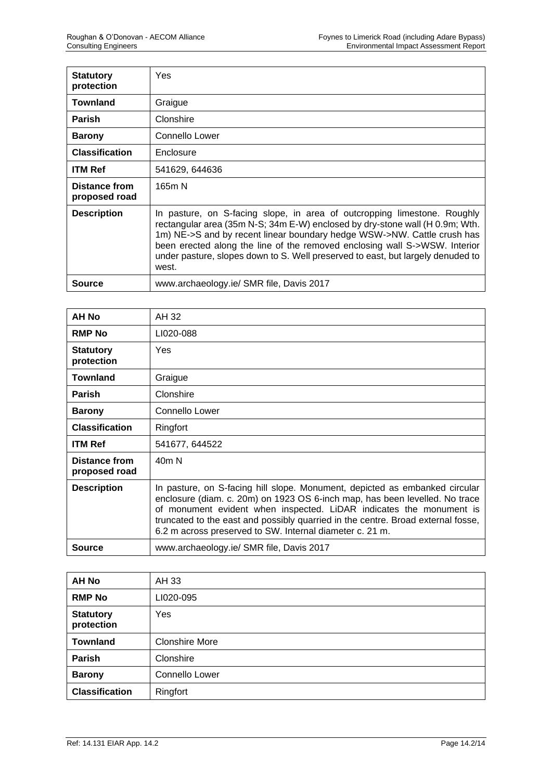| <b>Statutory</b><br>protection | Yes                                                                                                                                                                                                                                                                                                                                                                                                           |
|--------------------------------|---------------------------------------------------------------------------------------------------------------------------------------------------------------------------------------------------------------------------------------------------------------------------------------------------------------------------------------------------------------------------------------------------------------|
| <b>Townland</b>                | Graigue                                                                                                                                                                                                                                                                                                                                                                                                       |
| <b>Parish</b>                  | Clonshire                                                                                                                                                                                                                                                                                                                                                                                                     |
| <b>Barony</b>                  | Connello Lower                                                                                                                                                                                                                                                                                                                                                                                                |
| <b>Classification</b>          | Enclosure                                                                                                                                                                                                                                                                                                                                                                                                     |
| <b>ITM Ref</b>                 | 541629, 644636                                                                                                                                                                                                                                                                                                                                                                                                |
| Distance from<br>proposed road | 165m N                                                                                                                                                                                                                                                                                                                                                                                                        |
| <b>Description</b>             | In pasture, on S-facing slope, in area of outcropping limestone. Roughly<br>rectangular area (35m N-S; 34m E-W) enclosed by dry-stone wall (H 0.9m; Wth.<br>1m) NE->S and by recent linear boundary hedge WSW->NW. Cattle crush has<br>been erected along the line of the removed enclosing wall S->WSW. Interior<br>under pasture, slopes down to S. Well preserved to east, but largely denuded to<br>west. |
| Source                         | www.archaeology.ie/ SMR file, Davis 2017                                                                                                                                                                                                                                                                                                                                                                      |

| AH No                                 | AH 32                                                                                                                                                                                                                                                                                                                                                                             |
|---------------------------------------|-----------------------------------------------------------------------------------------------------------------------------------------------------------------------------------------------------------------------------------------------------------------------------------------------------------------------------------------------------------------------------------|
| <b>RMP No</b>                         | LI020-088                                                                                                                                                                                                                                                                                                                                                                         |
| <b>Statutory</b><br>protection        | <b>Yes</b>                                                                                                                                                                                                                                                                                                                                                                        |
| <b>Townland</b>                       | Graigue                                                                                                                                                                                                                                                                                                                                                                           |
| <b>Parish</b>                         | Clonshire                                                                                                                                                                                                                                                                                                                                                                         |
| <b>Barony</b>                         | Connello Lower                                                                                                                                                                                                                                                                                                                                                                    |
| <b>Classification</b>                 | Ringfort                                                                                                                                                                                                                                                                                                                                                                          |
| <b>ITM Ref</b>                        | 541677, 644522                                                                                                                                                                                                                                                                                                                                                                    |
| <b>Distance from</b><br>proposed road | 40 <sub>m</sub> N                                                                                                                                                                                                                                                                                                                                                                 |
| <b>Description</b>                    | In pasture, on S-facing hill slope. Monument, depicted as embanked circular<br>enclosure (diam. c. 20m) on 1923 OS 6-inch map, has been levelled. No trace<br>of monument evident when inspected. LiDAR indicates the monument is<br>truncated to the east and possibly quarried in the centre. Broad external fosse,<br>6.2 m across preserved to SW. Internal diameter c. 21 m. |
| <b>Source</b>                         | www.archaeology.ie/ SMR file, Davis 2017                                                                                                                                                                                                                                                                                                                                          |

| <b>AH No</b>                   | AH 33                 |
|--------------------------------|-----------------------|
| <b>RMP No</b>                  | LI020-095             |
| <b>Statutory</b><br>protection | Yes                   |
| <b>Townland</b>                | <b>Clonshire More</b> |
| <b>Parish</b>                  | Clonshire             |
| <b>Barony</b>                  | <b>Connello Lower</b> |
| <b>Classification</b>          | Ringfort              |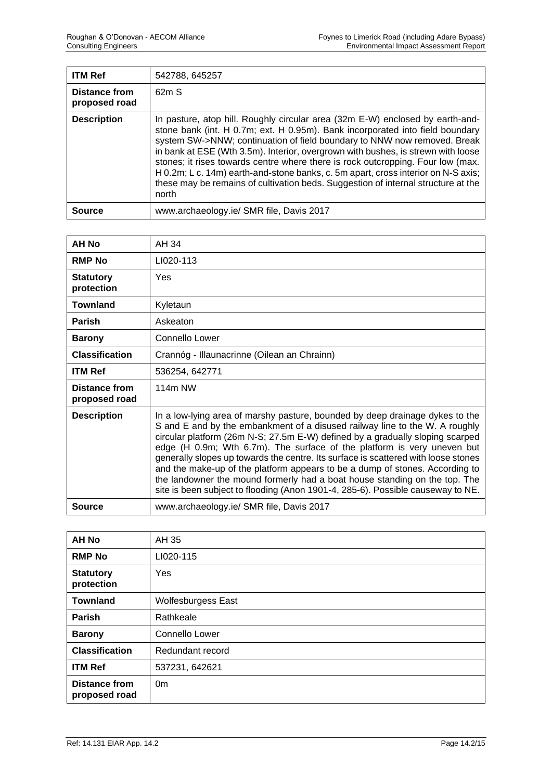| <b>ITM Ref</b>                 | 542788, 645257                                                                                                                                                                                                                                                                                                                                                                                                                                                                                                                                                                                       |
|--------------------------------|------------------------------------------------------------------------------------------------------------------------------------------------------------------------------------------------------------------------------------------------------------------------------------------------------------------------------------------------------------------------------------------------------------------------------------------------------------------------------------------------------------------------------------------------------------------------------------------------------|
| Distance from<br>proposed road | 62mS                                                                                                                                                                                                                                                                                                                                                                                                                                                                                                                                                                                                 |
| <b>Description</b>             | In pasture, atop hill. Roughly circular area (32m E-W) enclosed by earth-and-<br>stone bank (int. H 0.7m; ext. H 0.95m). Bank incorporated into field boundary<br>system SW->NNW; continuation of field boundary to NNW now removed. Break<br>in bank at ESE (Wth 3.5m). Interior, overgrown with bushes, is strewn with loose<br>stones; it rises towards centre where there is rock outcropping. Four low (max.<br>H 0.2m; L c. 14m) earth-and-stone banks, c. 5m apart, cross interior on N-S axis;<br>these may be remains of cultivation beds. Suggestion of internal structure at the<br>north |
| Source                         | www.archaeology.ie/ SMR file, Davis 2017                                                                                                                                                                                                                                                                                                                                                                                                                                                                                                                                                             |

| <b>AH No</b>                          | AH 34                                                                                                                                                                                                                                                                                                                                                                                                                                                                                                                                                                                                                                                          |
|---------------------------------------|----------------------------------------------------------------------------------------------------------------------------------------------------------------------------------------------------------------------------------------------------------------------------------------------------------------------------------------------------------------------------------------------------------------------------------------------------------------------------------------------------------------------------------------------------------------------------------------------------------------------------------------------------------------|
| <b>RMP No</b>                         | LI020-113                                                                                                                                                                                                                                                                                                                                                                                                                                                                                                                                                                                                                                                      |
| <b>Statutory</b><br>protection        | Yes                                                                                                                                                                                                                                                                                                                                                                                                                                                                                                                                                                                                                                                            |
| <b>Townland</b>                       | Kyletaun                                                                                                                                                                                                                                                                                                                                                                                                                                                                                                                                                                                                                                                       |
| <b>Parish</b>                         | Askeaton                                                                                                                                                                                                                                                                                                                                                                                                                                                                                                                                                                                                                                                       |
| <b>Barony</b>                         | Connello Lower                                                                                                                                                                                                                                                                                                                                                                                                                                                                                                                                                                                                                                                 |
| <b>Classification</b>                 | Crannóg - Illaunacrinne (Oilean an Chrainn)                                                                                                                                                                                                                                                                                                                                                                                                                                                                                                                                                                                                                    |
| <b>ITM Ref</b>                        | 536254, 642771                                                                                                                                                                                                                                                                                                                                                                                                                                                                                                                                                                                                                                                 |
| <b>Distance from</b><br>proposed road | 114m NW                                                                                                                                                                                                                                                                                                                                                                                                                                                                                                                                                                                                                                                        |
| <b>Description</b>                    | In a low-lying area of marshy pasture, bounded by deep drainage dykes to the<br>S and E and by the embankment of a disused railway line to the W. A roughly<br>circular platform (26m N-S; 27.5m E-W) defined by a gradually sloping scarped<br>edge (H 0.9m; Wth 6.7m). The surface of the platform is very uneven but<br>generally slopes up towards the centre. Its surface is scattered with loose stones<br>and the make-up of the platform appears to be a dump of stones. According to<br>the landowner the mound formerly had a boat house standing on the top. The<br>site is been subject to flooding (Anon 1901-4, 285-6). Possible causeway to NE. |
| Source                                | www.archaeology.ie/ SMR file, Davis 2017                                                                                                                                                                                                                                                                                                                                                                                                                                                                                                                                                                                                                       |

| <b>AH No</b>                          | AH 35                     |
|---------------------------------------|---------------------------|
| <b>RMP No</b>                         | LI020-115                 |
| <b>Statutory</b><br>protection        | Yes                       |
| <b>Townland</b>                       | <b>Wolfesburgess East</b> |
| <b>Parish</b>                         | Rathkeale                 |
| <b>Barony</b>                         | Connello Lower            |
| <b>Classification</b>                 | Redundant record          |
| <b>ITM Ref</b>                        | 537231, 642621            |
| <b>Distance from</b><br>proposed road | 0 <sub>m</sub>            |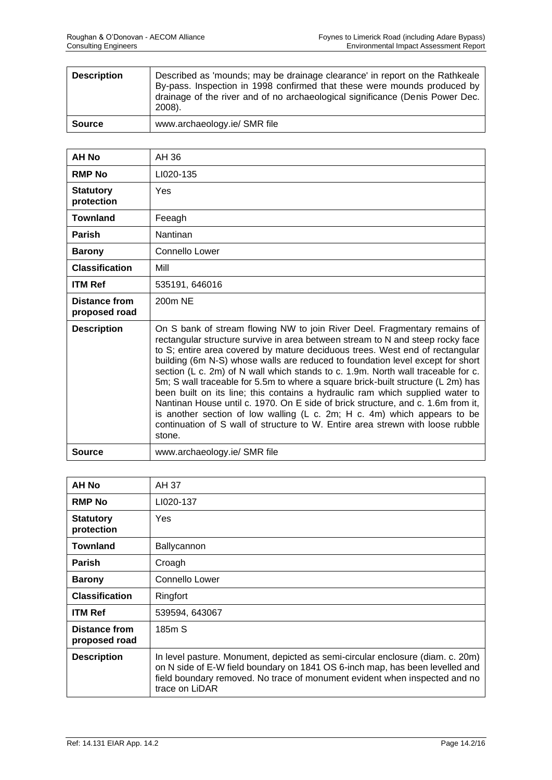| <b>Description</b> | Described as 'mounds; may be drainage clearance' in report on the Rathkeale<br>By-pass. Inspection in 1998 confirmed that these were mounds produced by<br>drainage of the river and of no archaeological significance (Denis Power Dec.<br>2008). |
|--------------------|----------------------------------------------------------------------------------------------------------------------------------------------------------------------------------------------------------------------------------------------------|
| <b>Source</b>      | www.archaeology.ie/ SMR file                                                                                                                                                                                                                       |

| AH No                                 | AH 36                                                                                                                                                                                                                                                                                                                                                                                                                                                                                                                                                                                                                                                                                                                                                                                                                                              |
|---------------------------------------|----------------------------------------------------------------------------------------------------------------------------------------------------------------------------------------------------------------------------------------------------------------------------------------------------------------------------------------------------------------------------------------------------------------------------------------------------------------------------------------------------------------------------------------------------------------------------------------------------------------------------------------------------------------------------------------------------------------------------------------------------------------------------------------------------------------------------------------------------|
| <b>RMP No</b>                         | LI020-135                                                                                                                                                                                                                                                                                                                                                                                                                                                                                                                                                                                                                                                                                                                                                                                                                                          |
| <b>Statutory</b><br>protection        | Yes                                                                                                                                                                                                                                                                                                                                                                                                                                                                                                                                                                                                                                                                                                                                                                                                                                                |
| <b>Townland</b>                       | Feeagh                                                                                                                                                                                                                                                                                                                                                                                                                                                                                                                                                                                                                                                                                                                                                                                                                                             |
| <b>Parish</b>                         | Nantinan                                                                                                                                                                                                                                                                                                                                                                                                                                                                                                                                                                                                                                                                                                                                                                                                                                           |
| <b>Barony</b>                         | Connello Lower                                                                                                                                                                                                                                                                                                                                                                                                                                                                                                                                                                                                                                                                                                                                                                                                                                     |
| <b>Classification</b>                 | Mill                                                                                                                                                                                                                                                                                                                                                                                                                                                                                                                                                                                                                                                                                                                                                                                                                                               |
| <b>ITM Ref</b>                        | 535191, 646016                                                                                                                                                                                                                                                                                                                                                                                                                                                                                                                                                                                                                                                                                                                                                                                                                                     |
| <b>Distance from</b><br>proposed road | 200m NE                                                                                                                                                                                                                                                                                                                                                                                                                                                                                                                                                                                                                                                                                                                                                                                                                                            |
| <b>Description</b>                    | On S bank of stream flowing NW to join River Deel. Fragmentary remains of<br>rectangular structure survive in area between stream to N and steep rocky face<br>to S; entire area covered by mature deciduous trees. West end of rectangular<br>building (6m N-S) whose walls are reduced to foundation level except for short<br>section (L c. 2m) of N wall which stands to c. 1.9m. North wall traceable for c.<br>5m; S wall traceable for 5.5m to where a square brick-built structure (L 2m) has<br>been built on its line; this contains a hydraulic ram which supplied water to<br>Nantinan House until c. 1970. On E side of brick structure, and c. 1.6m from it,<br>is another section of low walling (L c. 2m; H c. 4m) which appears to be<br>continuation of S wall of structure to W. Entire area strewn with loose rubble<br>stone. |
| <b>Source</b>                         | www.archaeology.ie/ SMR file                                                                                                                                                                                                                                                                                                                                                                                                                                                                                                                                                                                                                                                                                                                                                                                                                       |

| <b>AH No</b>                          | AH 37                                                                                                                                                                                                                                                          |
|---------------------------------------|----------------------------------------------------------------------------------------------------------------------------------------------------------------------------------------------------------------------------------------------------------------|
| <b>RMP No</b>                         | LI020-137                                                                                                                                                                                                                                                      |
| <b>Statutory</b><br>protection        | Yes                                                                                                                                                                                                                                                            |
| Townland                              | <b>Ballycannon</b>                                                                                                                                                                                                                                             |
| <b>Parish</b>                         | Croagh                                                                                                                                                                                                                                                         |
| <b>Barony</b>                         | <b>Connello Lower</b>                                                                                                                                                                                                                                          |
| <b>Classification</b>                 | Ringfort                                                                                                                                                                                                                                                       |
| <b>ITM Ref</b>                        | 539594, 643067                                                                                                                                                                                                                                                 |
| <b>Distance from</b><br>proposed road | 185 <sub>m</sub> S                                                                                                                                                                                                                                             |
| <b>Description</b>                    | In level pasture. Monument, depicted as semi-circular enclosure (diam. c. 20m)<br>on N side of E-W field boundary on 1841 OS 6-inch map, has been levelled and<br>field boundary removed. No trace of monument evident when inspected and no<br>trace on LiDAR |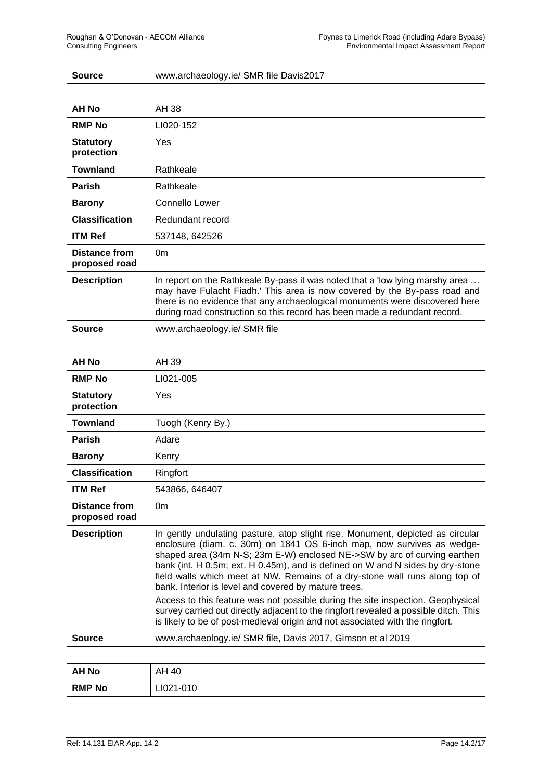| Source | www.archaeology.ie/ SMR file Davis2017 |
|--------|----------------------------------------|
|--------|----------------------------------------|

| AH No                          | AH 38                                                                                                                                                                                                                                                                                                                  |
|--------------------------------|------------------------------------------------------------------------------------------------------------------------------------------------------------------------------------------------------------------------------------------------------------------------------------------------------------------------|
| <b>RMP No</b>                  | LI020-152                                                                                                                                                                                                                                                                                                              |
| <b>Statutory</b><br>protection | <b>Yes</b>                                                                                                                                                                                                                                                                                                             |
| <b>Townland</b>                | Rathkeale                                                                                                                                                                                                                                                                                                              |
| <b>Parish</b>                  | Rathkeale                                                                                                                                                                                                                                                                                                              |
| <b>Barony</b>                  | Connello Lower                                                                                                                                                                                                                                                                                                         |
| <b>Classification</b>          | Redundant record                                                                                                                                                                                                                                                                                                       |
| <b>ITM Ref</b>                 | 537148, 642526                                                                                                                                                                                                                                                                                                         |
| Distance from<br>proposed road | 0 <sub>m</sub>                                                                                                                                                                                                                                                                                                         |
| <b>Description</b>             | In report on the Rathkeale By-pass it was noted that a 'low lying marshy area<br>may have Fulacht Fiadh.' This area is now covered by the By-pass road and<br>there is no evidence that any archaeological monuments were discovered here<br>during road construction so this record has been made a redundant record. |
| <b>Source</b>                  | www.archaeology.ie/ SMR file                                                                                                                                                                                                                                                                                           |

| AH No                          | AH 39                                                                                                                                                                                                                                                                                                                                                                                                                                                         |
|--------------------------------|---------------------------------------------------------------------------------------------------------------------------------------------------------------------------------------------------------------------------------------------------------------------------------------------------------------------------------------------------------------------------------------------------------------------------------------------------------------|
| <b>RMP No</b>                  | LI021-005                                                                                                                                                                                                                                                                                                                                                                                                                                                     |
| <b>Statutory</b><br>protection | Yes                                                                                                                                                                                                                                                                                                                                                                                                                                                           |
| Townland                       | Tuogh (Kenry By.)                                                                                                                                                                                                                                                                                                                                                                                                                                             |
| <b>Parish</b>                  | Adare                                                                                                                                                                                                                                                                                                                                                                                                                                                         |
| <b>Barony</b>                  | Kenry                                                                                                                                                                                                                                                                                                                                                                                                                                                         |
| <b>Classification</b>          | Ringfort                                                                                                                                                                                                                                                                                                                                                                                                                                                      |
| <b>ITM Ref</b>                 | 543866, 646407                                                                                                                                                                                                                                                                                                                                                                                                                                                |
| Distance from<br>proposed road | 0 <sub>m</sub>                                                                                                                                                                                                                                                                                                                                                                                                                                                |
| <b>Description</b>             | In gently undulating pasture, atop slight rise. Monument, depicted as circular<br>enclosure (diam. c. 30m) on 1841 OS 6-inch map, now survives as wedge-<br>shaped area (34m N-S; 23m E-W) enclosed NE->SW by arc of curving earthen<br>bank (int. H 0.5m; ext. H 0.45m), and is defined on W and N sides by dry-stone<br>field walls which meet at NW. Remains of a dry-stone wall runs along top of<br>bank. Interior is level and covered by mature trees. |
|                                | Access to this feature was not possible during the site inspection. Geophysical<br>survey carried out directly adjacent to the ringfort revealed a possible ditch. This<br>is likely to be of post-medieval origin and not associated with the ringfort.                                                                                                                                                                                                      |
| <b>Source</b>                  | www.archaeology.ie/ SMR file, Davis 2017, Gimson et al 2019                                                                                                                                                                                                                                                                                                                                                                                                   |

| <b>AH No</b>  | AH<br>-40 |
|---------------|-----------|
| <b>RMP No</b> | LI021-010 |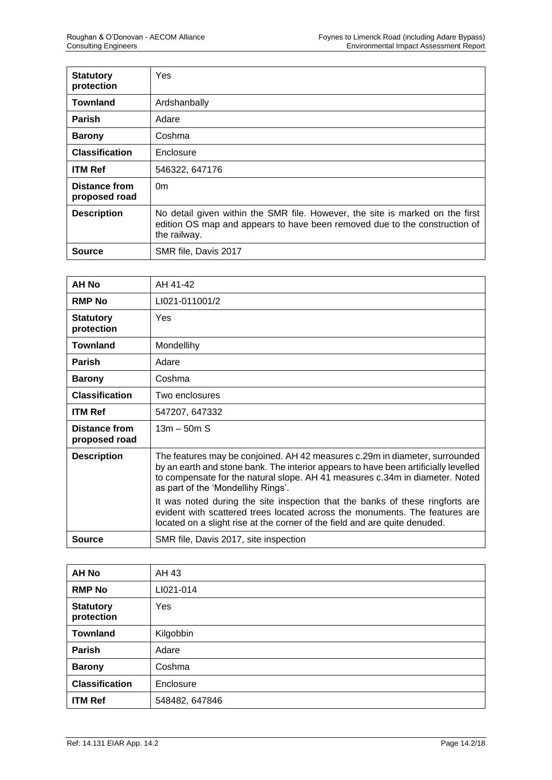| <b>Statutory</b><br>protection | Yes                                                                                                                                                                         |
|--------------------------------|-----------------------------------------------------------------------------------------------------------------------------------------------------------------------------|
| <b>Townland</b>                | Ardshanbally                                                                                                                                                                |
| <b>Parish</b>                  | Adare                                                                                                                                                                       |
| <b>Barony</b>                  | Coshma                                                                                                                                                                      |
| <b>Classification</b>          | Enclosure                                                                                                                                                                   |
| <b>ITM Ref</b>                 | 546322, 647176                                                                                                                                                              |
| Distance from<br>proposed road | 0 <sub>m</sub>                                                                                                                                                              |
| <b>Description</b>             | No detail given within the SMR file. However, the site is marked on the first<br>edition OS map and appears to have been removed due to the construction of<br>the railway. |
| Source                         | SMR file, Davis 2017                                                                                                                                                        |

| AH No                          | AH 41-42                                                                                                                                                                                                                                                                                 |
|--------------------------------|------------------------------------------------------------------------------------------------------------------------------------------------------------------------------------------------------------------------------------------------------------------------------------------|
| <b>RMP No</b>                  | LI021-011001/2                                                                                                                                                                                                                                                                           |
| <b>Statutory</b><br>protection | Yes                                                                                                                                                                                                                                                                                      |
| <b>Townland</b>                | Mondellihy                                                                                                                                                                                                                                                                               |
| <b>Parish</b>                  | Adare                                                                                                                                                                                                                                                                                    |
| <b>Barony</b>                  | Coshma                                                                                                                                                                                                                                                                                   |
| <b>Classification</b>          | Two enclosures                                                                                                                                                                                                                                                                           |
| <b>ITM Ref</b>                 | 547207, 647332                                                                                                                                                                                                                                                                           |
| Distance from<br>proposed road | $13m - 50m S$                                                                                                                                                                                                                                                                            |
| <b>Description</b>             | The features may be conjoined. AH 42 measures c.29m in diameter, surrounded<br>by an earth and stone bank. The interior appears to have been artificially levelled<br>to compensate for the natural slope. AH 41 measures c.34m in diameter. Noted<br>as part of the 'Mondellihy Rings'. |
|                                | It was noted during the site inspection that the banks of these ringforts are<br>evident with scattered trees located across the monuments. The features are<br>located on a slight rise at the corner of the field and are quite denuded.                                               |
| Source                         | SMR file, Davis 2017, site inspection                                                                                                                                                                                                                                                    |

| <b>AH No</b>                   | AH 43          |
|--------------------------------|----------------|
| <b>RMP No</b>                  | LI021-014      |
| <b>Statutory</b><br>protection | Yes            |
| <b>Townland</b>                | Kilgobbin      |
| Parish                         | Adare          |
| <b>Barony</b>                  | Coshma         |
| <b>Classification</b>          | Enclosure      |
| <b>ITM Ref</b>                 | 548482, 647846 |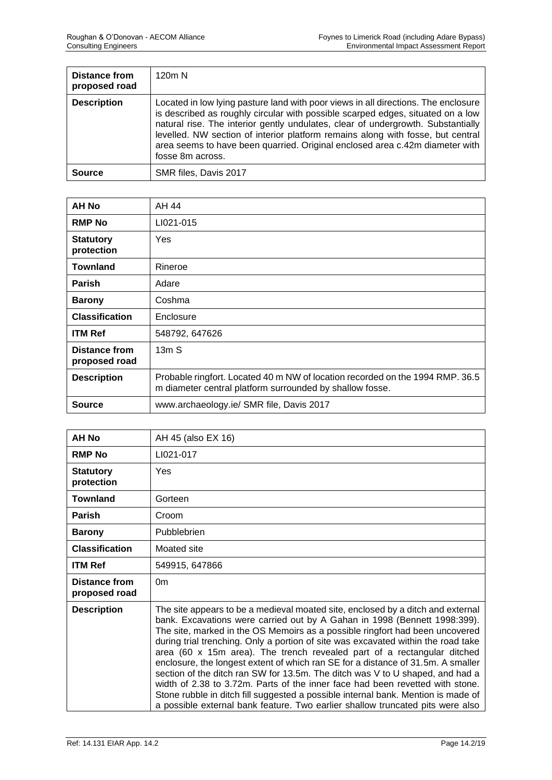| Distance from<br>proposed road | 120m N                                                                                                                                                                                                                                                                                                                                                                                                                                           |
|--------------------------------|--------------------------------------------------------------------------------------------------------------------------------------------------------------------------------------------------------------------------------------------------------------------------------------------------------------------------------------------------------------------------------------------------------------------------------------------------|
| <b>Description</b>             | Located in low lying pasture land with poor views in all directions. The enclosure<br>is described as roughly circular with possible scarped edges, situated on a low<br>natural rise. The interior gently undulates, clear of undergrowth. Substantially<br>levelled. NW section of interior platform remains along with fosse, but central<br>area seems to have been quarried. Original enclosed area c.42m diameter with<br>fosse 8m across. |
| <b>Source</b>                  | SMR files, Davis 2017                                                                                                                                                                                                                                                                                                                                                                                                                            |

| <b>AH No</b>                          | AH 44                                                                                                                                     |
|---------------------------------------|-------------------------------------------------------------------------------------------------------------------------------------------|
| <b>RMP No</b>                         | LI021-015                                                                                                                                 |
| <b>Statutory</b><br>protection        | Yes                                                                                                                                       |
| <b>Townland</b>                       | Rineroe                                                                                                                                   |
| <b>Parish</b>                         | Adare                                                                                                                                     |
| <b>Barony</b>                         | Coshma                                                                                                                                    |
| <b>Classification</b>                 | Enclosure                                                                                                                                 |
| <b>ITM Ref</b>                        | 548792, 647626                                                                                                                            |
| <b>Distance from</b><br>proposed road | 13mS                                                                                                                                      |
| <b>Description</b>                    | Probable ringfort. Located 40 m NW of location recorded on the 1994 RMP. 36.5<br>m diameter central platform surrounded by shallow fosse. |
| Source                                | www.archaeology.ie/ SMR file, Davis 2017                                                                                                  |

| AH No                          | AH 45 (also EX 16)                                                                                                                                                                                                                                                                                                                                                                                                                                                                                                                                                                                                                                                                                                                                                                                                                        |
|--------------------------------|-------------------------------------------------------------------------------------------------------------------------------------------------------------------------------------------------------------------------------------------------------------------------------------------------------------------------------------------------------------------------------------------------------------------------------------------------------------------------------------------------------------------------------------------------------------------------------------------------------------------------------------------------------------------------------------------------------------------------------------------------------------------------------------------------------------------------------------------|
| <b>RMP No</b>                  | LI021-017                                                                                                                                                                                                                                                                                                                                                                                                                                                                                                                                                                                                                                                                                                                                                                                                                                 |
| <b>Statutory</b><br>protection | Yes                                                                                                                                                                                                                                                                                                                                                                                                                                                                                                                                                                                                                                                                                                                                                                                                                                       |
| <b>Townland</b>                | Gorteen                                                                                                                                                                                                                                                                                                                                                                                                                                                                                                                                                                                                                                                                                                                                                                                                                                   |
| <b>Parish</b>                  | Croom                                                                                                                                                                                                                                                                                                                                                                                                                                                                                                                                                                                                                                                                                                                                                                                                                                     |
| <b>Barony</b>                  | Pubblebrien                                                                                                                                                                                                                                                                                                                                                                                                                                                                                                                                                                                                                                                                                                                                                                                                                               |
| <b>Classification</b>          | Moated site                                                                                                                                                                                                                                                                                                                                                                                                                                                                                                                                                                                                                                                                                                                                                                                                                               |
| <b>ITM Ref</b>                 | 549915, 647866                                                                                                                                                                                                                                                                                                                                                                                                                                                                                                                                                                                                                                                                                                                                                                                                                            |
| Distance from<br>proposed road | 0 <sub>m</sub>                                                                                                                                                                                                                                                                                                                                                                                                                                                                                                                                                                                                                                                                                                                                                                                                                            |
| <b>Description</b>             | The site appears to be a medieval moated site, enclosed by a ditch and external<br>bank. Excavations were carried out by A Gahan in 1998 (Bennett 1998:399).<br>The site, marked in the OS Memoirs as a possible ringfort had been uncovered<br>during trial trenching. Only a portion of site was excavated within the road take<br>area (60 x 15m area). The trench revealed part of a rectangular ditched<br>enclosure, the longest extent of which ran SE for a distance of 31.5m. A smaller<br>section of the ditch ran SW for 13.5m. The ditch was V to U shaped, and had a<br>width of 2.38 to 3.72m. Parts of the inner face had been revetted with stone.<br>Stone rubble in ditch fill suggested a possible internal bank. Mention is made of<br>a possible external bank feature. Two earlier shallow truncated pits were also |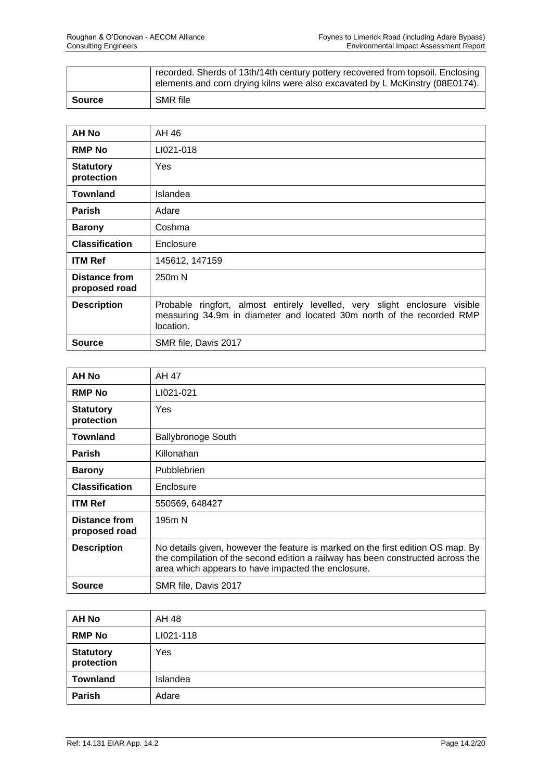|        | recorded. Sherds of 13th/14th century pottery recovered from topsoil. Enclosing<br>elements and corn drying kilns were also excavated by L McKinstry (08E0174). |
|--------|-----------------------------------------------------------------------------------------------------------------------------------------------------------------|
| Source | SMR file                                                                                                                                                        |

| <b>AH No</b>                   | AH 46                                                                                                                                                            |
|--------------------------------|------------------------------------------------------------------------------------------------------------------------------------------------------------------|
| <b>RMP No</b>                  | LI021-018                                                                                                                                                        |
| <b>Statutory</b><br>protection | <b>Yes</b>                                                                                                                                                       |
| <b>Townland</b>                | Islandea                                                                                                                                                         |
| <b>Parish</b>                  | Adare                                                                                                                                                            |
| <b>Barony</b>                  | Coshma                                                                                                                                                           |
| <b>Classification</b>          | Enclosure                                                                                                                                                        |
| <b>ITM Ref</b>                 | 145612, 147159                                                                                                                                                   |
| Distance from<br>proposed road | 250 <sub>m</sub> N                                                                                                                                               |
| <b>Description</b>             | Probable ringfort, almost entirely levelled, very slight enclosure visible<br>measuring 34.9m in diameter and located 30m north of the recorded RMP<br>location. |
| Source                         | SMR file, Davis 2017                                                                                                                                             |

| AH No                                 | AH 47                                                                                                                                                                                                                    |
|---------------------------------------|--------------------------------------------------------------------------------------------------------------------------------------------------------------------------------------------------------------------------|
| <b>RMP No</b>                         | LI021-021                                                                                                                                                                                                                |
| <b>Statutory</b><br>protection        | Yes                                                                                                                                                                                                                      |
| <b>Townland</b>                       | <b>Ballybronoge South</b>                                                                                                                                                                                                |
| <b>Parish</b>                         | Killonahan                                                                                                                                                                                                               |
| <b>Barony</b>                         | Pubblebrien                                                                                                                                                                                                              |
| <b>Classification</b>                 | Enclosure                                                                                                                                                                                                                |
| <b>ITM Ref</b>                        | 550569, 648427                                                                                                                                                                                                           |
| <b>Distance from</b><br>proposed road | 195m N                                                                                                                                                                                                                   |
| <b>Description</b>                    | No details given, however the feature is marked on the first edition OS map. By<br>the compilation of the second edition a railway has been constructed across the<br>area which appears to have impacted the enclosure. |
| Source                                | SMR file, Davis 2017                                                                                                                                                                                                     |

| <b>AH No</b>                   | AH 48     |
|--------------------------------|-----------|
| <b>RMP No</b>                  | LI021-118 |
| <b>Statutory</b><br>protection | Yes       |
| <b>Townland</b>                | Islandea  |
| Parish                         | Adare     |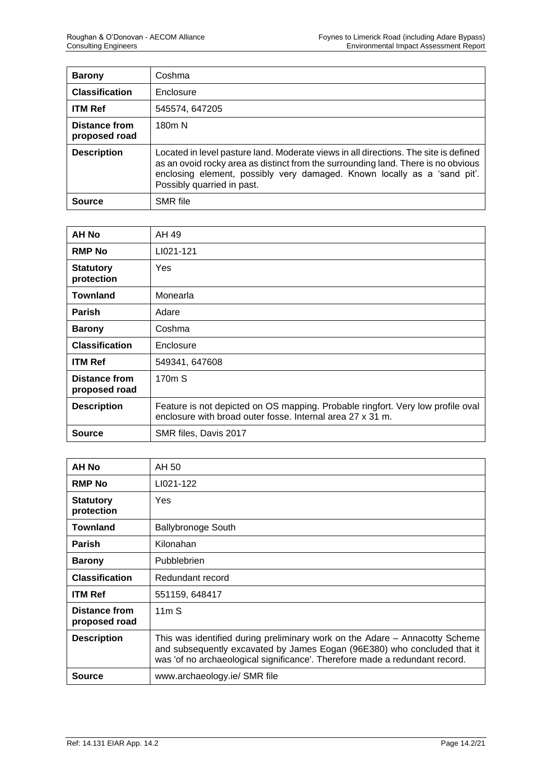| <b>Barony</b>                  | Coshma                                                                                                                                                                                                                                                                              |
|--------------------------------|-------------------------------------------------------------------------------------------------------------------------------------------------------------------------------------------------------------------------------------------------------------------------------------|
| <b>Classification</b>          | Enclosure                                                                                                                                                                                                                                                                           |
| <b>ITM Ref</b>                 | 545574, 647205                                                                                                                                                                                                                                                                      |
| Distance from<br>proposed road | 180 <sub>m</sub> N                                                                                                                                                                                                                                                                  |
| <b>Description</b>             | Located in level pasture land. Moderate views in all directions. The site is defined<br>as an ovoid rocky area as distinct from the surrounding land. There is no obvious<br>enclosing element, possibly very damaged. Known locally as a 'sand pit'.<br>Possibly quarried in past. |
| <b>Source</b>                  | <b>SMR</b> file                                                                                                                                                                                                                                                                     |

| AH No                          | AH 49                                                                                                                                         |
|--------------------------------|-----------------------------------------------------------------------------------------------------------------------------------------------|
| <b>RMP No</b>                  | LI021-121                                                                                                                                     |
| <b>Statutory</b><br>protection | Yes                                                                                                                                           |
| <b>Townland</b>                | Monearla                                                                                                                                      |
| <b>Parish</b>                  | Adare                                                                                                                                         |
| <b>Barony</b>                  | Coshma                                                                                                                                        |
| <b>Classification</b>          | Enclosure                                                                                                                                     |
| <b>ITM Ref</b>                 | 549341, 647608                                                                                                                                |
| Distance from<br>proposed road | 170m S                                                                                                                                        |
| <b>Description</b>             | Feature is not depicted on OS mapping. Probable ringfort. Very low profile oval<br>enclosure with broad outer fosse. Internal area 27 x 31 m. |
| <b>Source</b>                  | SMR files, Davis 2017                                                                                                                         |

| <b>AH No</b>                   | AH 50                                                                                                                                                                                                                                  |
|--------------------------------|----------------------------------------------------------------------------------------------------------------------------------------------------------------------------------------------------------------------------------------|
| <b>RMP No</b>                  | LI021-122                                                                                                                                                                                                                              |
| <b>Statutory</b><br>protection | Yes                                                                                                                                                                                                                                    |
| <b>Townland</b>                | Ballybronoge South                                                                                                                                                                                                                     |
| <b>Parish</b>                  | Kilonahan                                                                                                                                                                                                                              |
| <b>Barony</b>                  | Pubblebrien                                                                                                                                                                                                                            |
| <b>Classification</b>          | Redundant record                                                                                                                                                                                                                       |
| <b>ITM Ref</b>                 | 551159, 648417                                                                                                                                                                                                                         |
| Distance from<br>proposed road | 11mS                                                                                                                                                                                                                                   |
| <b>Description</b>             | This was identified during preliminary work on the Adare – Annacotty Scheme<br>and subsequently excavated by James Eogan (96E380) who concluded that it<br>was 'of no archaeological significance'. Therefore made a redundant record. |
| <b>Source</b>                  | www.archaeology.ie/ SMR file                                                                                                                                                                                                           |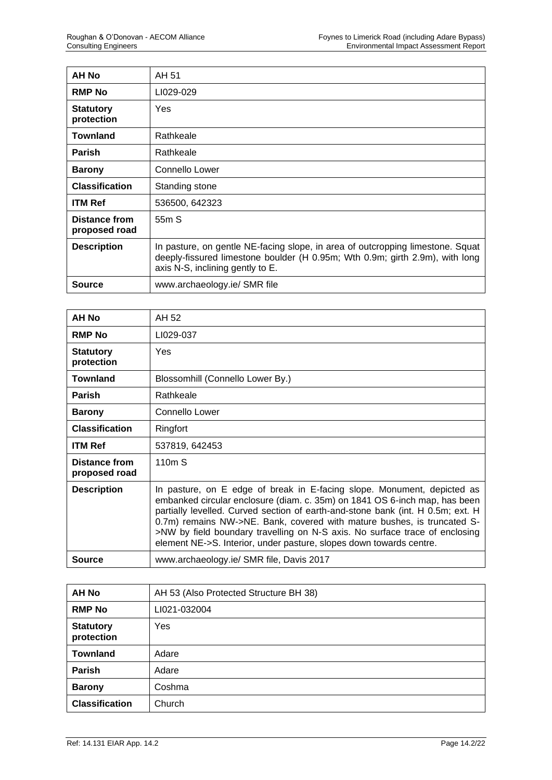| <b>AH No</b>                          | AH 51                                                                                                                                                                                              |
|---------------------------------------|----------------------------------------------------------------------------------------------------------------------------------------------------------------------------------------------------|
| <b>RMP No</b>                         | LI029-029                                                                                                                                                                                          |
| <b>Statutory</b><br>protection        | <b>Yes</b>                                                                                                                                                                                         |
| Townland                              | Rathkeale                                                                                                                                                                                          |
| <b>Parish</b>                         | Rathkeale                                                                                                                                                                                          |
| <b>Barony</b>                         | Connello Lower                                                                                                                                                                                     |
| <b>Classification</b>                 | Standing stone                                                                                                                                                                                     |
| <b>ITM Ref</b>                        | 536500, 642323                                                                                                                                                                                     |
| <b>Distance from</b><br>proposed road | 55 <sub>m</sub> S                                                                                                                                                                                  |
| <b>Description</b>                    | In pasture, on gentle NE-facing slope, in area of outcropping limestone. Squat<br>deeply-fissured limestone boulder (H 0.95m; Wth 0.9m; girth 2.9m), with long<br>axis N-S, inclining gently to E. |
| Source                                | www.archaeology.ie/ SMR file                                                                                                                                                                       |

| AH No                          | AH 52                                                                                                                                                                                                                                                                                                                                                                                                                                                                     |
|--------------------------------|---------------------------------------------------------------------------------------------------------------------------------------------------------------------------------------------------------------------------------------------------------------------------------------------------------------------------------------------------------------------------------------------------------------------------------------------------------------------------|
| <b>RMP No</b>                  | LI029-037                                                                                                                                                                                                                                                                                                                                                                                                                                                                 |
| <b>Statutory</b><br>protection | Yes                                                                                                                                                                                                                                                                                                                                                                                                                                                                       |
| <b>Townland</b>                | Blossomhill (Connello Lower By.)                                                                                                                                                                                                                                                                                                                                                                                                                                          |
| <b>Parish</b>                  | Rathkeale                                                                                                                                                                                                                                                                                                                                                                                                                                                                 |
| <b>Barony</b>                  | Connello Lower                                                                                                                                                                                                                                                                                                                                                                                                                                                            |
| <b>Classification</b>          | Ringfort                                                                                                                                                                                                                                                                                                                                                                                                                                                                  |
| <b>ITM Ref</b>                 | 537819, 642453                                                                                                                                                                                                                                                                                                                                                                                                                                                            |
| Distance from<br>proposed road | 110m S                                                                                                                                                                                                                                                                                                                                                                                                                                                                    |
| <b>Description</b>             | In pasture, on E edge of break in E-facing slope. Monument, depicted as<br>embanked circular enclosure (diam. c. 35m) on 1841 OS 6-inch map, has been<br>partially levelled. Curved section of earth-and-stone bank (int. H 0.5m; ext. H<br>0.7m) remains NW->NE. Bank, covered with mature bushes, is truncated S-<br>>NW by field boundary travelling on N-S axis. No surface trace of enclosing<br>element NE->S. Interior, under pasture, slopes down towards centre. |
| Source                         | www.archaeology.ie/ SMR file, Davis 2017                                                                                                                                                                                                                                                                                                                                                                                                                                  |

| <b>AH No</b>                   | AH 53 (Also Protected Structure BH 38) |
|--------------------------------|----------------------------------------|
| <b>RMP No</b>                  | LI021-032004                           |
| <b>Statutory</b><br>protection | Yes                                    |
| <b>Townland</b>                | Adare                                  |
| <b>Parish</b>                  | Adare                                  |
| <b>Barony</b>                  | Coshma                                 |
| <b>Classification</b>          | Church                                 |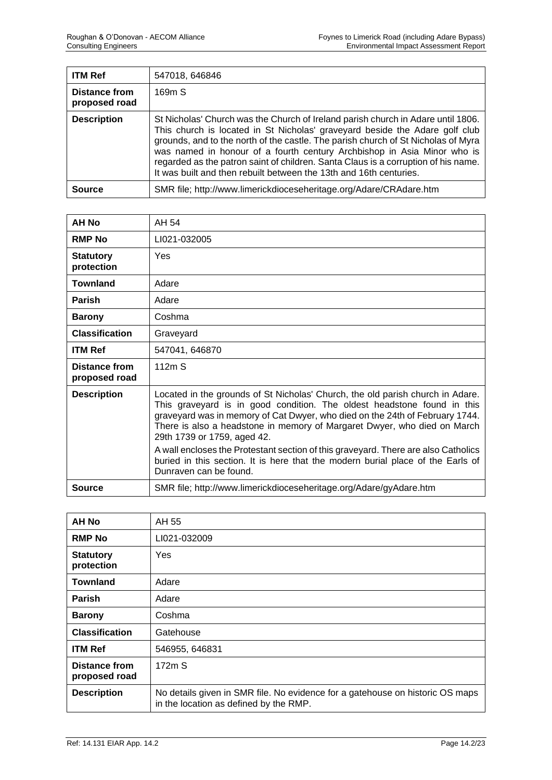| <b>ITM Ref</b>                        | 547018, 646846                                                                                                                                                                                                                                                                                                                                                                                                                                                                              |
|---------------------------------------|---------------------------------------------------------------------------------------------------------------------------------------------------------------------------------------------------------------------------------------------------------------------------------------------------------------------------------------------------------------------------------------------------------------------------------------------------------------------------------------------|
| <b>Distance from</b><br>proposed road | 169m S                                                                                                                                                                                                                                                                                                                                                                                                                                                                                      |
| <b>Description</b>                    | St Nicholas' Church was the Church of Ireland parish church in Adare until 1806.<br>This church is located in St Nicholas' graveyard beside the Adare golf club<br>grounds, and to the north of the castle. The parish church of St Nicholas of Myra<br>was named in honour of a fourth century Archbishop in Asia Minor who is<br>regarded as the patron saint of children. Santa Claus is a corruption of his name.<br>It was built and then rebuilt between the 13th and 16th centuries. |
| <b>Source</b>                         | SMR file; http://www.limerickdioceseheritage.org/Adare/CRAdare.htm                                                                                                                                                                                                                                                                                                                                                                                                                          |

| <b>AH No</b>                          | AH 54                                                                                                                                                                                                                                                                                                                                                |
|---------------------------------------|------------------------------------------------------------------------------------------------------------------------------------------------------------------------------------------------------------------------------------------------------------------------------------------------------------------------------------------------------|
| <b>RMP No</b>                         | LI021-032005                                                                                                                                                                                                                                                                                                                                         |
| <b>Statutory</b><br>protection        | <b>Yes</b>                                                                                                                                                                                                                                                                                                                                           |
| <b>Townland</b>                       | Adare                                                                                                                                                                                                                                                                                                                                                |
| <b>Parish</b>                         | Adare                                                                                                                                                                                                                                                                                                                                                |
| <b>Barony</b>                         | Coshma                                                                                                                                                                                                                                                                                                                                               |
| <b>Classification</b>                 | Graveyard                                                                                                                                                                                                                                                                                                                                            |
| <b>ITM Ref</b>                        | 547041, 646870                                                                                                                                                                                                                                                                                                                                       |
| <b>Distance from</b><br>proposed road | 112mS                                                                                                                                                                                                                                                                                                                                                |
| <b>Description</b>                    | Located in the grounds of St Nicholas' Church, the old parish church in Adare.<br>This graveyard is in good condition. The oldest headstone found in this<br>graveyard was in memory of Cat Dwyer, who died on the 24th of February 1744.<br>There is also a headstone in memory of Margaret Dwyer, who died on March<br>29th 1739 or 1759, aged 42. |
|                                       | A wall encloses the Protestant section of this graveyard. There are also Catholics<br>buried in this section. It is here that the modern burial place of the Earls of<br>Dunraven can be found.                                                                                                                                                      |
| <b>Source</b>                         | SMR file; http://www.limerickdioceseheritage.org/Adare/gyAdare.htm                                                                                                                                                                                                                                                                                   |

| <b>AH No</b>                          | AH 55                                                                                                                   |
|---------------------------------------|-------------------------------------------------------------------------------------------------------------------------|
| <b>RMP No</b>                         | LI021-032009                                                                                                            |
| <b>Statutory</b><br>protection        | <b>Yes</b>                                                                                                              |
| <b>Townland</b>                       | Adare                                                                                                                   |
| <b>Parish</b>                         | Adare                                                                                                                   |
| <b>Barony</b>                         | Coshma                                                                                                                  |
| <b>Classification</b>                 | Gatehouse                                                                                                               |
| <b>ITM Ref</b>                        | 546955, 646831                                                                                                          |
| <b>Distance from</b><br>proposed road | 172m S                                                                                                                  |
| <b>Description</b>                    | No details given in SMR file. No evidence for a gatehouse on historic OS maps<br>in the location as defined by the RMP. |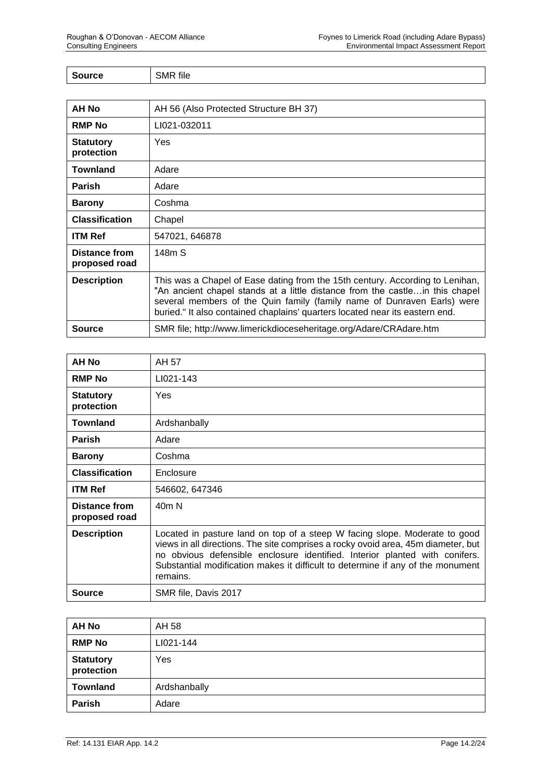| $\epsilon$<br>urce | <b>SMR</b> file |
|--------------------|-----------------|
|                    |                 |

| AH No                          | AH 56 (Also Protected Structure BH 37)                                                                                                                                                                                                                                                                                   |
|--------------------------------|--------------------------------------------------------------------------------------------------------------------------------------------------------------------------------------------------------------------------------------------------------------------------------------------------------------------------|
| <b>RMP No</b>                  | LI021-032011                                                                                                                                                                                                                                                                                                             |
| <b>Statutory</b><br>protection | Yes                                                                                                                                                                                                                                                                                                                      |
| Townland                       | Adare                                                                                                                                                                                                                                                                                                                    |
| <b>Parish</b>                  | Adare                                                                                                                                                                                                                                                                                                                    |
| <b>Barony</b>                  | Coshma                                                                                                                                                                                                                                                                                                                   |
| <b>Classification</b>          | Chapel                                                                                                                                                                                                                                                                                                                   |
| <b>ITM Ref</b>                 | 547021, 646878                                                                                                                                                                                                                                                                                                           |
| Distance from<br>proposed road | 148m S                                                                                                                                                                                                                                                                                                                   |
| <b>Description</b>             | This was a Chapel of Ease dating from the 15th century. According to Lenihan,<br>"An ancient chapel stands at a little distance from the castlein this chapel<br>several members of the Quin family (family name of Dunraven Earls) were<br>buried." It also contained chaplains' quarters located near its eastern end. |
| Source                         | SMR file; http://www.limerickdioceseheritage.org/Adare/CRAdare.htm                                                                                                                                                                                                                                                       |

| AH No                                 | AH 57                                                                                                                                                                                                                                                                                                                                         |
|---------------------------------------|-----------------------------------------------------------------------------------------------------------------------------------------------------------------------------------------------------------------------------------------------------------------------------------------------------------------------------------------------|
| <b>RMP No</b>                         | LI021-143                                                                                                                                                                                                                                                                                                                                     |
| <b>Statutory</b><br>protection        | Yes                                                                                                                                                                                                                                                                                                                                           |
| <b>Townland</b>                       | Ardshanbally                                                                                                                                                                                                                                                                                                                                  |
| <b>Parish</b>                         | Adare                                                                                                                                                                                                                                                                                                                                         |
| <b>Barony</b>                         | Coshma                                                                                                                                                                                                                                                                                                                                        |
| <b>Classification</b>                 | Enclosure                                                                                                                                                                                                                                                                                                                                     |
| <b>ITM Ref</b>                        | 546602, 647346                                                                                                                                                                                                                                                                                                                                |
| <b>Distance from</b><br>proposed road | 40 <sub>m</sub> N                                                                                                                                                                                                                                                                                                                             |
| <b>Description</b>                    | Located in pasture land on top of a steep W facing slope. Moderate to good<br>views in all directions. The site comprises a rocky ovoid area, 45m diameter, but<br>no obvious defensible enclosure identified. Interior planted with conifers.<br>Substantial modification makes it difficult to determine if any of the monument<br>remains. |
| Source                                | SMR file, Davis 2017                                                                                                                                                                                                                                                                                                                          |

| <b>AH No</b>                   | AH 58        |
|--------------------------------|--------------|
| <b>RMP No</b>                  | LI021-144    |
| <b>Statutory</b><br>protection | Yes          |
| <b>Townland</b>                | Ardshanbally |
| Parish                         | Adare        |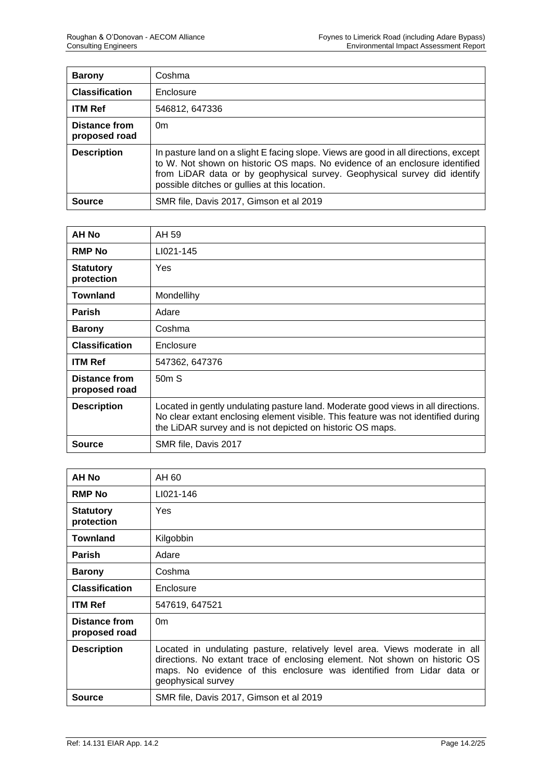| <b>Barony</b>                  | Coshma                                                                                                                                                                                                                                                                                            |
|--------------------------------|---------------------------------------------------------------------------------------------------------------------------------------------------------------------------------------------------------------------------------------------------------------------------------------------------|
| <b>Classification</b>          | Enclosure                                                                                                                                                                                                                                                                                         |
| <b>ITM Ref</b>                 | 546812, 647336                                                                                                                                                                                                                                                                                    |
| Distance from<br>proposed road | 0 <sub>m</sub>                                                                                                                                                                                                                                                                                    |
| <b>Description</b>             | In pasture land on a slight E facing slope. Views are good in all directions, except<br>to W. Not shown on historic OS maps. No evidence of an enclosure identified<br>from LiDAR data or by geophysical survey. Geophysical survey did identify<br>possible ditches or gullies at this location. |
| Source                         | SMR file, Davis 2017, Gimson et al 2019                                                                                                                                                                                                                                                           |

| <b>AH No</b>                          | AH 59                                                                                                                                                                                                                               |
|---------------------------------------|-------------------------------------------------------------------------------------------------------------------------------------------------------------------------------------------------------------------------------------|
| <b>RMP No</b>                         | LI021-145                                                                                                                                                                                                                           |
| <b>Statutory</b><br>protection        | Yes                                                                                                                                                                                                                                 |
| <b>Townland</b>                       | Mondellihy                                                                                                                                                                                                                          |
| <b>Parish</b>                         | Adare                                                                                                                                                                                                                               |
| <b>Barony</b>                         | Coshma                                                                                                                                                                                                                              |
| <b>Classification</b>                 | Enclosure                                                                                                                                                                                                                           |
| <b>ITM Ref</b>                        | 547362, 647376                                                                                                                                                                                                                      |
| <b>Distance from</b><br>proposed road | 50mS                                                                                                                                                                                                                                |
| <b>Description</b>                    | Located in gently undulating pasture land. Moderate good views in all directions.<br>No clear extant enclosing element visible. This feature was not identified during<br>the LiDAR survey and is not depicted on historic OS maps. |
| <b>Source</b>                         | SMR file, Davis 2017                                                                                                                                                                                                                |

| AH No                                 | AH 60                                                                                                                                                                                                                                                    |
|---------------------------------------|----------------------------------------------------------------------------------------------------------------------------------------------------------------------------------------------------------------------------------------------------------|
| <b>RMP No</b>                         | LI021-146                                                                                                                                                                                                                                                |
| <b>Statutory</b><br>protection        | <b>Yes</b>                                                                                                                                                                                                                                               |
| <b>Townland</b>                       | Kilgobbin                                                                                                                                                                                                                                                |
| <b>Parish</b>                         | Adare                                                                                                                                                                                                                                                    |
| <b>Barony</b>                         | Coshma                                                                                                                                                                                                                                                   |
| <b>Classification</b>                 | Enclosure                                                                                                                                                                                                                                                |
| <b>ITM Ref</b>                        | 547619, 647521                                                                                                                                                                                                                                           |
| <b>Distance from</b><br>proposed road | 0 <sub>m</sub>                                                                                                                                                                                                                                           |
| <b>Description</b>                    | Located in undulating pasture, relatively level area. Views moderate in all<br>directions. No extant trace of enclosing element. Not shown on historic OS<br>maps. No evidence of this enclosure was identified from Lidar data or<br>geophysical survey |
| Source                                | SMR file, Davis 2017, Gimson et al 2019                                                                                                                                                                                                                  |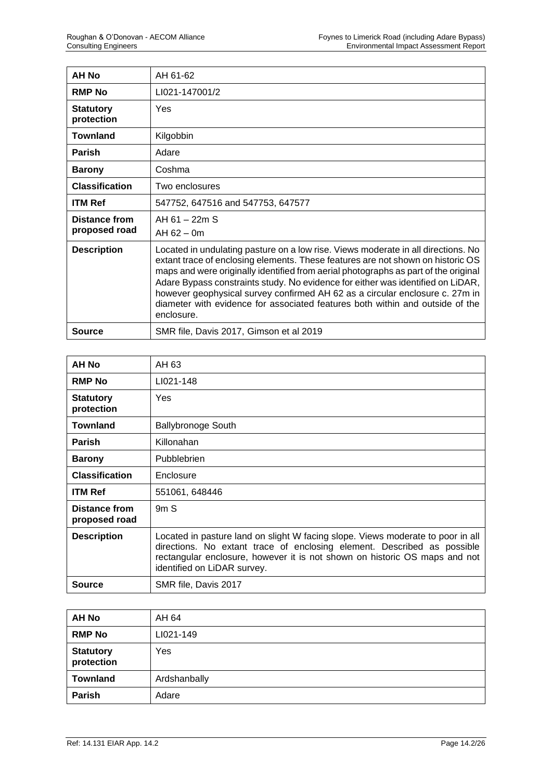| <b>AH No</b>                          | AH 61-62                                                                                                                                                                                                                                                                                                                                                                                                                                                                                                                      |
|---------------------------------------|-------------------------------------------------------------------------------------------------------------------------------------------------------------------------------------------------------------------------------------------------------------------------------------------------------------------------------------------------------------------------------------------------------------------------------------------------------------------------------------------------------------------------------|
| <b>RMP No</b>                         | LI021-147001/2                                                                                                                                                                                                                                                                                                                                                                                                                                                                                                                |
| <b>Statutory</b><br>protection        | Yes                                                                                                                                                                                                                                                                                                                                                                                                                                                                                                                           |
| <b>Townland</b>                       | Kilgobbin                                                                                                                                                                                                                                                                                                                                                                                                                                                                                                                     |
| <b>Parish</b>                         | Adare                                                                                                                                                                                                                                                                                                                                                                                                                                                                                                                         |
| <b>Barony</b>                         | Coshma                                                                                                                                                                                                                                                                                                                                                                                                                                                                                                                        |
| <b>Classification</b>                 | Two enclosures                                                                                                                                                                                                                                                                                                                                                                                                                                                                                                                |
| <b>ITM Ref</b>                        | 547752, 647516 and 547753, 647577                                                                                                                                                                                                                                                                                                                                                                                                                                                                                             |
| <b>Distance from</b><br>proposed road | $AH 61 - 22m S$<br>$AH 62 - 0m$                                                                                                                                                                                                                                                                                                                                                                                                                                                                                               |
| <b>Description</b>                    | Located in undulating pasture on a low rise. Views moderate in all directions. No<br>extant trace of enclosing elements. These features are not shown on historic OS<br>maps and were originally identified from aerial photographs as part of the original<br>Adare Bypass constraints study. No evidence for either was identified on LiDAR,<br>however geophysical survey confirmed AH 62 as a circular enclosure c. 27m in<br>diameter with evidence for associated features both within and outside of the<br>enclosure. |
| <b>Source</b>                         | SMR file, Davis 2017, Gimson et al 2019                                                                                                                                                                                                                                                                                                                                                                                                                                                                                       |

| <b>AH No</b>                   | AH 63                                                                                                                                                                                                                                                                   |
|--------------------------------|-------------------------------------------------------------------------------------------------------------------------------------------------------------------------------------------------------------------------------------------------------------------------|
| <b>RMP No</b>                  | LI021-148                                                                                                                                                                                                                                                               |
| <b>Statutory</b><br>protection | <b>Yes</b>                                                                                                                                                                                                                                                              |
| Townland                       | <b>Ballybronoge South</b>                                                                                                                                                                                                                                               |
| <b>Parish</b>                  | Killonahan                                                                                                                                                                                                                                                              |
| <b>Barony</b>                  | Pubblebrien                                                                                                                                                                                                                                                             |
| <b>Classification</b>          | Enclosure                                                                                                                                                                                                                                                               |
| <b>ITM Ref</b>                 | 551061, 648446                                                                                                                                                                                                                                                          |
| Distance from<br>proposed road | 9mS                                                                                                                                                                                                                                                                     |
| <b>Description</b>             | Located in pasture land on slight W facing slope. Views moderate to poor in all<br>directions. No extant trace of enclosing element. Described as possible<br>rectangular enclosure, however it is not shown on historic OS maps and not<br>identified on LiDAR survey. |
| <b>Source</b>                  | SMR file, Davis 2017                                                                                                                                                                                                                                                    |

| <b>AH No</b>                   | AH 64        |
|--------------------------------|--------------|
| <b>RMP No</b>                  | LI021-149    |
| <b>Statutory</b><br>protection | Yes          |
| <b>Townland</b>                | Ardshanbally |
| Parish                         | Adare        |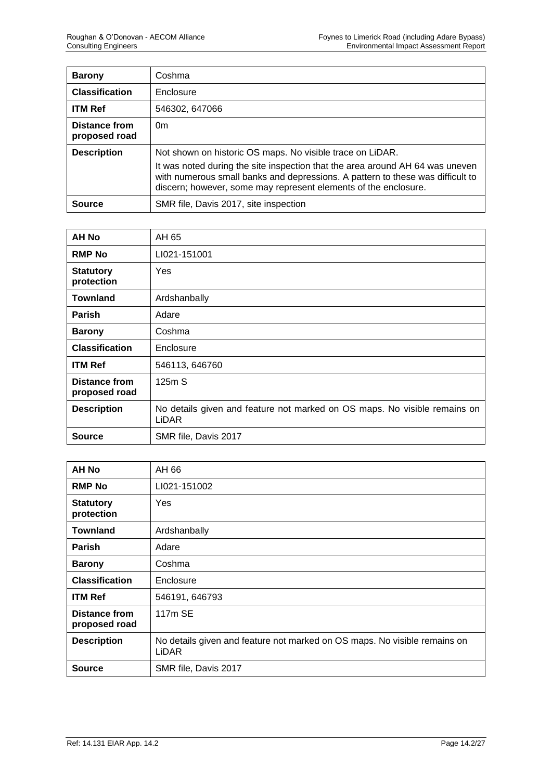| <b>Barony</b>                  | Coshma                                                                                                                                                                                                                                                                                          |
|--------------------------------|-------------------------------------------------------------------------------------------------------------------------------------------------------------------------------------------------------------------------------------------------------------------------------------------------|
| <b>Classification</b>          | Enclosure                                                                                                                                                                                                                                                                                       |
| <b>ITM Ref</b>                 | 546302, 647066                                                                                                                                                                                                                                                                                  |
| Distance from<br>proposed road | 0 <sub>m</sub>                                                                                                                                                                                                                                                                                  |
| <b>Description</b>             | Not shown on historic OS maps. No visible trace on LiDAR.<br>It was noted during the site inspection that the area around AH 64 was uneven<br>with numerous small banks and depressions. A pattern to these was difficult to<br>discern; however, some may represent elements of the enclosure. |
| <b>Source</b>                  | SMR file, Davis 2017, site inspection                                                                                                                                                                                                                                                           |

| <b>AH No</b>                          | AH 65                                                                                     |
|---------------------------------------|-------------------------------------------------------------------------------------------|
| <b>RMP No</b>                         | LI021-151001                                                                              |
| <b>Statutory</b><br>protection        | Yes                                                                                       |
| <b>Townland</b>                       | Ardshanbally                                                                              |
| <b>Parish</b>                         | Adare                                                                                     |
| <b>Barony</b>                         | Coshma                                                                                    |
| <b>Classification</b>                 | Enclosure                                                                                 |
| <b>ITM Ref</b>                        | 546113, 646760                                                                            |
| <b>Distance from</b><br>proposed road | 125m S                                                                                    |
| <b>Description</b>                    | No details given and feature not marked on OS maps. No visible remains on<br><b>LiDAR</b> |
| <b>Source</b>                         | SMR file, Davis 2017                                                                      |

| <b>AH No</b>                   | AH 66                                                                                     |
|--------------------------------|-------------------------------------------------------------------------------------------|
| <b>RMP No</b>                  | LI021-151002                                                                              |
| <b>Statutory</b><br>protection | Yes                                                                                       |
| <b>Townland</b>                | Ardshanbally                                                                              |
| <b>Parish</b>                  | Adare                                                                                     |
| <b>Barony</b>                  | Coshma                                                                                    |
| <b>Classification</b>          | Enclosure                                                                                 |
| <b>ITM Ref</b>                 | 546191, 646793                                                                            |
| Distance from<br>proposed road | 117m SE                                                                                   |
| <b>Description</b>             | No details given and feature not marked on OS maps. No visible remains on<br><b>LiDAR</b> |
| Source                         | SMR file, Davis 2017                                                                      |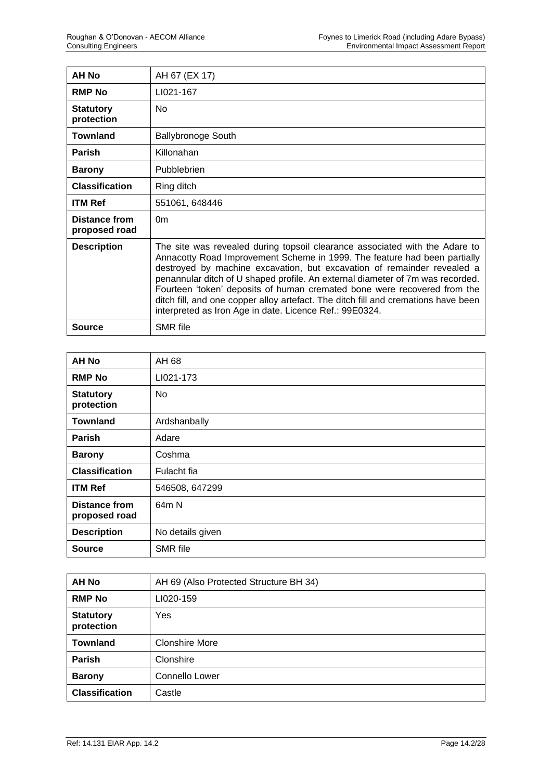| AH No                          | AH 67 (EX 17)                                                                                                                                                                                                                                                                                                                                                                                                                                                                                                                                      |
|--------------------------------|----------------------------------------------------------------------------------------------------------------------------------------------------------------------------------------------------------------------------------------------------------------------------------------------------------------------------------------------------------------------------------------------------------------------------------------------------------------------------------------------------------------------------------------------------|
| <b>RMP No</b>                  | LI021-167                                                                                                                                                                                                                                                                                                                                                                                                                                                                                                                                          |
| <b>Statutory</b><br>protection | No.                                                                                                                                                                                                                                                                                                                                                                                                                                                                                                                                                |
| Townland                       | <b>Ballybronoge South</b>                                                                                                                                                                                                                                                                                                                                                                                                                                                                                                                          |
| <b>Parish</b>                  | Killonahan                                                                                                                                                                                                                                                                                                                                                                                                                                                                                                                                         |
| <b>Barony</b>                  | <b>Pubblebrien</b>                                                                                                                                                                                                                                                                                                                                                                                                                                                                                                                                 |
| <b>Classification</b>          | Ring ditch                                                                                                                                                                                                                                                                                                                                                                                                                                                                                                                                         |
| <b>ITM Ref</b>                 | 551061, 648446                                                                                                                                                                                                                                                                                                                                                                                                                                                                                                                                     |
| Distance from<br>proposed road | 0 <sub>m</sub>                                                                                                                                                                                                                                                                                                                                                                                                                                                                                                                                     |
| <b>Description</b>             | The site was revealed during topsoil clearance associated with the Adare to<br>Annacotty Road Improvement Scheme in 1999. The feature had been partially<br>destroyed by machine excavation, but excavation of remainder revealed a<br>penannular ditch of U shaped profile. An external diameter of 7m was recorded.<br>Fourteen 'token' deposits of human cremated bone were recovered from the<br>ditch fill, and one copper alloy artefact. The ditch fill and cremations have been<br>interpreted as Iron Age in date. Licence Ref.: 99E0324. |
| <b>Source</b>                  | <b>SMR</b> file                                                                                                                                                                                                                                                                                                                                                                                                                                                                                                                                    |

| <b>AH No</b>                          | AH 68            |
|---------------------------------------|------------------|
| <b>RMP No</b>                         | LI021-173        |
| <b>Statutory</b><br>protection        | No               |
| <b>Townland</b>                       | Ardshanbally     |
| <b>Parish</b>                         | Adare            |
| <b>Barony</b>                         | Coshma           |
| <b>Classification</b>                 | Fulacht fia      |
| <b>ITM Ref</b>                        | 546508, 647299   |
| <b>Distance from</b><br>proposed road | 64m N            |
| <b>Description</b>                    | No details given |
| <b>Source</b>                         | SMR file         |

| AH No                          | AH 69 (Also Protected Structure BH 34) |
|--------------------------------|----------------------------------------|
| <b>RMP No</b>                  | LI020-159                              |
| <b>Statutory</b><br>protection | Yes                                    |
| <b>Townland</b>                | <b>Clonshire More</b>                  |
| Parish                         | Clonshire                              |
| <b>Barony</b>                  | Connello Lower                         |
| <b>Classification</b>          | Castle                                 |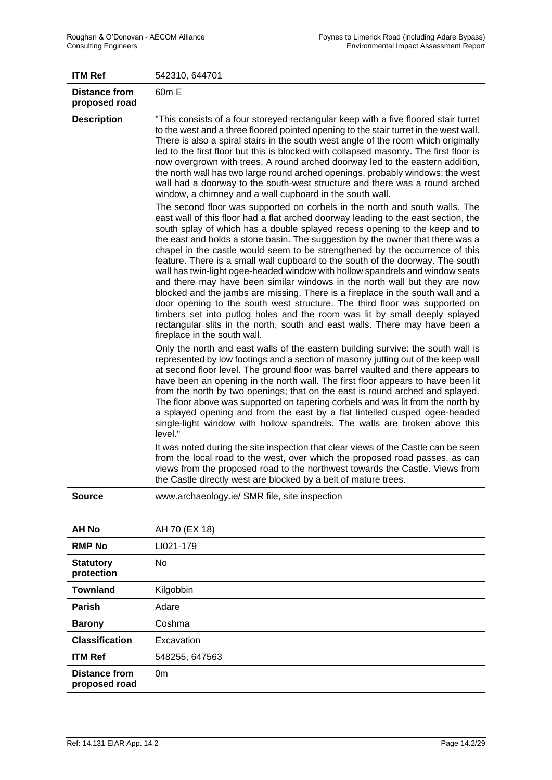| <b>ITM Ref</b>                        | 542310, 644701                                                                                                                                                                                                                                                                                                                                                                                                                                                                                                                                                                                                                                                                                                                                                                                                                                                                                                                                                                                                                    |
|---------------------------------------|-----------------------------------------------------------------------------------------------------------------------------------------------------------------------------------------------------------------------------------------------------------------------------------------------------------------------------------------------------------------------------------------------------------------------------------------------------------------------------------------------------------------------------------------------------------------------------------------------------------------------------------------------------------------------------------------------------------------------------------------------------------------------------------------------------------------------------------------------------------------------------------------------------------------------------------------------------------------------------------------------------------------------------------|
| <b>Distance from</b><br>proposed road | 60m E                                                                                                                                                                                                                                                                                                                                                                                                                                                                                                                                                                                                                                                                                                                                                                                                                                                                                                                                                                                                                             |
| <b>Description</b>                    | "This consists of a four storeyed rectangular keep with a five floored stair turret<br>to the west and a three floored pointed opening to the stair turret in the west wall.<br>There is also a spiral stairs in the south west angle of the room which originally<br>led to the first floor but this is blocked with collapsed masonry. The first floor is<br>now overgrown with trees. A round arched doorway led to the eastern addition,<br>the north wall has two large round arched openings, probably windows; the west<br>wall had a doorway to the south-west structure and there was a round arched<br>window, a chimney and a wall cupboard in the south wall.                                                                                                                                                                                                                                                                                                                                                         |
|                                       | The second floor was supported on corbels in the north and south walls. The<br>east wall of this floor had a flat arched doorway leading to the east section, the<br>south splay of which has a double splayed recess opening to the keep and to<br>the east and holds a stone basin. The suggestion by the owner that there was a<br>chapel in the castle would seem to be strengthened by the occurrence of this<br>feature. There is a small wall cupboard to the south of the doorway. The south<br>wall has twin-light ogee-headed window with hollow spandrels and window seats<br>and there may have been similar windows in the north wall but they are now<br>blocked and the jambs are missing. There is a fireplace in the south wall and a<br>door opening to the south west structure. The third floor was supported on<br>timbers set into putlog holes and the room was lit by small deeply splayed<br>rectangular slits in the north, south and east walls. There may have been a<br>fireplace in the south wall. |
|                                       | Only the north and east walls of the eastern building survive: the south wall is<br>represented by low footings and a section of masonry jutting out of the keep wall<br>at second floor level. The ground floor was barrel vaulted and there appears to<br>have been an opening in the north wall. The first floor appears to have been lit<br>from the north by two openings; that on the east is round arched and splayed.<br>The floor above was supported on tapering corbels and was lit from the north by<br>a splayed opening and from the east by a flat lintelled cusped ogee-headed<br>single-light window with hollow spandrels. The walls are broken above this<br>level."                                                                                                                                                                                                                                                                                                                                           |
|                                       | It was noted during the site inspection that clear views of the Castle can be seen<br>from the local road to the west, over which the proposed road passes, as can<br>views from the proposed road to the northwest towards the Castle. Views from<br>the Castle directly west are blocked by a belt of mature trees.                                                                                                                                                                                                                                                                                                                                                                                                                                                                                                                                                                                                                                                                                                             |
| Source                                | www.archaeology.ie/ SMR file, site inspection                                                                                                                                                                                                                                                                                                                                                                                                                                                                                                                                                                                                                                                                                                                                                                                                                                                                                                                                                                                     |

| <b>AH No</b>                          | AH 70 (EX 18)  |
|---------------------------------------|----------------|
| <b>RMP No</b>                         | LI021-179      |
| <b>Statutory</b><br>protection        | No             |
| <b>Townland</b>                       | Kilgobbin      |
| <b>Parish</b>                         | Adare          |
| <b>Barony</b>                         | Coshma         |
| <b>Classification</b>                 | Excavation     |
| <b>ITM Ref</b>                        | 548255, 647563 |
| <b>Distance from</b><br>proposed road | 0 <sub>m</sub> |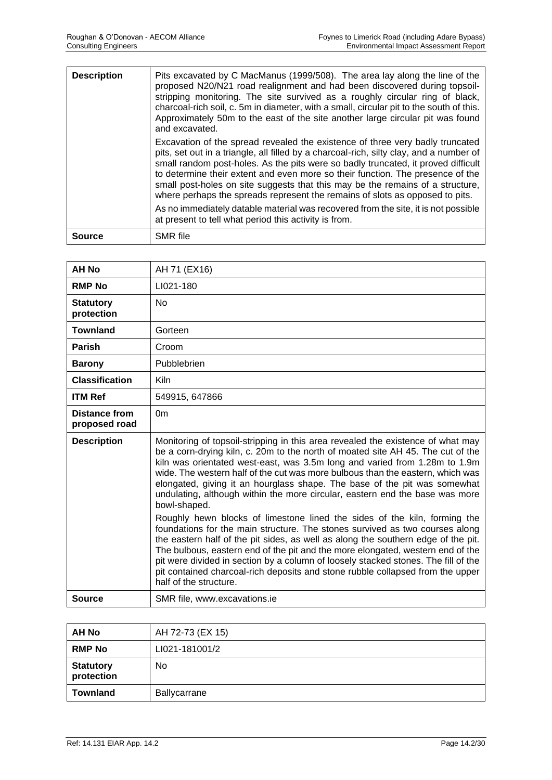| <b>Description</b> | Pits excavated by C MacManus (1999/508). The area lay along the line of the<br>proposed N20/N21 road realignment and had been discovered during topsoil-<br>stripping monitoring. The site survived as a roughly circular ring of black,<br>charcoal-rich soil, c. 5m in diameter, with a small, circular pit to the south of this.<br>Approximately 50m to the east of the site another large circular pit was found<br>and excavated.                                                                                                                                                                 |
|--------------------|---------------------------------------------------------------------------------------------------------------------------------------------------------------------------------------------------------------------------------------------------------------------------------------------------------------------------------------------------------------------------------------------------------------------------------------------------------------------------------------------------------------------------------------------------------------------------------------------------------|
|                    | Excavation of the spread revealed the existence of three very badly truncated<br>pits, set out in a triangle, all filled by a charcoal-rich, silty clay, and a number of<br>small random post-holes. As the pits were so badly truncated, it proved difficult<br>to determine their extent and even more so their function. The presence of the<br>small post-holes on site suggests that this may be the remains of a structure,<br>where perhaps the spreads represent the remains of slots as opposed to pits.<br>As no immediately datable material was recovered from the site, it is not possible |
|                    | at present to tell what period this activity is from.                                                                                                                                                                                                                                                                                                                                                                                                                                                                                                                                                   |
| Source             | <b>SMR</b> file                                                                                                                                                                                                                                                                                                                                                                                                                                                                                                                                                                                         |

| <b>AH No</b>                          | AH 71 (EX16)                                                                                                                                                                                                                                                                                                                                                                                                                                                                                                                       |
|---------------------------------------|------------------------------------------------------------------------------------------------------------------------------------------------------------------------------------------------------------------------------------------------------------------------------------------------------------------------------------------------------------------------------------------------------------------------------------------------------------------------------------------------------------------------------------|
| <b>RMP No</b>                         | LI021-180                                                                                                                                                                                                                                                                                                                                                                                                                                                                                                                          |
| <b>Statutory</b><br>protection        | No                                                                                                                                                                                                                                                                                                                                                                                                                                                                                                                                 |
| <b>Townland</b>                       | Gorteen                                                                                                                                                                                                                                                                                                                                                                                                                                                                                                                            |
| <b>Parish</b>                         | Croom                                                                                                                                                                                                                                                                                                                                                                                                                                                                                                                              |
| <b>Barony</b>                         | Pubblebrien                                                                                                                                                                                                                                                                                                                                                                                                                                                                                                                        |
| <b>Classification</b>                 | <b>Kiln</b>                                                                                                                                                                                                                                                                                                                                                                                                                                                                                                                        |
| <b>ITM Ref</b>                        | 549915, 647866                                                                                                                                                                                                                                                                                                                                                                                                                                                                                                                     |
| <b>Distance from</b><br>proposed road | 0 <sub>m</sub>                                                                                                                                                                                                                                                                                                                                                                                                                                                                                                                     |
| <b>Description</b>                    | Monitoring of topsoil-stripping in this area revealed the existence of what may<br>be a corn-drying kiln, c. 20m to the north of moated site AH 45. The cut of the<br>kiln was orientated west-east, was 3.5m long and varied from 1.28m to 1.9m<br>wide. The western half of the cut was more bulbous than the eastern, which was<br>elongated, giving it an hourglass shape. The base of the pit was somewhat<br>undulating, although within the more circular, eastern end the base was more<br>bowl-shaped.                    |
|                                       | Roughly hewn blocks of limestone lined the sides of the kiln, forming the<br>foundations for the main structure. The stones survived as two courses along<br>the eastern half of the pit sides, as well as along the southern edge of the pit.<br>The bulbous, eastern end of the pit and the more elongated, western end of the<br>pit were divided in section by a column of loosely stacked stones. The fill of the<br>pit contained charcoal-rich deposits and stone rubble collapsed from the upper<br>half of the structure. |
| <b>Source</b>                         | SMR file, www.excavations.ie                                                                                                                                                                                                                                                                                                                                                                                                                                                                                                       |

| <b>AH No</b>                   | AH 72-73 (EX 15) |
|--------------------------------|------------------|
| <b>RMP No</b>                  | LI021-181001/2   |
| <b>Statutory</b><br>protection | <b>No</b>        |
| <b>Townland</b>                | Ballycarrane     |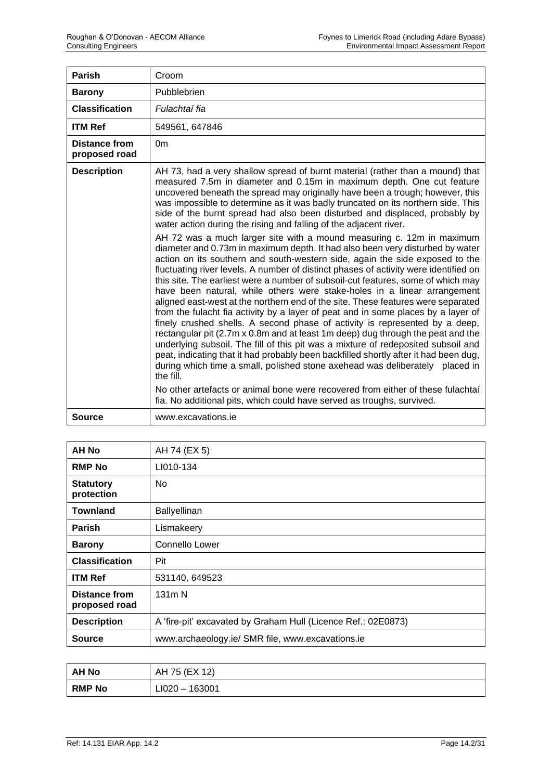| <b>Parish</b>                         | Croom                                                                                                                                                                                                                                                                                                                                                                                                                                                                                                                                                                                                                                                                                                                                                                                                                                                                                                                                                                                                                                                                                                                                                                                                                                                                                                                                                                                                                                                                                                                                                                                                                                                                                                                                                               |
|---------------------------------------|---------------------------------------------------------------------------------------------------------------------------------------------------------------------------------------------------------------------------------------------------------------------------------------------------------------------------------------------------------------------------------------------------------------------------------------------------------------------------------------------------------------------------------------------------------------------------------------------------------------------------------------------------------------------------------------------------------------------------------------------------------------------------------------------------------------------------------------------------------------------------------------------------------------------------------------------------------------------------------------------------------------------------------------------------------------------------------------------------------------------------------------------------------------------------------------------------------------------------------------------------------------------------------------------------------------------------------------------------------------------------------------------------------------------------------------------------------------------------------------------------------------------------------------------------------------------------------------------------------------------------------------------------------------------------------------------------------------------------------------------------------------------|
| <b>Barony</b>                         | Pubblebrien                                                                                                                                                                                                                                                                                                                                                                                                                                                                                                                                                                                                                                                                                                                                                                                                                                                                                                                                                                                                                                                                                                                                                                                                                                                                                                                                                                                                                                                                                                                                                                                                                                                                                                                                                         |
| <b>Classification</b>                 | Fulachtaí fia                                                                                                                                                                                                                                                                                                                                                                                                                                                                                                                                                                                                                                                                                                                                                                                                                                                                                                                                                                                                                                                                                                                                                                                                                                                                                                                                                                                                                                                                                                                                                                                                                                                                                                                                                       |
| <b>ITM Ref</b>                        | 549561, 647846                                                                                                                                                                                                                                                                                                                                                                                                                                                                                                                                                                                                                                                                                                                                                                                                                                                                                                                                                                                                                                                                                                                                                                                                                                                                                                                                                                                                                                                                                                                                                                                                                                                                                                                                                      |
| <b>Distance from</b><br>proposed road | 0 <sub>m</sub>                                                                                                                                                                                                                                                                                                                                                                                                                                                                                                                                                                                                                                                                                                                                                                                                                                                                                                                                                                                                                                                                                                                                                                                                                                                                                                                                                                                                                                                                                                                                                                                                                                                                                                                                                      |
| <b>Description</b>                    | AH 73, had a very shallow spread of burnt material (rather than a mound) that<br>measured 7.5m in diameter and 0.15m in maximum depth. One cut feature<br>uncovered beneath the spread may originally have been a trough; however, this<br>was impossible to determine as it was badly truncated on its northern side. This<br>side of the burnt spread had also been disturbed and displaced, probably by<br>water action during the rising and falling of the adjacent river.<br>AH 72 was a much larger site with a mound measuring c. 12m in maximum<br>diameter and 0.73m in maximum depth. It had also been very disturbed by water<br>action on its southern and south-western side, again the side exposed to the<br>fluctuating river levels. A number of distinct phases of activity were identified on<br>this site. The earliest were a number of subsoil-cut features, some of which may<br>have been natural, while others were stake-holes in a linear arrangement<br>aligned east-west at the northern end of the site. These features were separated<br>from the fulacht fia activity by a layer of peat and in some places by a layer of<br>finely crushed shells. A second phase of activity is represented by a deep,<br>rectangular pit (2.7m x 0.8m and at least 1m deep) dug through the peat and the<br>underlying subsoil. The fill of this pit was a mixture of redeposited subsoil and<br>peat, indicating that it had probably been backfilled shortly after it had been dug,<br>during which time a small, polished stone axehead was deliberately placed in<br>the fill.<br>No other artefacts or animal bone were recovered from either of these fulachtal<br>fia. No additional pits, which could have served as troughs, survived. |
| Source                                | www.excavations.ie                                                                                                                                                                                                                                                                                                                                                                                                                                                                                                                                                                                                                                                                                                                                                                                                                                                                                                                                                                                                                                                                                                                                                                                                                                                                                                                                                                                                                                                                                                                                                                                                                                                                                                                                                  |

| AH No                                 | AH 74 (EX 5)                                                  |
|---------------------------------------|---------------------------------------------------------------|
| <b>RMP No</b>                         | LI010-134                                                     |
| <b>Statutory</b><br>protection        | No                                                            |
| <b>Townland</b>                       | <b>Ballyellinan</b>                                           |
| <b>Parish</b>                         | Lismakeery                                                    |
| <b>Barony</b>                         | Connello Lower                                                |
| <b>Classification</b>                 | Pit                                                           |
| <b>ITM Ref</b>                        | 531140, 649523                                                |
| <b>Distance from</b><br>proposed road | 131 <sub>m</sub> N                                            |
| <b>Description</b>                    | A 'fire-pit' excavated by Graham Hull (Licence Ref.: 02E0873) |
| <b>Source</b>                         | www.archaeology.ie/ SMR file, www.excavations.ie              |

| AH No         | AH 75 (EX 12)    |
|---------------|------------------|
| <b>RMP No</b> | $LI020 - 163001$ |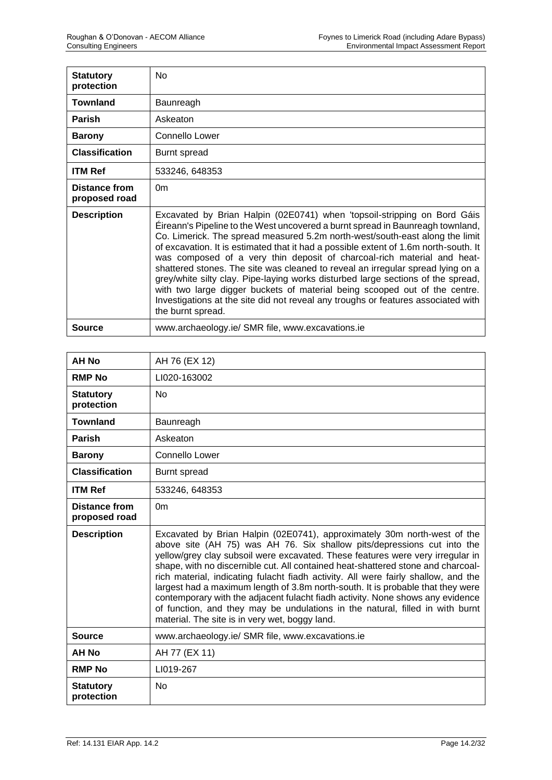| <b>Statutory</b><br>protection | <b>No</b>                                                                                                                                                                                                                                                                                                                                                                                                                                                                                                                                                                                                                                                                                                                                                                    |
|--------------------------------|------------------------------------------------------------------------------------------------------------------------------------------------------------------------------------------------------------------------------------------------------------------------------------------------------------------------------------------------------------------------------------------------------------------------------------------------------------------------------------------------------------------------------------------------------------------------------------------------------------------------------------------------------------------------------------------------------------------------------------------------------------------------------|
| <b>Townland</b>                | Baunreagh                                                                                                                                                                                                                                                                                                                                                                                                                                                                                                                                                                                                                                                                                                                                                                    |
| <b>Parish</b>                  | Askeaton                                                                                                                                                                                                                                                                                                                                                                                                                                                                                                                                                                                                                                                                                                                                                                     |
| <b>Barony</b>                  | Connello Lower                                                                                                                                                                                                                                                                                                                                                                                                                                                                                                                                                                                                                                                                                                                                                               |
| <b>Classification</b>          | Burnt spread                                                                                                                                                                                                                                                                                                                                                                                                                                                                                                                                                                                                                                                                                                                                                                 |
| <b>ITM Ref</b>                 | 533246, 648353                                                                                                                                                                                                                                                                                                                                                                                                                                                                                                                                                                                                                                                                                                                                                               |
| Distance from<br>proposed road | 0 <sub>m</sub>                                                                                                                                                                                                                                                                                                                                                                                                                                                                                                                                                                                                                                                                                                                                                               |
| <b>Description</b>             | Excavated by Brian Halpin (02E0741) when 'topsoil-stripping on Bord Gáis<br>Eireann's Pipeline to the West uncovered a burnt spread in Baunreagh townland,<br>Co. Limerick. The spread measured 5.2m north-west/south-east along the limit<br>of excavation. It is estimated that it had a possible extent of 1.6m north-south. It<br>was composed of a very thin deposit of charcoal-rich material and heat-<br>shattered stones. The site was cleaned to reveal an irregular spread lying on a<br>grey/white silty clay. Pipe-laying works disturbed large sections of the spread,<br>with two large digger buckets of material being scooped out of the centre.<br>Investigations at the site did not reveal any troughs or features associated with<br>the burnt spread. |
| Source                         | www.archaeology.ie/ SMR file, www.excavations.ie                                                                                                                                                                                                                                                                                                                                                                                                                                                                                                                                                                                                                                                                                                                             |

| <b>AH No</b>                          | AH 76 (EX 12)                                                                                                                                                                                                                                                                                                                                                                                                                                                                                                                                                                                                                                                                                                           |
|---------------------------------------|-------------------------------------------------------------------------------------------------------------------------------------------------------------------------------------------------------------------------------------------------------------------------------------------------------------------------------------------------------------------------------------------------------------------------------------------------------------------------------------------------------------------------------------------------------------------------------------------------------------------------------------------------------------------------------------------------------------------------|
| <b>RMP No</b>                         | LI020-163002                                                                                                                                                                                                                                                                                                                                                                                                                                                                                                                                                                                                                                                                                                            |
| <b>Statutory</b><br>protection        | <b>No</b>                                                                                                                                                                                                                                                                                                                                                                                                                                                                                                                                                                                                                                                                                                               |
| <b>Townland</b>                       | Baunreagh                                                                                                                                                                                                                                                                                                                                                                                                                                                                                                                                                                                                                                                                                                               |
| <b>Parish</b>                         | Askeaton                                                                                                                                                                                                                                                                                                                                                                                                                                                                                                                                                                                                                                                                                                                |
| <b>Barony</b>                         | Connello Lower                                                                                                                                                                                                                                                                                                                                                                                                                                                                                                                                                                                                                                                                                                          |
| <b>Classification</b>                 | Burnt spread                                                                                                                                                                                                                                                                                                                                                                                                                                                                                                                                                                                                                                                                                                            |
| <b>ITM Ref</b>                        | 533246, 648353                                                                                                                                                                                                                                                                                                                                                                                                                                                                                                                                                                                                                                                                                                          |
| <b>Distance from</b><br>proposed road | 0 <sub>m</sub>                                                                                                                                                                                                                                                                                                                                                                                                                                                                                                                                                                                                                                                                                                          |
| <b>Description</b>                    | Excavated by Brian Halpin (02E0741), approximately 30m north-west of the<br>above site (AH 75) was AH 76. Six shallow pits/depressions cut into the<br>yellow/grey clay subsoil were excavated. These features were very irregular in<br>shape, with no discernible cut. All contained heat-shattered stone and charcoal-<br>rich material, indicating fulacht fiadh activity. All were fairly shallow, and the<br>largest had a maximum length of 3.8m north-south. It is probable that they were<br>contemporary with the adjacent fulacht fiadh activity. None shows any evidence<br>of function, and they may be undulations in the natural, filled in with burnt<br>material. The site is in very wet, boggy land. |
| <b>Source</b>                         | www.archaeology.ie/ SMR file, www.excavations.ie                                                                                                                                                                                                                                                                                                                                                                                                                                                                                                                                                                                                                                                                        |
| <b>AH No</b>                          | AH 77 (EX 11)                                                                                                                                                                                                                                                                                                                                                                                                                                                                                                                                                                                                                                                                                                           |
| <b>RMP No</b>                         | LI019-267                                                                                                                                                                                                                                                                                                                                                                                                                                                                                                                                                                                                                                                                                                               |
| <b>Statutory</b><br>protection        | <b>No</b>                                                                                                                                                                                                                                                                                                                                                                                                                                                                                                                                                                                                                                                                                                               |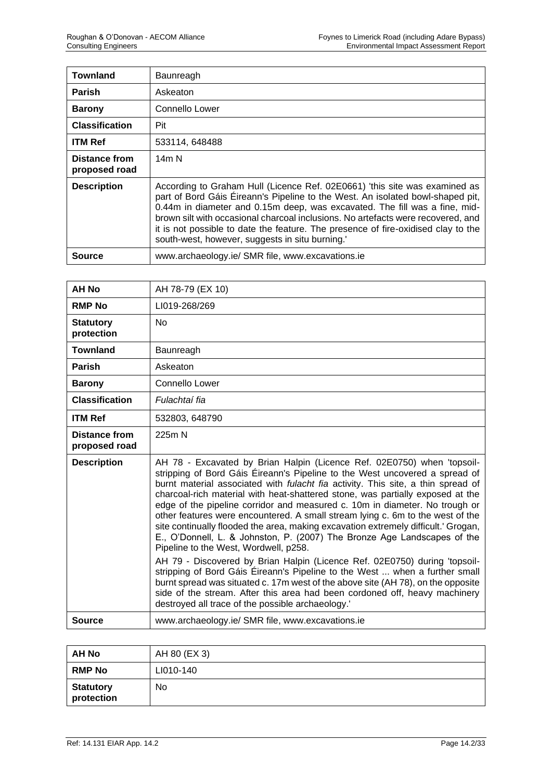| <b>Townland</b>                       | Baunreagh                                                                                                                                                                                                                                                                                                                                                                                                                                                              |
|---------------------------------------|------------------------------------------------------------------------------------------------------------------------------------------------------------------------------------------------------------------------------------------------------------------------------------------------------------------------------------------------------------------------------------------------------------------------------------------------------------------------|
| <b>Parish</b>                         | Askeaton                                                                                                                                                                                                                                                                                                                                                                                                                                                               |
| <b>Barony</b>                         | Connello Lower                                                                                                                                                                                                                                                                                                                                                                                                                                                         |
| <b>Classification</b>                 | Pit                                                                                                                                                                                                                                                                                                                                                                                                                                                                    |
| <b>ITM Ref</b>                        | 533114, 648488                                                                                                                                                                                                                                                                                                                                                                                                                                                         |
| <b>Distance from</b><br>proposed road | 14m N                                                                                                                                                                                                                                                                                                                                                                                                                                                                  |
| <b>Description</b>                    | According to Graham Hull (Licence Ref. 02E0661) 'this site was examined as<br>part of Bord Gáis Éireann's Pipeline to the West. An isolated bowl-shaped pit,<br>0.44m in diameter and 0.15m deep, was excavated. The fill was a fine, mid-<br>brown silt with occasional charcoal inclusions. No artefacts were recovered, and<br>it is not possible to date the feature. The presence of fire-oxidised clay to the<br>south-west, however, suggests in situ burning.' |
| Source                                | www.archaeology.ie/ SMR file, www.excavations.ie                                                                                                                                                                                                                                                                                                                                                                                                                       |

| <b>AH No</b>                          | AH 78-79 (EX 10)                                                                                                                                                                                                                                                                                                                                                                                                                                                                                                                                                                                                                                                                                                                                                                                                                                                      |
|---------------------------------------|-----------------------------------------------------------------------------------------------------------------------------------------------------------------------------------------------------------------------------------------------------------------------------------------------------------------------------------------------------------------------------------------------------------------------------------------------------------------------------------------------------------------------------------------------------------------------------------------------------------------------------------------------------------------------------------------------------------------------------------------------------------------------------------------------------------------------------------------------------------------------|
| <b>RMP No</b>                         | LI019-268/269                                                                                                                                                                                                                                                                                                                                                                                                                                                                                                                                                                                                                                                                                                                                                                                                                                                         |
| <b>Statutory</b><br>protection        | <b>No</b>                                                                                                                                                                                                                                                                                                                                                                                                                                                                                                                                                                                                                                                                                                                                                                                                                                                             |
| <b>Townland</b>                       | Baunreagh                                                                                                                                                                                                                                                                                                                                                                                                                                                                                                                                                                                                                                                                                                                                                                                                                                                             |
| Parish                                | Askeaton                                                                                                                                                                                                                                                                                                                                                                                                                                                                                                                                                                                                                                                                                                                                                                                                                                                              |
| <b>Barony</b>                         | Connello Lower                                                                                                                                                                                                                                                                                                                                                                                                                                                                                                                                                                                                                                                                                                                                                                                                                                                        |
| <b>Classification</b>                 | Fulachtaí fia                                                                                                                                                                                                                                                                                                                                                                                                                                                                                                                                                                                                                                                                                                                                                                                                                                                         |
| <b>ITM Ref</b>                        | 532803, 648790                                                                                                                                                                                                                                                                                                                                                                                                                                                                                                                                                                                                                                                                                                                                                                                                                                                        |
| <b>Distance from</b><br>proposed road | 225m N                                                                                                                                                                                                                                                                                                                                                                                                                                                                                                                                                                                                                                                                                                                                                                                                                                                                |
| <b>Description</b>                    | AH 78 - Excavated by Brian Halpin (Licence Ref. 02E0750) when 'topsoil-<br>stripping of Bord Gáis Éireann's Pipeline to the West uncovered a spread of<br>burnt material associated with fulacht fia activity. This site, a thin spread of<br>charcoal-rich material with heat-shattered stone, was partially exposed at the<br>edge of the pipeline corridor and measured c. 10m in diameter. No trough or<br>other features were encountered. A small stream lying c. 6m to the west of the<br>site continually flooded the area, making excavation extremely difficult.' Grogan,<br>E., O'Donnell, L. & Johnston, P. (2007) The Bronze Age Landscapes of the<br>Pipeline to the West, Wordwell, p258.<br>AH 79 - Discovered by Brian Halpin (Licence Ref. 02E0750) during 'topsoil-<br>stripping of Bord Gáis Éireann's Pipeline to the West  when a further small |
|                                       | burnt spread was situated c. 17m west of the above site (AH 78), on the opposite<br>side of the stream. After this area had been cordoned off, heavy machinery<br>destroyed all trace of the possible archaeology.'                                                                                                                                                                                                                                                                                                                                                                                                                                                                                                                                                                                                                                                   |
| Source                                | www.archaeology.ie/ SMR file, www.excavations.ie                                                                                                                                                                                                                                                                                                                                                                                                                                                                                                                                                                                                                                                                                                                                                                                                                      |

| <b>AH No</b>                   | AH 80 (EX 3) |
|--------------------------------|--------------|
| <b>RMP No</b>                  | LI010-140    |
| <b>Statutory</b><br>protection | No           |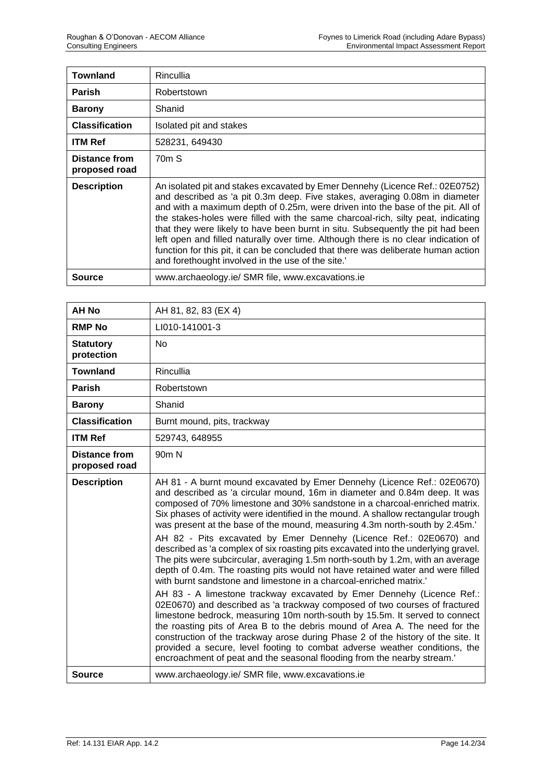| <b>Townland</b>                | <b>Rincullia</b>                                                                                                                                                                                                                                                                                                                                                                                                                                                                                                                                                                                                                                      |
|--------------------------------|-------------------------------------------------------------------------------------------------------------------------------------------------------------------------------------------------------------------------------------------------------------------------------------------------------------------------------------------------------------------------------------------------------------------------------------------------------------------------------------------------------------------------------------------------------------------------------------------------------------------------------------------------------|
| <b>Parish</b>                  | Robertstown                                                                                                                                                                                                                                                                                                                                                                                                                                                                                                                                                                                                                                           |
| <b>Barony</b>                  | Shanid                                                                                                                                                                                                                                                                                                                                                                                                                                                                                                                                                                                                                                                |
| <b>Classification</b>          | Isolated pit and stakes                                                                                                                                                                                                                                                                                                                                                                                                                                                                                                                                                                                                                               |
| <b>ITM Ref</b>                 | 528231, 649430                                                                                                                                                                                                                                                                                                                                                                                                                                                                                                                                                                                                                                        |
| Distance from<br>proposed road | 70 <sub>m</sub> S                                                                                                                                                                                                                                                                                                                                                                                                                                                                                                                                                                                                                                     |
| <b>Description</b>             | An isolated pit and stakes excavated by Emer Dennehy (Licence Ref.: 02E0752)<br>and described as 'a pit 0.3m deep. Five stakes, averaging 0.08m in diameter<br>and with a maximum depth of 0.25m, were driven into the base of the pit. All of<br>the stakes-holes were filled with the same charcoal-rich, silty peat, indicating<br>that they were likely to have been burnt in situ. Subsequently the pit had been<br>left open and filled naturally over time. Although there is no clear indication of<br>function for this pit, it can be concluded that there was deliberate human action<br>and forethought involved in the use of the site.' |
| Source                         | www.archaeology.ie/ SMR file, www.excavations.ie                                                                                                                                                                                                                                                                                                                                                                                                                                                                                                                                                                                                      |

| <b>AH No</b>                          | AH 81, 82, 83 (EX 4)                                                                                                                                                                                                                                                                                                                                                                                                                                                                                                                                                                                                                                                                                                                                                                                                                                                                                                                                                                                                                                                                                                                                                                                                                                                                                                                                                            |
|---------------------------------------|---------------------------------------------------------------------------------------------------------------------------------------------------------------------------------------------------------------------------------------------------------------------------------------------------------------------------------------------------------------------------------------------------------------------------------------------------------------------------------------------------------------------------------------------------------------------------------------------------------------------------------------------------------------------------------------------------------------------------------------------------------------------------------------------------------------------------------------------------------------------------------------------------------------------------------------------------------------------------------------------------------------------------------------------------------------------------------------------------------------------------------------------------------------------------------------------------------------------------------------------------------------------------------------------------------------------------------------------------------------------------------|
| <b>RMP No</b>                         | LI010-141001-3                                                                                                                                                                                                                                                                                                                                                                                                                                                                                                                                                                                                                                                                                                                                                                                                                                                                                                                                                                                                                                                                                                                                                                                                                                                                                                                                                                  |
| <b>Statutory</b><br>protection        | <b>No</b>                                                                                                                                                                                                                                                                                                                                                                                                                                                                                                                                                                                                                                                                                                                                                                                                                                                                                                                                                                                                                                                                                                                                                                                                                                                                                                                                                                       |
| <b>Townland</b>                       | Rincullia                                                                                                                                                                                                                                                                                                                                                                                                                                                                                                                                                                                                                                                                                                                                                                                                                                                                                                                                                                                                                                                                                                                                                                                                                                                                                                                                                                       |
| <b>Parish</b>                         | Robertstown                                                                                                                                                                                                                                                                                                                                                                                                                                                                                                                                                                                                                                                                                                                                                                                                                                                                                                                                                                                                                                                                                                                                                                                                                                                                                                                                                                     |
| <b>Barony</b>                         | Shanid                                                                                                                                                                                                                                                                                                                                                                                                                                                                                                                                                                                                                                                                                                                                                                                                                                                                                                                                                                                                                                                                                                                                                                                                                                                                                                                                                                          |
| <b>Classification</b>                 | Burnt mound, pits, trackway                                                                                                                                                                                                                                                                                                                                                                                                                                                                                                                                                                                                                                                                                                                                                                                                                                                                                                                                                                                                                                                                                                                                                                                                                                                                                                                                                     |
| <b>ITM Ref</b>                        | 529743, 648955                                                                                                                                                                                                                                                                                                                                                                                                                                                                                                                                                                                                                                                                                                                                                                                                                                                                                                                                                                                                                                                                                                                                                                                                                                                                                                                                                                  |
| <b>Distance from</b><br>proposed road | 90 <sub>m</sub> N                                                                                                                                                                                                                                                                                                                                                                                                                                                                                                                                                                                                                                                                                                                                                                                                                                                                                                                                                                                                                                                                                                                                                                                                                                                                                                                                                               |
| <b>Description</b>                    | AH 81 - A burnt mound excavated by Emer Dennehy (Licence Ref.: 02E0670)<br>and described as 'a circular mound, 16m in diameter and 0.84m deep. It was<br>composed of 70% limestone and 30% sandstone in a charcoal-enriched matrix.<br>Six phases of activity were identified in the mound. A shallow rectangular trough<br>was present at the base of the mound, measuring 4.3m north-south by 2.45m.'<br>AH 82 - Pits excavated by Emer Dennehy (Licence Ref.: 02E0670) and<br>described as 'a complex of six roasting pits excavated into the underlying gravel.<br>The pits were subcircular, averaging 1.5m north-south by 1.2m, with an average<br>depth of 0.4m. The roasting pits would not have retained water and were filled<br>with burnt sandstone and limestone in a charcoal-enriched matrix.'<br>AH 83 - A limestone trackway excavated by Emer Dennehy (Licence Ref.:<br>02E0670) and described as 'a trackway composed of two courses of fractured<br>limestone bedrock, measuring 10m north-south by 15.5m. It served to connect<br>the roasting pits of Area B to the debris mound of Area A. The need for the<br>construction of the trackway arose during Phase 2 of the history of the site. It<br>provided a secure, level footing to combat adverse weather conditions, the<br>encroachment of peat and the seasonal flooding from the nearby stream.' |
| <b>Source</b>                         | www.archaeology.ie/ SMR file, www.excavations.ie                                                                                                                                                                                                                                                                                                                                                                                                                                                                                                                                                                                                                                                                                                                                                                                                                                                                                                                                                                                                                                                                                                                                                                                                                                                                                                                                |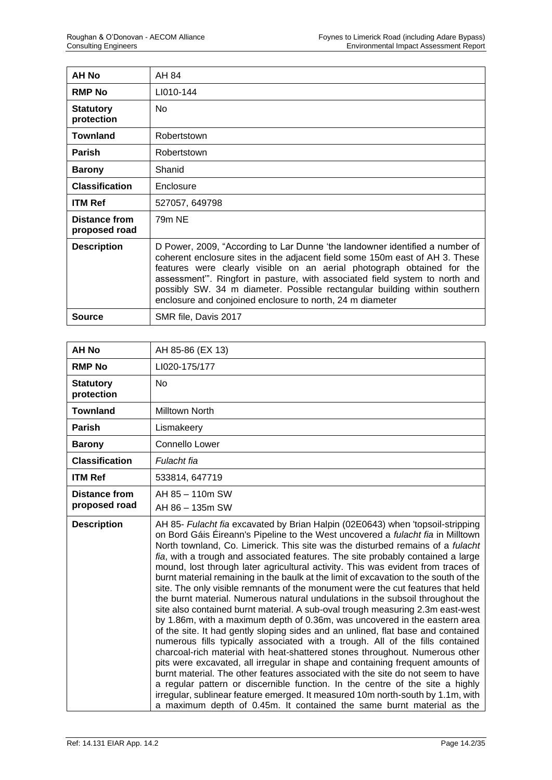| AH No                          | AH 84                                                                                                                                                                                                                                                                                                                                                                                                                                                           |
|--------------------------------|-----------------------------------------------------------------------------------------------------------------------------------------------------------------------------------------------------------------------------------------------------------------------------------------------------------------------------------------------------------------------------------------------------------------------------------------------------------------|
| <b>RMP No</b>                  | LI010-144                                                                                                                                                                                                                                                                                                                                                                                                                                                       |
| <b>Statutory</b><br>protection | <b>No</b>                                                                                                                                                                                                                                                                                                                                                                                                                                                       |
| <b>Townland</b>                | Robertstown                                                                                                                                                                                                                                                                                                                                                                                                                                                     |
| <b>Parish</b>                  | Robertstown                                                                                                                                                                                                                                                                                                                                                                                                                                                     |
| <b>Barony</b>                  | Shanid                                                                                                                                                                                                                                                                                                                                                                                                                                                          |
| <b>Classification</b>          | Enclosure                                                                                                                                                                                                                                                                                                                                                                                                                                                       |
| <b>ITM Ref</b>                 | 527057, 649798                                                                                                                                                                                                                                                                                                                                                                                                                                                  |
| Distance from<br>proposed road | 79m NE                                                                                                                                                                                                                                                                                                                                                                                                                                                          |
| <b>Description</b>             | D Power, 2009, "According to Lar Dunne 'the landowner identified a number of<br>coherent enclosure sites in the adjacent field some 150m east of AH 3. These<br>features were clearly visible on an aerial photograph obtained for the<br>assessment". Ringfort in pasture, with associated field system to north and<br>possibly SW. 34 m diameter. Possible rectangular building within southern<br>enclosure and conjoined enclosure to north, 24 m diameter |
| <b>Source</b>                  | SMR file, Davis 2017                                                                                                                                                                                                                                                                                                                                                                                                                                            |

| <b>AH No</b>                          | AH 85-86 (EX 13)                                                                                                                                                                                                                                                                                                                                                                                                                                                                                                                                                                                                                                                                                                                                                                                                                                                                                                                                                                                                                                                                                                                                                                                                                                                                                                                                                                                                                                                                                                                      |
|---------------------------------------|---------------------------------------------------------------------------------------------------------------------------------------------------------------------------------------------------------------------------------------------------------------------------------------------------------------------------------------------------------------------------------------------------------------------------------------------------------------------------------------------------------------------------------------------------------------------------------------------------------------------------------------------------------------------------------------------------------------------------------------------------------------------------------------------------------------------------------------------------------------------------------------------------------------------------------------------------------------------------------------------------------------------------------------------------------------------------------------------------------------------------------------------------------------------------------------------------------------------------------------------------------------------------------------------------------------------------------------------------------------------------------------------------------------------------------------------------------------------------------------------------------------------------------------|
| <b>RMP No</b>                         | LI020-175/177                                                                                                                                                                                                                                                                                                                                                                                                                                                                                                                                                                                                                                                                                                                                                                                                                                                                                                                                                                                                                                                                                                                                                                                                                                                                                                                                                                                                                                                                                                                         |
| <b>Statutory</b><br>protection        | No                                                                                                                                                                                                                                                                                                                                                                                                                                                                                                                                                                                                                                                                                                                                                                                                                                                                                                                                                                                                                                                                                                                                                                                                                                                                                                                                                                                                                                                                                                                                    |
| <b>Townland</b>                       | Milltown North                                                                                                                                                                                                                                                                                                                                                                                                                                                                                                                                                                                                                                                                                                                                                                                                                                                                                                                                                                                                                                                                                                                                                                                                                                                                                                                                                                                                                                                                                                                        |
| <b>Parish</b>                         | Lismakeery                                                                                                                                                                                                                                                                                                                                                                                                                                                                                                                                                                                                                                                                                                                                                                                                                                                                                                                                                                                                                                                                                                                                                                                                                                                                                                                                                                                                                                                                                                                            |
| <b>Barony</b>                         | Connello Lower                                                                                                                                                                                                                                                                                                                                                                                                                                                                                                                                                                                                                                                                                                                                                                                                                                                                                                                                                                                                                                                                                                                                                                                                                                                                                                                                                                                                                                                                                                                        |
| <b>Classification</b>                 | Fulacht fia                                                                                                                                                                                                                                                                                                                                                                                                                                                                                                                                                                                                                                                                                                                                                                                                                                                                                                                                                                                                                                                                                                                                                                                                                                                                                                                                                                                                                                                                                                                           |
| <b>ITM Ref</b>                        | 533814, 647719                                                                                                                                                                                                                                                                                                                                                                                                                                                                                                                                                                                                                                                                                                                                                                                                                                                                                                                                                                                                                                                                                                                                                                                                                                                                                                                                                                                                                                                                                                                        |
| <b>Distance from</b><br>proposed road | AH 85 - 110m SW<br>AH 86 - 135m SW                                                                                                                                                                                                                                                                                                                                                                                                                                                                                                                                                                                                                                                                                                                                                                                                                                                                                                                                                                                                                                                                                                                                                                                                                                                                                                                                                                                                                                                                                                    |
| <b>Description</b>                    | AH 85- Fulacht fia excavated by Brian Halpin (02E0643) when 'topsoil-stripping<br>on Bord Gáis Éireann's Pipeline to the West uncovered a <i>fulacht fia</i> in Milltown<br>North townland, Co. Limerick. This site was the disturbed remains of a fulacht<br>fia, with a trough and associated features. The site probably contained a large<br>mound, lost through later agricultural activity. This was evident from traces of<br>burnt material remaining in the baulk at the limit of excavation to the south of the<br>site. The only visible remnants of the monument were the cut features that held<br>the burnt material. Numerous natural undulations in the subsoil throughout the<br>site also contained burnt material. A sub-oval trough measuring 2.3m east-west<br>by 1.86m, with a maximum depth of 0.36m, was uncovered in the eastern area<br>of the site. It had gently sloping sides and an unlined, flat base and contained<br>numerous fills typically associated with a trough. All of the fills contained<br>charcoal-rich material with heat-shattered stones throughout. Numerous other<br>pits were excavated, all irregular in shape and containing frequent amounts of<br>burnt material. The other features associated with the site do not seem to have<br>a regular pattern or discernible function. In the centre of the site a highly<br>irregular, sublinear feature emerged. It measured 10m north-south by 1.1m, with<br>a maximum depth of 0.45m. It contained the same burnt material as the |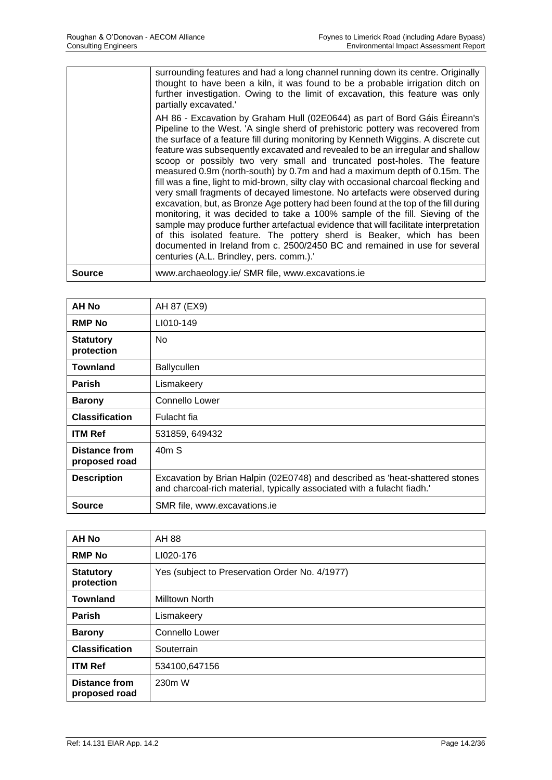| Pipeline to the West. 'A single sherd of prehistoric pottery was recovered from<br>the surface of a feature fill during monitoring by Kenneth Wiggins. A discrete cut<br>feature was subsequently excavated and revealed to be an irregular and shallow<br>scoop or possibly two very small and truncated post-holes. The feature<br>measured 0.9m (north-south) by 0.7m and had a maximum depth of 0.15m. The<br>fill was a fine, light to mid-brown, silty clay with occasional charcoal flecking and<br>very small fragments of decayed limestone. No artefacts were observed during<br>excavation, but, as Bronze Age pottery had been found at the top of the fill during<br>monitoring, it was decided to take a 100% sample of the fill. Sieving of the<br>sample may produce further artefactual evidence that will facilitate interpretation<br>of this isolated feature. The pottery sherd is Beaker, which has been<br>documented in Ireland from c. 2500/2450 BC and remained in use for several<br>centuries (A.L. Brindley, pers. comm.).' |
|----------------------------------------------------------------------------------------------------------------------------------------------------------------------------------------------------------------------------------------------------------------------------------------------------------------------------------------------------------------------------------------------------------------------------------------------------------------------------------------------------------------------------------------------------------------------------------------------------------------------------------------------------------------------------------------------------------------------------------------------------------------------------------------------------------------------------------------------------------------------------------------------------------------------------------------------------------------------------------------------------------------------------------------------------------|
| <b>Source</b><br>www.archaeology.ie/ SMR file, www.excavations.ie                                                                                                                                                                                                                                                                                                                                                                                                                                                                                                                                                                                                                                                                                                                                                                                                                                                                                                                                                                                        |

| <b>AH No</b>                          | AH 87 (EX9)                                                                                                                                             |
|---------------------------------------|---------------------------------------------------------------------------------------------------------------------------------------------------------|
| <b>RMP No</b>                         | LI010-149                                                                                                                                               |
| <b>Statutory</b><br>protection        | <b>No</b>                                                                                                                                               |
| <b>Townland</b>                       | <b>Ballycullen</b>                                                                                                                                      |
| <b>Parish</b>                         | Lismakeery                                                                                                                                              |
| <b>Barony</b>                         | Connello Lower                                                                                                                                          |
| <b>Classification</b>                 | Fulacht fia                                                                                                                                             |
| <b>ITM Ref</b>                        | 531859, 649432                                                                                                                                          |
| <b>Distance from</b><br>proposed road | 40 <sub>m</sub> S                                                                                                                                       |
| <b>Description</b>                    | Excavation by Brian Halpin (02E0748) and described as 'heat-shattered stones<br>and charcoal-rich material, typically associated with a fulacht fiadh.' |
| Source                                | SMR file, www.excavations.ie                                                                                                                            |

| <b>AH No</b>                          | AH 88                                          |
|---------------------------------------|------------------------------------------------|
| <b>RMP No</b>                         | LI020-176                                      |
| <b>Statutory</b><br>protection        | Yes (subject to Preservation Order No. 4/1977) |
| <b>Townland</b>                       | <b>Milltown North</b>                          |
| <b>Parish</b>                         | Lismakeery                                     |
| <b>Barony</b>                         | <b>Connello Lower</b>                          |
| <b>Classification</b>                 | Souterrain                                     |
| <b>ITM Ref</b>                        | 534100,647156                                  |
| <b>Distance from</b><br>proposed road | 230m W                                         |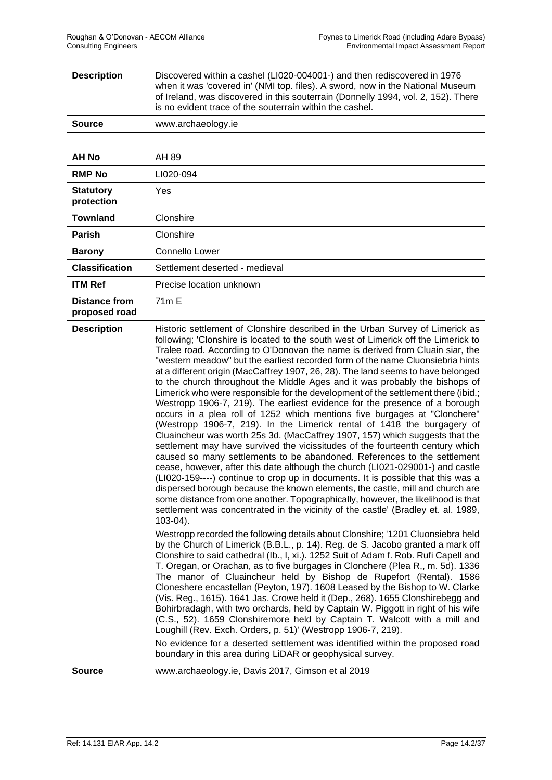| <b>Description</b> | Discovered within a cashel (LI020-004001-) and then rediscovered in 1976<br>when it was 'covered in' (NMI top. files). A sword, now in the National Museum<br>of Ireland, was discovered in this souterrain (Donnelly 1994, vol. 2, 152). There<br>is no evident trace of the souterrain within the cashel. |
|--------------------|-------------------------------------------------------------------------------------------------------------------------------------------------------------------------------------------------------------------------------------------------------------------------------------------------------------|
| <b>Source</b>      | www.archaeology.ie                                                                                                                                                                                                                                                                                          |

| AH 89                                                                                                                                                                                                                                                                                                                                                                                                                                                                                                                                                                                                                                                                                                                                                                                                                                                                                                                                                                                                                                                                                                                                                                                                                                                                                                                                                                                                                                                                                                                                                                                                                                                                                                                                                                                                                                                                                                                                                                                                                                                                                                                                                                                                                                                                                                                                                                                                                                                                                                   |
|---------------------------------------------------------------------------------------------------------------------------------------------------------------------------------------------------------------------------------------------------------------------------------------------------------------------------------------------------------------------------------------------------------------------------------------------------------------------------------------------------------------------------------------------------------------------------------------------------------------------------------------------------------------------------------------------------------------------------------------------------------------------------------------------------------------------------------------------------------------------------------------------------------------------------------------------------------------------------------------------------------------------------------------------------------------------------------------------------------------------------------------------------------------------------------------------------------------------------------------------------------------------------------------------------------------------------------------------------------------------------------------------------------------------------------------------------------------------------------------------------------------------------------------------------------------------------------------------------------------------------------------------------------------------------------------------------------------------------------------------------------------------------------------------------------------------------------------------------------------------------------------------------------------------------------------------------------------------------------------------------------------------------------------------------------------------------------------------------------------------------------------------------------------------------------------------------------------------------------------------------------------------------------------------------------------------------------------------------------------------------------------------------------------------------------------------------------------------------------------------------------|
| LI020-094                                                                                                                                                                                                                                                                                                                                                                                                                                                                                                                                                                                                                                                                                                                                                                                                                                                                                                                                                                                                                                                                                                                                                                                                                                                                                                                                                                                                                                                                                                                                                                                                                                                                                                                                                                                                                                                                                                                                                                                                                                                                                                                                                                                                                                                                                                                                                                                                                                                                                               |
| Yes                                                                                                                                                                                                                                                                                                                                                                                                                                                                                                                                                                                                                                                                                                                                                                                                                                                                                                                                                                                                                                                                                                                                                                                                                                                                                                                                                                                                                                                                                                                                                                                                                                                                                                                                                                                                                                                                                                                                                                                                                                                                                                                                                                                                                                                                                                                                                                                                                                                                                                     |
| Clonshire                                                                                                                                                                                                                                                                                                                                                                                                                                                                                                                                                                                                                                                                                                                                                                                                                                                                                                                                                                                                                                                                                                                                                                                                                                                                                                                                                                                                                                                                                                                                                                                                                                                                                                                                                                                                                                                                                                                                                                                                                                                                                                                                                                                                                                                                                                                                                                                                                                                                                               |
| Clonshire                                                                                                                                                                                                                                                                                                                                                                                                                                                                                                                                                                                                                                                                                                                                                                                                                                                                                                                                                                                                                                                                                                                                                                                                                                                                                                                                                                                                                                                                                                                                                                                                                                                                                                                                                                                                                                                                                                                                                                                                                                                                                                                                                                                                                                                                                                                                                                                                                                                                                               |
| Connello Lower                                                                                                                                                                                                                                                                                                                                                                                                                                                                                                                                                                                                                                                                                                                                                                                                                                                                                                                                                                                                                                                                                                                                                                                                                                                                                                                                                                                                                                                                                                                                                                                                                                                                                                                                                                                                                                                                                                                                                                                                                                                                                                                                                                                                                                                                                                                                                                                                                                                                                          |
| Settlement deserted - medieval                                                                                                                                                                                                                                                                                                                                                                                                                                                                                                                                                                                                                                                                                                                                                                                                                                                                                                                                                                                                                                                                                                                                                                                                                                                                                                                                                                                                                                                                                                                                                                                                                                                                                                                                                                                                                                                                                                                                                                                                                                                                                                                                                                                                                                                                                                                                                                                                                                                                          |
| Precise location unknown                                                                                                                                                                                                                                                                                                                                                                                                                                                                                                                                                                                                                                                                                                                                                                                                                                                                                                                                                                                                                                                                                                                                                                                                                                                                                                                                                                                                                                                                                                                                                                                                                                                                                                                                                                                                                                                                                                                                                                                                                                                                                                                                                                                                                                                                                                                                                                                                                                                                                |
| 71 <sub>m</sub> E                                                                                                                                                                                                                                                                                                                                                                                                                                                                                                                                                                                                                                                                                                                                                                                                                                                                                                                                                                                                                                                                                                                                                                                                                                                                                                                                                                                                                                                                                                                                                                                                                                                                                                                                                                                                                                                                                                                                                                                                                                                                                                                                                                                                                                                                                                                                                                                                                                                                                       |
| Historic settlement of Clonshire described in the Urban Survey of Limerick as<br>following; 'Clonshire is located to the south west of Limerick off the Limerick to<br>Tralee road. According to O'Donovan the name is derived from Cluain siar, the<br>"western meadow" but the earliest recorded form of the name Cluonsiebria hints<br>at a different origin (MacCaffrey 1907, 26, 28). The land seems to have belonged<br>to the church throughout the Middle Ages and it was probably the bishops of<br>Limerick who were responsible for the development of the settlement there (ibid.;<br>Westropp 1906-7, 219). The earliest evidence for the presence of a borough<br>occurs in a plea roll of 1252 which mentions five burgages at "Clonchere"<br>(Westropp 1906-7, 219). In the Limerick rental of 1418 the burgagery of<br>Cluaincheur was worth 25s 3d. (MacCaffrey 1907, 157) which suggests that the<br>settlement may have survived the vicissitudes of the fourteenth century which<br>caused so many settlements to be abandoned. References to the settlement<br>cease, however, after this date although the church (LI021-029001-) and castle<br>(LI020-159----) continue to crop up in documents. It is possible that this was a<br>dispersed borough because the known elements, the castle, mill and church are<br>some distance from one another. Topographically, however, the likelihood is that<br>settlement was concentrated in the vicinity of the castle' (Bradley et. al. 1989,<br>$103-04$ ).<br>Westropp recorded the following details about Clonshire; '1201 Cluonsiebra held<br>by the Church of Limerick (B.B.L., p. 14). Reg. de S. Jacobo granted a mark off<br>Clonshire to said cathedral (Ib., I, xi.). 1252 Suit of Adam f. Rob. Rufi Capell and<br>T. Oregan, or Orachan, as to five burgages in Clonchere (Plea R,, m. 5d). 1336<br>The manor of Cluaincheur held by Bishop de Rupefort (Rental). 1586<br>Cloneshere encastellan (Peyton, 197). 1608 Leased by the Bishop to W. Clarke<br>(Vis. Reg., 1615). 1641 Jas. Crowe held it (Dep., 268). 1655 Clonshirebegg and<br>Bohirbradagh, with two orchards, held by Captain W. Piggott in right of his wife<br>(C.S., 52). 1659 Clonshiremore held by Captain T. Walcott with a mill and<br>Loughill (Rev. Exch. Orders, p. 51)' (Westropp 1906-7, 219).<br>No evidence for a deserted settlement was identified within the proposed road<br>boundary in this area during LiDAR or geophysical survey. |
| www.archaeology.ie, Davis 2017, Gimson et al 2019                                                                                                                                                                                                                                                                                                                                                                                                                                                                                                                                                                                                                                                                                                                                                                                                                                                                                                                                                                                                                                                                                                                                                                                                                                                                                                                                                                                                                                                                                                                                                                                                                                                                                                                                                                                                                                                                                                                                                                                                                                                                                                                                                                                                                                                                                                                                                                                                                                                       |
|                                                                                                                                                                                                                                                                                                                                                                                                                                                                                                                                                                                                                                                                                                                                                                                                                                                                                                                                                                                                                                                                                                                                                                                                                                                                                                                                                                                                                                                                                                                                                                                                                                                                                                                                                                                                                                                                                                                                                                                                                                                                                                                                                                                                                                                                                                                                                                                                                                                                                                         |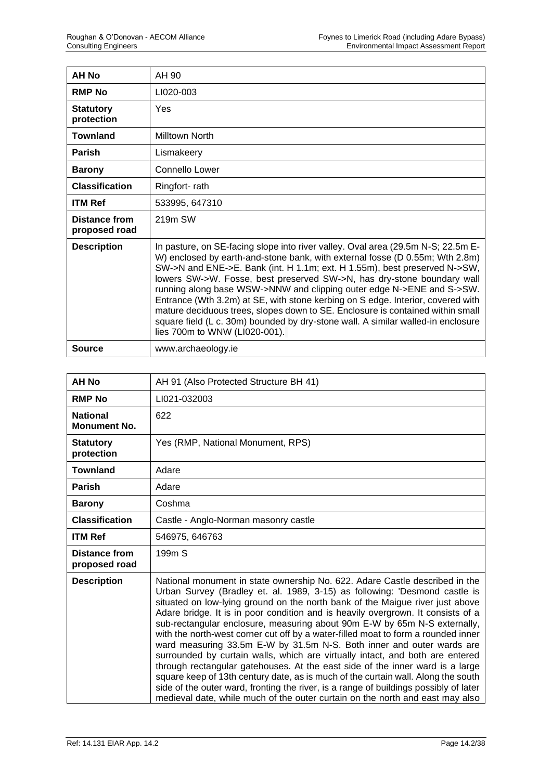| AH No                                 | AH 90                                                                                                                                                                                                                                                                                                                                                                                                                                                                                                                                                                                                                                                                                      |
|---------------------------------------|--------------------------------------------------------------------------------------------------------------------------------------------------------------------------------------------------------------------------------------------------------------------------------------------------------------------------------------------------------------------------------------------------------------------------------------------------------------------------------------------------------------------------------------------------------------------------------------------------------------------------------------------------------------------------------------------|
| <b>RMP No</b>                         | LI020-003                                                                                                                                                                                                                                                                                                                                                                                                                                                                                                                                                                                                                                                                                  |
| <b>Statutory</b><br>protection        | Yes                                                                                                                                                                                                                                                                                                                                                                                                                                                                                                                                                                                                                                                                                        |
| <b>Townland</b>                       | Milltown North                                                                                                                                                                                                                                                                                                                                                                                                                                                                                                                                                                                                                                                                             |
| <b>Parish</b>                         | Lismakeery                                                                                                                                                                                                                                                                                                                                                                                                                                                                                                                                                                                                                                                                                 |
| <b>Barony</b>                         | Connello Lower                                                                                                                                                                                                                                                                                                                                                                                                                                                                                                                                                                                                                                                                             |
| <b>Classification</b>                 | Ringfort-rath                                                                                                                                                                                                                                                                                                                                                                                                                                                                                                                                                                                                                                                                              |
| <b>ITM Ref</b>                        | 533995, 647310                                                                                                                                                                                                                                                                                                                                                                                                                                                                                                                                                                                                                                                                             |
| <b>Distance from</b><br>proposed road | 219m SW                                                                                                                                                                                                                                                                                                                                                                                                                                                                                                                                                                                                                                                                                    |
| <b>Description</b>                    | In pasture, on SE-facing slope into river valley. Oval area (29.5m N-S; 22.5m E-<br>W) enclosed by earth-and-stone bank, with external fosse (D 0.55m; Wth 2.8m)<br>SW->N and ENE->E. Bank (int. H 1.1m; ext. H 1.55m), best preserved N->SW,<br>lowers SW->W. Fosse, best preserved SW->N, has dry-stone boundary wall<br>running along base WSW->NNW and clipping outer edge N->ENE and S->SW.<br>Entrance (Wth 3.2m) at SE, with stone kerbing on S edge. Interior, covered with<br>mature deciduous trees, slopes down to SE. Enclosure is contained within small<br>square field (L c. 30m) bounded by dry-stone wall. A similar walled-in enclosure<br>lies 700m to WNW (LI020-001). |
| <b>Source</b>                         | www.archaeology.ie                                                                                                                                                                                                                                                                                                                                                                                                                                                                                                                                                                                                                                                                         |

| <b>AH No</b>                           | AH 91 (Also Protected Structure BH 41)                                                                                                                                                                                                                                                                                                                                                                                                                                                                                                                                                                                                                                                                                                                                                                                                                                                                                                                                                                     |
|----------------------------------------|------------------------------------------------------------------------------------------------------------------------------------------------------------------------------------------------------------------------------------------------------------------------------------------------------------------------------------------------------------------------------------------------------------------------------------------------------------------------------------------------------------------------------------------------------------------------------------------------------------------------------------------------------------------------------------------------------------------------------------------------------------------------------------------------------------------------------------------------------------------------------------------------------------------------------------------------------------------------------------------------------------|
| <b>RMP No</b>                          | LI021-032003                                                                                                                                                                                                                                                                                                                                                                                                                                                                                                                                                                                                                                                                                                                                                                                                                                                                                                                                                                                               |
| <b>National</b><br><b>Monument No.</b> | 622                                                                                                                                                                                                                                                                                                                                                                                                                                                                                                                                                                                                                                                                                                                                                                                                                                                                                                                                                                                                        |
| <b>Statutory</b><br>protection         | Yes (RMP, National Monument, RPS)                                                                                                                                                                                                                                                                                                                                                                                                                                                                                                                                                                                                                                                                                                                                                                                                                                                                                                                                                                          |
| <b>Townland</b>                        | Adare                                                                                                                                                                                                                                                                                                                                                                                                                                                                                                                                                                                                                                                                                                                                                                                                                                                                                                                                                                                                      |
| <b>Parish</b>                          | Adare                                                                                                                                                                                                                                                                                                                                                                                                                                                                                                                                                                                                                                                                                                                                                                                                                                                                                                                                                                                                      |
| <b>Barony</b>                          | Coshma                                                                                                                                                                                                                                                                                                                                                                                                                                                                                                                                                                                                                                                                                                                                                                                                                                                                                                                                                                                                     |
| <b>Classification</b>                  | Castle - Anglo-Norman masonry castle                                                                                                                                                                                                                                                                                                                                                                                                                                                                                                                                                                                                                                                                                                                                                                                                                                                                                                                                                                       |
| <b>ITM Ref</b>                         | 546975, 646763                                                                                                                                                                                                                                                                                                                                                                                                                                                                                                                                                                                                                                                                                                                                                                                                                                                                                                                                                                                             |
| <b>Distance from</b><br>proposed road  | 199 <sub>m</sub> S                                                                                                                                                                                                                                                                                                                                                                                                                                                                                                                                                                                                                                                                                                                                                                                                                                                                                                                                                                                         |
| <b>Description</b>                     | National monument in state ownership No. 622. Adare Castle described in the<br>Urban Survey (Bradley et. al. 1989, 3-15) as following: 'Desmond castle is<br>situated on low-lying ground on the north bank of the Maigue river just above<br>Adare bridge. It is in poor condition and is heavily overgrown. It consists of a<br>sub-rectangular enclosure, measuring about 90m E-W by 65m N-S externally,<br>with the north-west corner cut off by a water-filled moat to form a rounded inner<br>ward measuring 33.5m E-W by 31.5m N-S. Both inner and outer wards are<br>surrounded by curtain walls, which are virtually intact, and both are entered<br>through rectangular gatehouses. At the east side of the inner ward is a large<br>square keep of 13th century date, as is much of the curtain wall. Along the south<br>side of the outer ward, fronting the river, is a range of buildings possibly of later<br>medieval date, while much of the outer curtain on the north and east may also |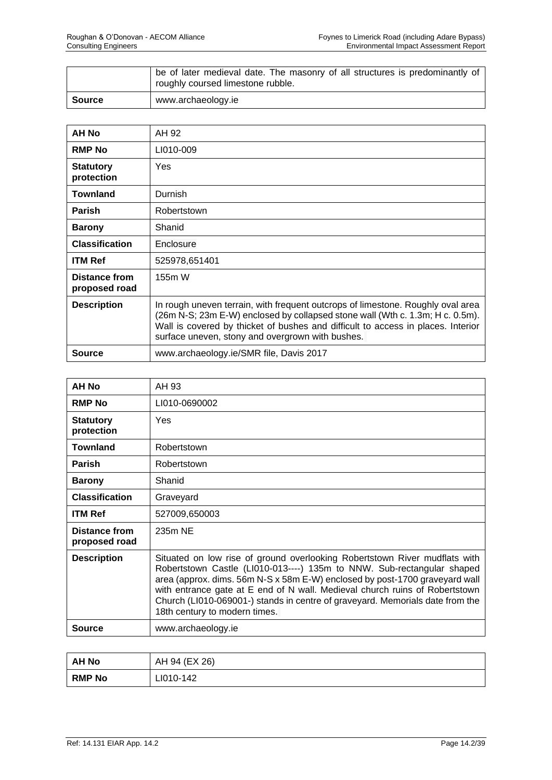|               | be of later medieval date. The masonry of all structures is predominantly of<br>roughly coursed limestone rubble. |
|---------------|-------------------------------------------------------------------------------------------------------------------|
| <b>Source</b> | www.archaeology.ie                                                                                                |

| <b>AH No</b>                          | AH 92                                                                                                                                                                                                                                                                                                    |
|---------------------------------------|----------------------------------------------------------------------------------------------------------------------------------------------------------------------------------------------------------------------------------------------------------------------------------------------------------|
| <b>RMP No</b>                         | LI010-009                                                                                                                                                                                                                                                                                                |
| <b>Statutory</b><br>protection        | Yes                                                                                                                                                                                                                                                                                                      |
| <b>Townland</b>                       | Durnish                                                                                                                                                                                                                                                                                                  |
| <b>Parish</b>                         | Robertstown                                                                                                                                                                                                                                                                                              |
| <b>Barony</b>                         | Shanid                                                                                                                                                                                                                                                                                                   |
| <b>Classification</b>                 | Enclosure                                                                                                                                                                                                                                                                                                |
| <b>ITM Ref</b>                        | 525978,651401                                                                                                                                                                                                                                                                                            |
| <b>Distance from</b><br>proposed road | 155m W                                                                                                                                                                                                                                                                                                   |
| <b>Description</b>                    | In rough uneven terrain, with frequent outcrops of limestone. Roughly oval area<br>(26m N-S; 23m E-W) enclosed by collapsed stone wall (Wth c. 1.3m; H c. 0.5m).<br>Wall is covered by thicket of bushes and difficult to access in places. Interior<br>surface uneven, stony and overgrown with bushes. |
| <b>Source</b>                         | www.archaeology.ie/SMR file, Davis 2017                                                                                                                                                                                                                                                                  |

| <b>AH No</b>                   | AH 93                                                                                                                                                                                                                                                                                                                                                                                                                                |
|--------------------------------|--------------------------------------------------------------------------------------------------------------------------------------------------------------------------------------------------------------------------------------------------------------------------------------------------------------------------------------------------------------------------------------------------------------------------------------|
| <b>RMP No</b>                  | LI010-0690002                                                                                                                                                                                                                                                                                                                                                                                                                        |
| <b>Statutory</b><br>protection | Yes                                                                                                                                                                                                                                                                                                                                                                                                                                  |
| <b>Townland</b>                | Robertstown                                                                                                                                                                                                                                                                                                                                                                                                                          |
| <b>Parish</b>                  | Robertstown                                                                                                                                                                                                                                                                                                                                                                                                                          |
| <b>Barony</b>                  | Shanid                                                                                                                                                                                                                                                                                                                                                                                                                               |
| <b>Classification</b>          | Graveyard                                                                                                                                                                                                                                                                                                                                                                                                                            |
| <b>ITM Ref</b>                 | 527009,650003                                                                                                                                                                                                                                                                                                                                                                                                                        |
| Distance from<br>proposed road | 235m NE                                                                                                                                                                                                                                                                                                                                                                                                                              |
| <b>Description</b>             | Situated on low rise of ground overlooking Robertstown River mudflats with<br>Robertstown Castle (LI010-013----) 135m to NNW. Sub-rectangular shaped<br>area (approx. dims. 56m N-S x 58m E-W) enclosed by post-1700 graveyard wall<br>with entrance gate at E end of N wall. Medieval church ruins of Robertstown<br>Church (LI010-069001-) stands in centre of graveyard. Memorials date from the<br>18th century to modern times. |
| Source                         | www.archaeology.ie                                                                                                                                                                                                                                                                                                                                                                                                                   |

| AH No         | AH 94 (EX 26) |
|---------------|---------------|
| <b>RMP No</b> | LI010-142     |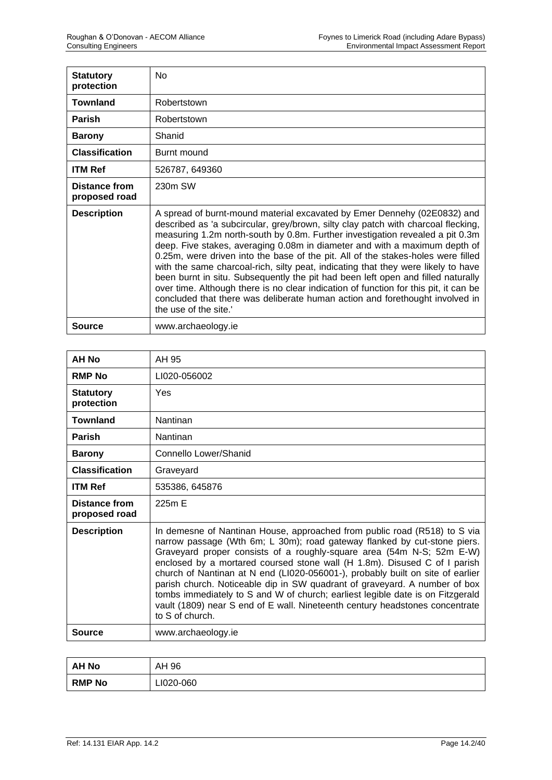| <b>Statutory</b><br>protection | No.                                                                                                                                                                                                                                                                                                                                                                                                                                                                                                                                                                                                                                                                                                                                                                                       |
|--------------------------------|-------------------------------------------------------------------------------------------------------------------------------------------------------------------------------------------------------------------------------------------------------------------------------------------------------------------------------------------------------------------------------------------------------------------------------------------------------------------------------------------------------------------------------------------------------------------------------------------------------------------------------------------------------------------------------------------------------------------------------------------------------------------------------------------|
| <b>Townland</b>                | Robertstown                                                                                                                                                                                                                                                                                                                                                                                                                                                                                                                                                                                                                                                                                                                                                                               |
| <b>Parish</b>                  | Robertstown                                                                                                                                                                                                                                                                                                                                                                                                                                                                                                                                                                                                                                                                                                                                                                               |
| <b>Barony</b>                  | Shanid                                                                                                                                                                                                                                                                                                                                                                                                                                                                                                                                                                                                                                                                                                                                                                                    |
| <b>Classification</b>          | Burnt mound                                                                                                                                                                                                                                                                                                                                                                                                                                                                                                                                                                                                                                                                                                                                                                               |
| <b>ITM Ref</b>                 | 526787, 649360                                                                                                                                                                                                                                                                                                                                                                                                                                                                                                                                                                                                                                                                                                                                                                            |
| Distance from<br>proposed road | 230m SW                                                                                                                                                                                                                                                                                                                                                                                                                                                                                                                                                                                                                                                                                                                                                                                   |
| <b>Description</b>             | A spread of burnt-mound material excavated by Emer Dennehy (02E0832) and<br>described as 'a subcircular, grey/brown, silty clay patch with charcoal flecking,<br>measuring 1.2m north-south by 0.8m. Further investigation revealed a pit 0.3m<br>deep. Five stakes, averaging 0.08m in diameter and with a maximum depth of<br>0.25m, were driven into the base of the pit. All of the stakes-holes were filled<br>with the same charcoal-rich, silty peat, indicating that they were likely to have<br>been burnt in situ. Subsequently the pit had been left open and filled naturally<br>over time. Although there is no clear indication of function for this pit, it can be<br>concluded that there was deliberate human action and forethought involved in<br>the use of the site. |
| Source                         | www.archaeology.ie                                                                                                                                                                                                                                                                                                                                                                                                                                                                                                                                                                                                                                                                                                                                                                        |

| AH No                          | AH 95                                                                                                                                                                                                                                                                                                                                                                                                                                                                                                                                                                                                                                                            |
|--------------------------------|------------------------------------------------------------------------------------------------------------------------------------------------------------------------------------------------------------------------------------------------------------------------------------------------------------------------------------------------------------------------------------------------------------------------------------------------------------------------------------------------------------------------------------------------------------------------------------------------------------------------------------------------------------------|
| <b>RMP No</b>                  | LI020-056002                                                                                                                                                                                                                                                                                                                                                                                                                                                                                                                                                                                                                                                     |
| <b>Statutory</b><br>protection | Yes                                                                                                                                                                                                                                                                                                                                                                                                                                                                                                                                                                                                                                                              |
| <b>Townland</b>                | Nantinan                                                                                                                                                                                                                                                                                                                                                                                                                                                                                                                                                                                                                                                         |
| <b>Parish</b>                  | Nantinan                                                                                                                                                                                                                                                                                                                                                                                                                                                                                                                                                                                                                                                         |
| <b>Barony</b>                  | Connello Lower/Shanid                                                                                                                                                                                                                                                                                                                                                                                                                                                                                                                                                                                                                                            |
| <b>Classification</b>          | Graveyard                                                                                                                                                                                                                                                                                                                                                                                                                                                                                                                                                                                                                                                        |
| <b>ITM Ref</b>                 | 535386, 645876                                                                                                                                                                                                                                                                                                                                                                                                                                                                                                                                                                                                                                                   |
| Distance from<br>proposed road | 225m E                                                                                                                                                                                                                                                                                                                                                                                                                                                                                                                                                                                                                                                           |
| <b>Description</b>             | In demesne of Nantinan House, approached from public road (R518) to S via<br>narrow passage (Wth 6m; L 30m); road gateway flanked by cut-stone piers.<br>Graveyard proper consists of a roughly-square area (54m N-S; 52m E-W)<br>enclosed by a mortared coursed stone wall (H 1.8m). Disused C of I parish<br>church of Nantinan at N end (LI020-056001-), probably built on site of earlier<br>parish church. Noticeable dip in SW quadrant of graveyard. A number of box<br>tombs immediately to S and W of church; earliest legible date is on Fitzgerald<br>vault (1809) near S end of E wall. Nineteenth century headstones concentrate<br>to S of church. |
| Source                         | www.archaeology.ie                                                                                                                                                                                                                                                                                                                                                                                                                                                                                                                                                                                                                                               |

| <b>AH No</b>  | AH 96     |
|---------------|-----------|
| <b>RMP No</b> | LI020-060 |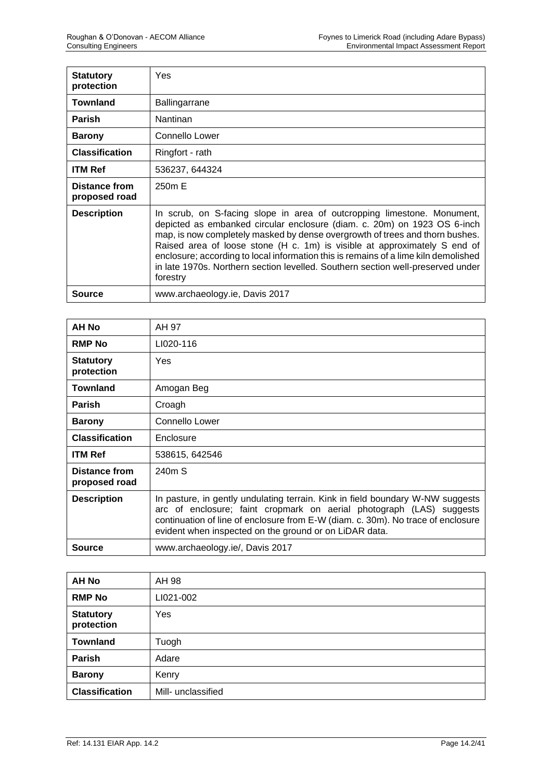| <b>Statutory</b><br>protection | Yes                                                                                                                                                                                                                                                                                                                                                                                                                                                                                                    |
|--------------------------------|--------------------------------------------------------------------------------------------------------------------------------------------------------------------------------------------------------------------------------------------------------------------------------------------------------------------------------------------------------------------------------------------------------------------------------------------------------------------------------------------------------|
| <b>Townland</b>                | Ballingarrane                                                                                                                                                                                                                                                                                                                                                                                                                                                                                          |
| <b>Parish</b>                  | Nantinan                                                                                                                                                                                                                                                                                                                                                                                                                                                                                               |
| <b>Barony</b>                  | Connello Lower                                                                                                                                                                                                                                                                                                                                                                                                                                                                                         |
| <b>Classification</b>          | Ringfort - rath                                                                                                                                                                                                                                                                                                                                                                                                                                                                                        |
| <b>ITM Ref</b>                 | 536237, 644324                                                                                                                                                                                                                                                                                                                                                                                                                                                                                         |
| Distance from<br>proposed road | 250m E                                                                                                                                                                                                                                                                                                                                                                                                                                                                                                 |
| <b>Description</b>             | In scrub, on S-facing slope in area of outcropping limestone. Monument,<br>depicted as embanked circular enclosure (diam. c. 20m) on 1923 OS 6-inch<br>map, is now completely masked by dense overgrowth of trees and thorn bushes.<br>Raised area of loose stone (H c. 1m) is visible at approximately S end of<br>enclosure; according to local information this is remains of a lime kiln demolished<br>in late 1970s. Northern section levelled. Southern section well-preserved under<br>forestry |
| Source                         | www.archaeology.ie, Davis 2017                                                                                                                                                                                                                                                                                                                                                                                                                                                                         |

| <b>AH No</b>                   | AH 97                                                                                                                                                                                                                                                                                                |
|--------------------------------|------------------------------------------------------------------------------------------------------------------------------------------------------------------------------------------------------------------------------------------------------------------------------------------------------|
| <b>RMP No</b>                  | LI020-116                                                                                                                                                                                                                                                                                            |
| <b>Statutory</b><br>protection | Yes                                                                                                                                                                                                                                                                                                  |
| Townland                       | Amogan Beg                                                                                                                                                                                                                                                                                           |
| <b>Parish</b>                  | Croagh                                                                                                                                                                                                                                                                                               |
| <b>Barony</b>                  | Connello Lower                                                                                                                                                                                                                                                                                       |
| <b>Classification</b>          | Enclosure                                                                                                                                                                                                                                                                                            |
| <b>ITM Ref</b>                 | 538615, 642546                                                                                                                                                                                                                                                                                       |
| Distance from<br>proposed road | 240m S                                                                                                                                                                                                                                                                                               |
| <b>Description</b>             | In pasture, in gently undulating terrain. Kink in field boundary W-NW suggests<br>arc of enclosure; faint cropmark on aerial photograph (LAS) suggests<br>continuation of line of enclosure from E-W (diam. c. 30m). No trace of enclosure<br>evident when inspected on the ground or on LiDAR data. |
| <b>Source</b>                  | www.archaeology.ie/, Davis 2017                                                                                                                                                                                                                                                                      |

| <b>AH No</b>                   | AH 98              |
|--------------------------------|--------------------|
| <b>RMP No</b>                  | LI021-002          |
| <b>Statutory</b><br>protection | Yes                |
| <b>Townland</b>                | Tuogh              |
| Parish                         | Adare              |
| <b>Barony</b>                  | Kenry              |
| <b>Classification</b>          | Mill- unclassified |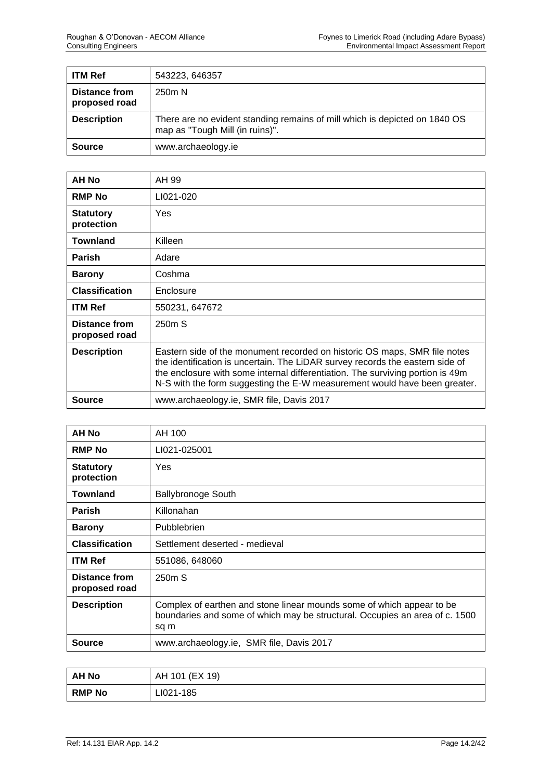| <b>ITM Ref</b>                 | 543223, 646357                                                                                                |
|--------------------------------|---------------------------------------------------------------------------------------------------------------|
| Distance from<br>proposed road | 250 <sub>m</sub> N                                                                                            |
| <b>Description</b>             | There are no evident standing remains of mill which is depicted on 1840 OS<br>map as "Tough Mill (in ruins)". |
| <b>Source</b>                  | www.archaeology.ie                                                                                            |

| AH No                                 | AH 99                                                                                                                                                                                                                                                                                                                     |
|---------------------------------------|---------------------------------------------------------------------------------------------------------------------------------------------------------------------------------------------------------------------------------------------------------------------------------------------------------------------------|
| <b>RMP No</b>                         | LI021-020                                                                                                                                                                                                                                                                                                                 |
| <b>Statutory</b><br>protection        | Yes                                                                                                                                                                                                                                                                                                                       |
| <b>Townland</b>                       | Killeen                                                                                                                                                                                                                                                                                                                   |
| <b>Parish</b>                         | Adare                                                                                                                                                                                                                                                                                                                     |
| <b>Barony</b>                         | Coshma                                                                                                                                                                                                                                                                                                                    |
| <b>Classification</b>                 | Enclosure                                                                                                                                                                                                                                                                                                                 |
| <b>ITM Ref</b>                        | 550231, 647672                                                                                                                                                                                                                                                                                                            |
| <b>Distance from</b><br>proposed road | 250m S                                                                                                                                                                                                                                                                                                                    |
| <b>Description</b>                    | Eastern side of the monument recorded on historic OS maps, SMR file notes<br>the identification is uncertain. The LiDAR survey records the eastern side of<br>the enclosure with some internal differentiation. The surviving portion is 49m<br>N-S with the form suggesting the E-W measurement would have been greater. |
| <b>Source</b>                         | www.archaeology.ie, SMR file, Davis 2017                                                                                                                                                                                                                                                                                  |

| <b>AH No</b>                   | AH 100                                                                                                                                                       |
|--------------------------------|--------------------------------------------------------------------------------------------------------------------------------------------------------------|
| <b>RMP No</b>                  | LI021-025001                                                                                                                                                 |
| <b>Statutory</b><br>protection | Yes                                                                                                                                                          |
| Townland                       | <b>Ballybronoge South</b>                                                                                                                                    |
| <b>Parish</b>                  | Killonahan                                                                                                                                                   |
| <b>Barony</b>                  | Pubblebrien                                                                                                                                                  |
| <b>Classification</b>          | Settlement deserted - medieval                                                                                                                               |
| <b>ITM Ref</b>                 | 551086, 648060                                                                                                                                               |
| Distance from<br>proposed road | 250m S                                                                                                                                                       |
| <b>Description</b>             | Complex of earthen and stone linear mounds some of which appear to be<br>boundaries and some of which may be structural. Occupies an area of c. 1500<br>sq m |
| Source                         | www.archaeology.ie, SMR file, Davis 2017                                                                                                                     |

| AH No         | AH 101 (EX 19) |
|---------------|----------------|
| <b>RMP No</b> | LI021-185      |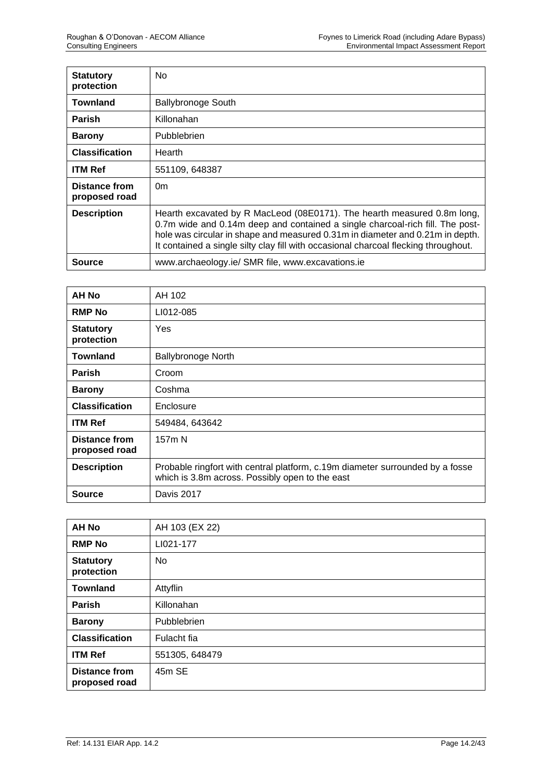| <b>Statutory</b><br>protection | No                                                                                                                                                                                                                                                                                                                               |
|--------------------------------|----------------------------------------------------------------------------------------------------------------------------------------------------------------------------------------------------------------------------------------------------------------------------------------------------------------------------------|
| <b>Townland</b>                | <b>Ballybronoge South</b>                                                                                                                                                                                                                                                                                                        |
| <b>Parish</b>                  | Killonahan                                                                                                                                                                                                                                                                                                                       |
| <b>Barony</b>                  | Pubblebrien                                                                                                                                                                                                                                                                                                                      |
| <b>Classification</b>          | Hearth                                                                                                                                                                                                                                                                                                                           |
| <b>ITM Ref</b>                 | 551109, 648387                                                                                                                                                                                                                                                                                                                   |
| Distance from<br>proposed road | 0 <sub>m</sub>                                                                                                                                                                                                                                                                                                                   |
| <b>Description</b>             | Hearth excavated by R MacLeod (08E0171). The hearth measured 0.8m long,<br>0.7m wide and 0.14m deep and contained a single charcoal-rich fill. The post-<br>hole was circular in shape and measured 0.31m in diameter and 0.21m in depth.<br>It contained a single silty clay fill with occasional charcoal flecking throughout. |
| Source                         | www.archaeology.ie/ SMR file, www.excavations.ie                                                                                                                                                                                                                                                                                 |

| AH No                                 | AH 102                                                                                                                           |
|---------------------------------------|----------------------------------------------------------------------------------------------------------------------------------|
| <b>RMP No</b>                         | LI012-085                                                                                                                        |
| <b>Statutory</b><br>protection        | Yes                                                                                                                              |
| <b>Townland</b>                       | <b>Ballybronoge North</b>                                                                                                        |
| <b>Parish</b>                         | Croom                                                                                                                            |
| <b>Barony</b>                         | Coshma                                                                                                                           |
| <b>Classification</b>                 | Enclosure                                                                                                                        |
| <b>ITM Ref</b>                        | 549484, 643642                                                                                                                   |
| <b>Distance from</b><br>proposed road | 157m N                                                                                                                           |
| <b>Description</b>                    | Probable ringfort with central platform, c.19m diameter surrounded by a fosse<br>which is 3.8m across. Possibly open to the east |
| Source                                | Davis 2017                                                                                                                       |

| <b>AH No</b>                          | AH 103 (EX 22) |
|---------------------------------------|----------------|
| <b>RMP No</b>                         | LI021-177      |
| <b>Statutory</b><br>protection        | No             |
| <b>Townland</b>                       | Attyflin       |
| Parish                                | Killonahan     |
| <b>Barony</b>                         | Pubblebrien    |
| <b>Classification</b>                 | Fulacht fia    |
| <b>ITM Ref</b>                        | 551305, 648479 |
| <b>Distance from</b><br>proposed road | 45m SE         |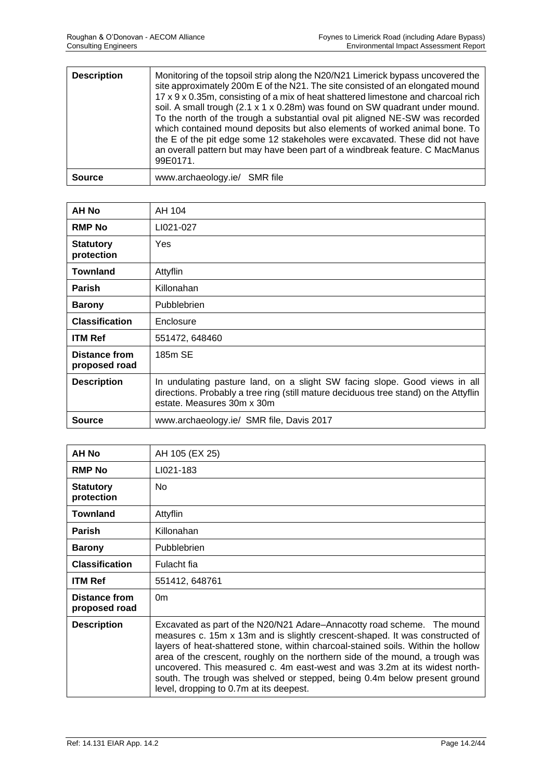| <b>Description</b> | Monitoring of the topsoil strip along the N20/N21 Limerick bypass uncovered the<br>site approximately 200m E of the N21. The site consisted of an elongated mound<br>17 x 9 x 0.35m, consisting of a mix of heat shattered limestone and charcoal rich<br>soil. A small trough $(2.1 \times 1 \times 0.28m)$ was found on SW quadrant under mound.<br>To the north of the trough a substantial oval pit aligned NE-SW was recorded<br>which contained mound deposits but also elements of worked animal bone. To<br>the E of the pit edge some 12 stakeholes were excavated. These did not have<br>an overall pattern but may have been part of a windbreak feature. C MacManus<br>99E0171. |
|--------------------|---------------------------------------------------------------------------------------------------------------------------------------------------------------------------------------------------------------------------------------------------------------------------------------------------------------------------------------------------------------------------------------------------------------------------------------------------------------------------------------------------------------------------------------------------------------------------------------------------------------------------------------------------------------------------------------------|
| <b>Source</b>      | www.archaeology.ie/ SMR file                                                                                                                                                                                                                                                                                                                                                                                                                                                                                                                                                                                                                                                                |

| AH No                                 | AH 104                                                                                                                                                                                           |
|---------------------------------------|--------------------------------------------------------------------------------------------------------------------------------------------------------------------------------------------------|
| <b>RMP No</b>                         | LI021-027                                                                                                                                                                                        |
| <b>Statutory</b><br>protection        | Yes                                                                                                                                                                                              |
| <b>Townland</b>                       | Attyflin                                                                                                                                                                                         |
| <b>Parish</b>                         | Killonahan                                                                                                                                                                                       |
| <b>Barony</b>                         | Pubblebrien                                                                                                                                                                                      |
| <b>Classification</b>                 | Enclosure                                                                                                                                                                                        |
| <b>ITM Ref</b>                        | 551472, 648460                                                                                                                                                                                   |
| <b>Distance from</b><br>proposed road | 185m SE                                                                                                                                                                                          |
| <b>Description</b>                    | In undulating pasture land, on a slight SW facing slope. Good views in all<br>directions. Probably a tree ring (still mature deciduous tree stand) on the Attyflin<br>estate. Measures 30m x 30m |
| <b>Source</b>                         | www.archaeology.ie/ SMR file, Davis 2017                                                                                                                                                         |

| <b>AH No</b>                          | AH 105 (EX 25)                                                                                                                                                                                                                                                                                                                                                                                                                                                                                                                     |
|---------------------------------------|------------------------------------------------------------------------------------------------------------------------------------------------------------------------------------------------------------------------------------------------------------------------------------------------------------------------------------------------------------------------------------------------------------------------------------------------------------------------------------------------------------------------------------|
| <b>RMP No</b>                         | LI021-183                                                                                                                                                                                                                                                                                                                                                                                                                                                                                                                          |
| <b>Statutory</b><br>protection        | <b>No</b>                                                                                                                                                                                                                                                                                                                                                                                                                                                                                                                          |
| <b>Townland</b>                       | Attyflin                                                                                                                                                                                                                                                                                                                                                                                                                                                                                                                           |
| <b>Parish</b>                         | Killonahan                                                                                                                                                                                                                                                                                                                                                                                                                                                                                                                         |
| <b>Barony</b>                         | <b>Pubblebrien</b>                                                                                                                                                                                                                                                                                                                                                                                                                                                                                                                 |
| <b>Classification</b>                 | Fulacht fia                                                                                                                                                                                                                                                                                                                                                                                                                                                                                                                        |
| <b>ITM Ref</b>                        | 551412, 648761                                                                                                                                                                                                                                                                                                                                                                                                                                                                                                                     |
| <b>Distance from</b><br>proposed road | 0 <sub>m</sub>                                                                                                                                                                                                                                                                                                                                                                                                                                                                                                                     |
| <b>Description</b>                    | Excavated as part of the N20/N21 Adare-Annacotty road scheme. The mound<br>measures c. 15m x 13m and is slightly crescent-shaped. It was constructed of<br>layers of heat-shattered stone, within charcoal-stained soils. Within the hollow<br>area of the crescent, roughly on the northern side of the mound, a trough was<br>uncovered. This measured c. 4m east-west and was 3.2m at its widest north-<br>south. The trough was shelved or stepped, being 0.4m below present ground<br>level, dropping to 0.7m at its deepest. |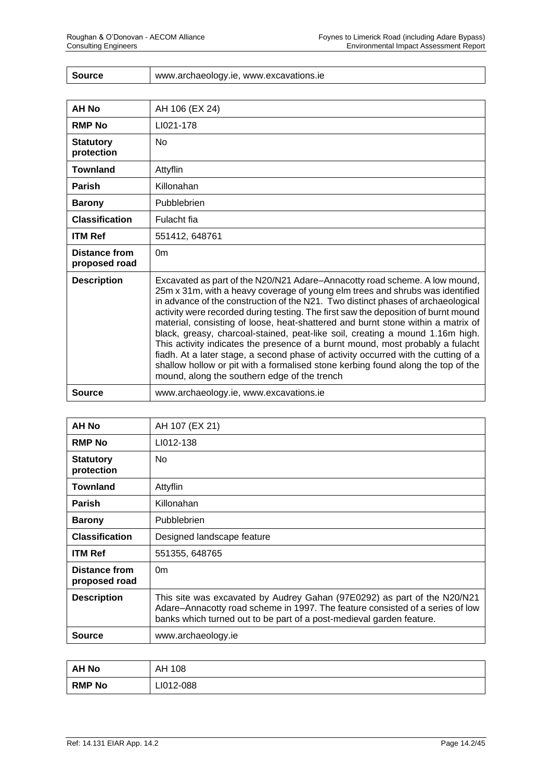| <b>Source</b> | www.archaeology.ie, www.excavations.ie |
|---------------|----------------------------------------|
|---------------|----------------------------------------|

| <b>AH No</b>                          | AH 106 (EX 24)                                                                                                                                                                                                                                                                                                                                                                                                                                                                                                                                                                                                                                                                                                                                                                                                         |
|---------------------------------------|------------------------------------------------------------------------------------------------------------------------------------------------------------------------------------------------------------------------------------------------------------------------------------------------------------------------------------------------------------------------------------------------------------------------------------------------------------------------------------------------------------------------------------------------------------------------------------------------------------------------------------------------------------------------------------------------------------------------------------------------------------------------------------------------------------------------|
| <b>RMP No</b>                         | LI021-178                                                                                                                                                                                                                                                                                                                                                                                                                                                                                                                                                                                                                                                                                                                                                                                                              |
| <b>Statutory</b><br>protection        | <b>No</b>                                                                                                                                                                                                                                                                                                                                                                                                                                                                                                                                                                                                                                                                                                                                                                                                              |
| <b>Townland</b>                       | Attyflin                                                                                                                                                                                                                                                                                                                                                                                                                                                                                                                                                                                                                                                                                                                                                                                                               |
| <b>Parish</b>                         | Killonahan                                                                                                                                                                                                                                                                                                                                                                                                                                                                                                                                                                                                                                                                                                                                                                                                             |
| <b>Barony</b>                         | Pubblebrien                                                                                                                                                                                                                                                                                                                                                                                                                                                                                                                                                                                                                                                                                                                                                                                                            |
| <b>Classification</b>                 | Fulacht fia                                                                                                                                                                                                                                                                                                                                                                                                                                                                                                                                                                                                                                                                                                                                                                                                            |
| <b>ITM Ref</b>                        | 551412, 648761                                                                                                                                                                                                                                                                                                                                                                                                                                                                                                                                                                                                                                                                                                                                                                                                         |
| <b>Distance from</b><br>proposed road | 0 <sub>m</sub>                                                                                                                                                                                                                                                                                                                                                                                                                                                                                                                                                                                                                                                                                                                                                                                                         |
| <b>Description</b>                    | Excavated as part of the N20/N21 Adare-Annacotty road scheme. A low mound,<br>25m x 31m, with a heavy coverage of young elm trees and shrubs was identified<br>in advance of the construction of the N21. Two distinct phases of archaeological<br>activity were recorded during testing. The first saw the deposition of burnt mound<br>material, consisting of loose, heat-shattered and burnt stone within a matrix of<br>black, greasy, charcoal-stained, peat-like soil, creating a mound 1.16m high.<br>This activity indicates the presence of a burnt mound, most probably a fulacht<br>fiadh. At a later stage, a second phase of activity occurred with the cutting of a<br>shallow hollow or pit with a formalised stone kerbing found along the top of the<br>mound, along the southern edge of the trench |
| <b>Source</b>                         | www.archaeology.ie, www.excavations.ie                                                                                                                                                                                                                                                                                                                                                                                                                                                                                                                                                                                                                                                                                                                                                                                 |

| <b>AH No</b>                   | AH 107 (EX 21)                                                                                                                                                                                                                    |
|--------------------------------|-----------------------------------------------------------------------------------------------------------------------------------------------------------------------------------------------------------------------------------|
| <b>RMP No</b>                  | LI012-138                                                                                                                                                                                                                         |
| <b>Statutory</b><br>protection | No.                                                                                                                                                                                                                               |
| <b>Townland</b>                | Attyflin                                                                                                                                                                                                                          |
| <b>Parish</b>                  | Killonahan                                                                                                                                                                                                                        |
| <b>Barony</b>                  | Pubblebrien                                                                                                                                                                                                                       |
| <b>Classification</b>          | Designed landscape feature                                                                                                                                                                                                        |
| <b>ITM Ref</b>                 | 551355, 648765                                                                                                                                                                                                                    |
| Distance from<br>proposed road | 0 <sub>m</sub>                                                                                                                                                                                                                    |
| <b>Description</b>             | This site was excavated by Audrey Gahan (97E0292) as part of the N20/N21<br>Adare-Annacotty road scheme in 1997. The feature consisted of a series of low<br>banks which turned out to be part of a post-medieval garden feature. |
| <b>Source</b>                  | www.archaeology.ie                                                                                                                                                                                                                |

| <b>AH No</b>  | AH 108    |
|---------------|-----------|
| <b>RMP No</b> | LI012-088 |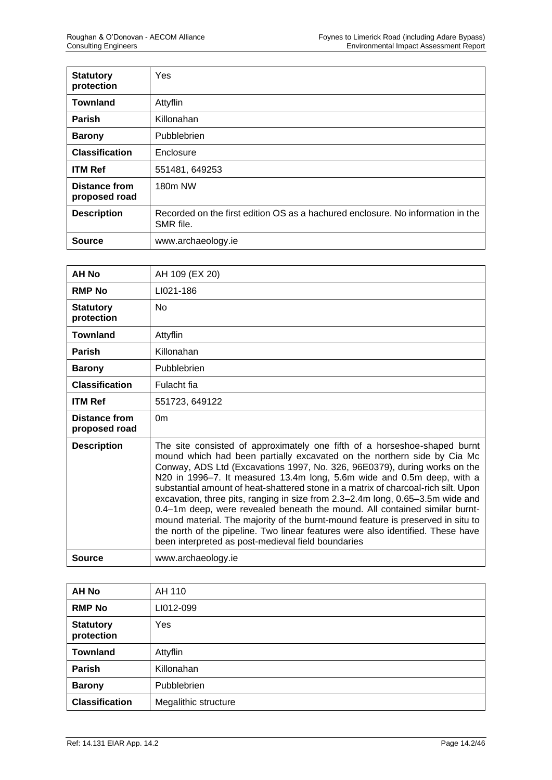| <b>Statutory</b><br>protection        | Yes                                                                                          |
|---------------------------------------|----------------------------------------------------------------------------------------------|
| <b>Townland</b>                       | Attyflin                                                                                     |
| <b>Parish</b>                         | Killonahan                                                                                   |
| <b>Barony</b>                         | Pubblebrien                                                                                  |
| <b>Classification</b>                 | Enclosure                                                                                    |
| <b>ITM Ref</b>                        | 551481, 649253                                                                               |
| <b>Distance from</b><br>proposed road | 180m NW                                                                                      |
| <b>Description</b>                    | Recorded on the first edition OS as a hachured enclosure. No information in the<br>SMR file. |
| <b>Source</b>                         | www.archaeology.ie                                                                           |

| AH No                          | AH 109 (EX 20)                                                                                                                                                                                                                                                                                                                                                                                                                                                                                                                                                                                                                                                                                                                                                                                |
|--------------------------------|-----------------------------------------------------------------------------------------------------------------------------------------------------------------------------------------------------------------------------------------------------------------------------------------------------------------------------------------------------------------------------------------------------------------------------------------------------------------------------------------------------------------------------------------------------------------------------------------------------------------------------------------------------------------------------------------------------------------------------------------------------------------------------------------------|
| <b>RMP No</b>                  | LI021-186                                                                                                                                                                                                                                                                                                                                                                                                                                                                                                                                                                                                                                                                                                                                                                                     |
| <b>Statutory</b><br>protection | <b>No</b>                                                                                                                                                                                                                                                                                                                                                                                                                                                                                                                                                                                                                                                                                                                                                                                     |
| <b>Townland</b>                | Attyflin                                                                                                                                                                                                                                                                                                                                                                                                                                                                                                                                                                                                                                                                                                                                                                                      |
| <b>Parish</b>                  | Killonahan                                                                                                                                                                                                                                                                                                                                                                                                                                                                                                                                                                                                                                                                                                                                                                                    |
| <b>Barony</b>                  | Pubblebrien                                                                                                                                                                                                                                                                                                                                                                                                                                                                                                                                                                                                                                                                                                                                                                                   |
| <b>Classification</b>          | Fulacht fia                                                                                                                                                                                                                                                                                                                                                                                                                                                                                                                                                                                                                                                                                                                                                                                   |
| <b>ITM Ref</b>                 | 551723, 649122                                                                                                                                                                                                                                                                                                                                                                                                                                                                                                                                                                                                                                                                                                                                                                                |
| Distance from<br>proposed road | 0 <sub>m</sub>                                                                                                                                                                                                                                                                                                                                                                                                                                                                                                                                                                                                                                                                                                                                                                                |
| <b>Description</b>             | The site consisted of approximately one fifth of a horseshoe-shaped burnt<br>mound which had been partially excavated on the northern side by Cia Mc<br>Conway, ADS Ltd (Excavations 1997, No. 326, 96E0379), during works on the<br>N20 in 1996-7. It measured 13.4m long, 5.6m wide and 0.5m deep, with a<br>substantial amount of heat-shattered stone in a matrix of charcoal-rich silt. Upon<br>excavation, three pits, ranging in size from 2.3-2.4m long, 0.65-3.5m wide and<br>0.4-1m deep, were revealed beneath the mound. All contained similar burnt-<br>mound material. The majority of the burnt-mound feature is preserved in situ to<br>the north of the pipeline. Two linear features were also identified. These have<br>been interpreted as post-medieval field boundaries |
| <b>Source</b>                  | www.archaeology.ie                                                                                                                                                                                                                                                                                                                                                                                                                                                                                                                                                                                                                                                                                                                                                                            |

| AH No                          | AH 110               |
|--------------------------------|----------------------|
| <b>RMP No</b>                  | LI012-099            |
| <b>Statutory</b><br>protection | Yes                  |
| <b>Townland</b>                | Attyflin             |
| <b>Parish</b>                  | Killonahan           |
| <b>Barony</b>                  | Pubblebrien          |
| <b>Classification</b>          | Megalithic structure |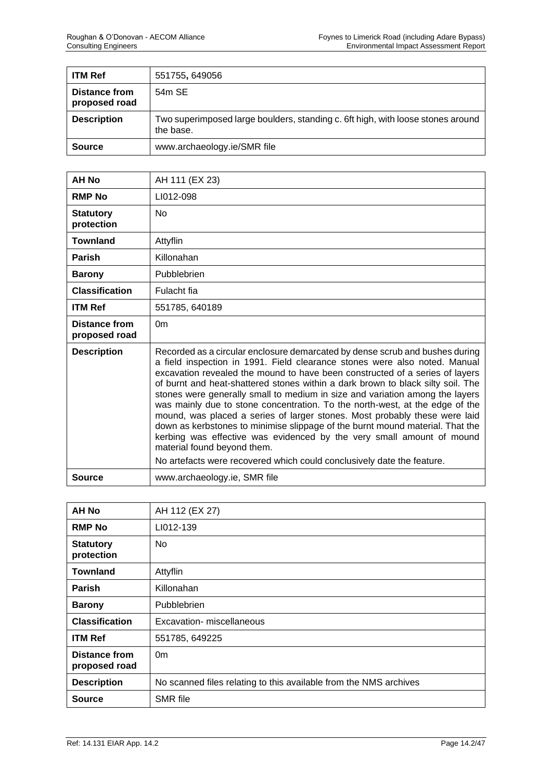| <b>ITM Ref</b>                 | 551755, 649056                                                                               |
|--------------------------------|----------------------------------------------------------------------------------------------|
| Distance from<br>proposed road | 54m SE                                                                                       |
| <b>Description</b>             | Two superimposed large boulders, standing c. 6ft high, with loose stones around<br>the base. |
| <b>Source</b>                  | www.archaeology.ie/SMR file                                                                  |

| <b>AH No</b>                   | AH 111 (EX 23)                                                                                                                                                                                                                                                                                                                                                                                                                                                                                                                                                                                                                                                                                                                                                       |
|--------------------------------|----------------------------------------------------------------------------------------------------------------------------------------------------------------------------------------------------------------------------------------------------------------------------------------------------------------------------------------------------------------------------------------------------------------------------------------------------------------------------------------------------------------------------------------------------------------------------------------------------------------------------------------------------------------------------------------------------------------------------------------------------------------------|
| <b>RMP No</b>                  | LI012-098                                                                                                                                                                                                                                                                                                                                                                                                                                                                                                                                                                                                                                                                                                                                                            |
| <b>Statutory</b><br>protection | <b>No</b>                                                                                                                                                                                                                                                                                                                                                                                                                                                                                                                                                                                                                                                                                                                                                            |
| <b>Townland</b>                | Attyflin                                                                                                                                                                                                                                                                                                                                                                                                                                                                                                                                                                                                                                                                                                                                                             |
| <b>Parish</b>                  | Killonahan                                                                                                                                                                                                                                                                                                                                                                                                                                                                                                                                                                                                                                                                                                                                                           |
| <b>Barony</b>                  | Pubblebrien                                                                                                                                                                                                                                                                                                                                                                                                                                                                                                                                                                                                                                                                                                                                                          |
| <b>Classification</b>          | Fulacht fia                                                                                                                                                                                                                                                                                                                                                                                                                                                                                                                                                                                                                                                                                                                                                          |
| <b>ITM Ref</b>                 | 551785, 640189                                                                                                                                                                                                                                                                                                                                                                                                                                                                                                                                                                                                                                                                                                                                                       |
| Distance from<br>proposed road | 0 <sub>m</sub>                                                                                                                                                                                                                                                                                                                                                                                                                                                                                                                                                                                                                                                                                                                                                       |
| <b>Description</b>             | Recorded as a circular enclosure demarcated by dense scrub and bushes during<br>a field inspection in 1991. Field clearance stones were also noted. Manual<br>excavation revealed the mound to have been constructed of a series of layers<br>of burnt and heat-shattered stones within a dark brown to black silty soil. The<br>stones were generally small to medium in size and variation among the layers<br>was mainly due to stone concentration. To the north-west, at the edge of the<br>mound, was placed a series of larger stones. Most probably these were laid<br>down as kerbstones to minimise slippage of the burnt mound material. That the<br>kerbing was effective was evidenced by the very small amount of mound<br>material found beyond them. |
|                                | No artefacts were recovered which could conclusively date the feature.                                                                                                                                                                                                                                                                                                                                                                                                                                                                                                                                                                                                                                                                                               |
| Source                         | www.archaeology.ie, SMR file                                                                                                                                                                                                                                                                                                                                                                                                                                                                                                                                                                                                                                                                                                                                         |

| <b>AH No</b>                          | AH 112 (EX 27)                                                    |
|---------------------------------------|-------------------------------------------------------------------|
| <b>RMP No</b>                         | LI012-139                                                         |
| <b>Statutory</b><br>protection        | No.                                                               |
| <b>Townland</b>                       | Attyflin                                                          |
| <b>Parish</b>                         | Killonahan                                                        |
| <b>Barony</b>                         | Pubblebrien                                                       |
| <b>Classification</b>                 | Excavation- miscellaneous                                         |
| <b>ITM Ref</b>                        | 551785, 649225                                                    |
| <b>Distance from</b><br>proposed road | 0 <sub>m</sub>                                                    |
| <b>Description</b>                    | No scanned files relating to this available from the NMS archives |
| <b>Source</b>                         | <b>SMR</b> file                                                   |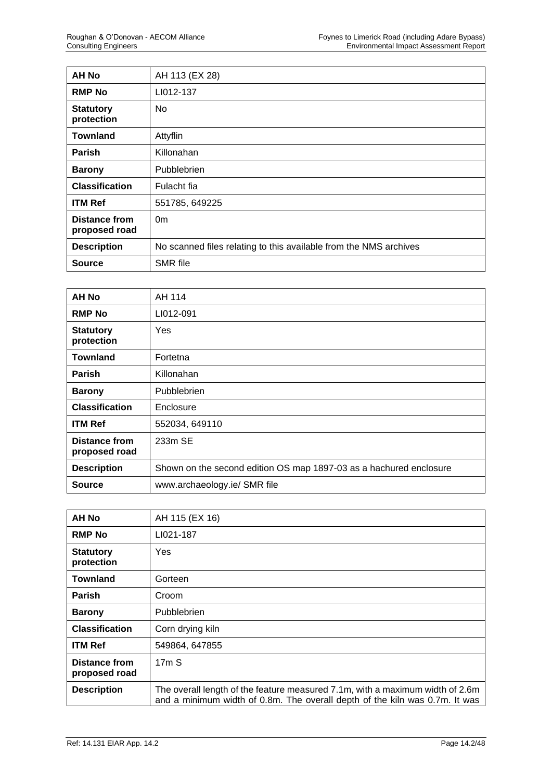| <b>AH No</b>                          | AH 113 (EX 28)                                                    |
|---------------------------------------|-------------------------------------------------------------------|
| <b>RMP No</b>                         | LI012-137                                                         |
| <b>Statutory</b><br>protection        | N <sub>0</sub>                                                    |
| <b>Townland</b>                       | Attyflin                                                          |
| <b>Parish</b>                         | Killonahan                                                        |
| <b>Barony</b>                         | Pubblebrien                                                       |
| <b>Classification</b>                 | Fulacht fia                                                       |
| <b>ITM Ref</b>                        | 551785, 649225                                                    |
| <b>Distance from</b><br>proposed road | 0 <sub>m</sub>                                                    |
| <b>Description</b>                    | No scanned files relating to this available from the NMS archives |
| <b>Source</b>                         | <b>SMR</b> file                                                   |

| <b>AH No</b>                          | AH 114                                                             |
|---------------------------------------|--------------------------------------------------------------------|
| <b>RMP No</b>                         | LI012-091                                                          |
| <b>Statutory</b><br>protection        | Yes                                                                |
| <b>Townland</b>                       | Fortetna                                                           |
| <b>Parish</b>                         | Killonahan                                                         |
| <b>Barony</b>                         | Pubblebrien                                                        |
| <b>Classification</b>                 | Enclosure                                                          |
| <b>ITM Ref</b>                        | 552034, 649110                                                     |
| <b>Distance from</b><br>proposed road | 233m SE                                                            |
| <b>Description</b>                    | Shown on the second edition OS map 1897-03 as a hachured enclosure |
| <b>Source</b>                         | www.archaeology.ie/ SMR file                                       |

| AH No                                 | AH 115 (EX 16)                                                                                                                                               |
|---------------------------------------|--------------------------------------------------------------------------------------------------------------------------------------------------------------|
| <b>RMP No</b>                         | LI021-187                                                                                                                                                    |
| <b>Statutory</b><br>protection        | Yes                                                                                                                                                          |
| <b>Townland</b>                       | Gorteen                                                                                                                                                      |
| Parish                                | Croom                                                                                                                                                        |
| <b>Barony</b>                         | <b>Pubblebrien</b>                                                                                                                                           |
| <b>Classification</b>                 | Corn drying kiln                                                                                                                                             |
| <b>ITM Ref</b>                        | 549864, 647855                                                                                                                                               |
| <b>Distance from</b><br>proposed road | 17mS                                                                                                                                                         |
| <b>Description</b>                    | The overall length of the feature measured 7.1m, with a maximum width of 2.6m<br>and a minimum width of 0.8m. The overall depth of the kiln was 0.7m. It was |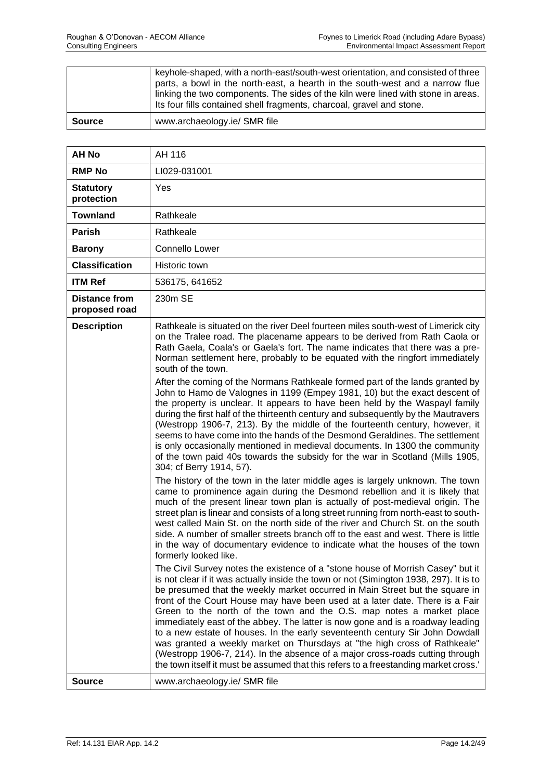|               | keyhole-shaped, with a north-east/south-west orientation, and consisted of three<br>parts, a bowl in the north-east, a hearth in the south-west and a narrow flue<br>linking the two components. The sides of the kiln were lined with stone in areas.<br>Its four fills contained shell fragments, charcoal, gravel and stone. |
|---------------|---------------------------------------------------------------------------------------------------------------------------------------------------------------------------------------------------------------------------------------------------------------------------------------------------------------------------------|
| <b>Source</b> | www.archaeology.ie/ SMR file                                                                                                                                                                                                                                                                                                    |

| <b>AH No</b>                          | AH 116                                                                                                                                                                                                                                                                                                                                                                                                                                                                                                                                                                                                                                                                                                                                                                                                                                                                                                                                                                                                                                                                                                                                                                                                                                                                                                                                                                                                                                                                                                                                                                                                                                                                                                                                                                                                                                                                                                                                                                                                                                                                                                                                                                                                                                                                                                                                                                                                                                                                                                                       |
|---------------------------------------|------------------------------------------------------------------------------------------------------------------------------------------------------------------------------------------------------------------------------------------------------------------------------------------------------------------------------------------------------------------------------------------------------------------------------------------------------------------------------------------------------------------------------------------------------------------------------------------------------------------------------------------------------------------------------------------------------------------------------------------------------------------------------------------------------------------------------------------------------------------------------------------------------------------------------------------------------------------------------------------------------------------------------------------------------------------------------------------------------------------------------------------------------------------------------------------------------------------------------------------------------------------------------------------------------------------------------------------------------------------------------------------------------------------------------------------------------------------------------------------------------------------------------------------------------------------------------------------------------------------------------------------------------------------------------------------------------------------------------------------------------------------------------------------------------------------------------------------------------------------------------------------------------------------------------------------------------------------------------------------------------------------------------------------------------------------------------------------------------------------------------------------------------------------------------------------------------------------------------------------------------------------------------------------------------------------------------------------------------------------------------------------------------------------------------------------------------------------------------------------------------------------------------|
| <b>RMP No</b>                         | LI029-031001                                                                                                                                                                                                                                                                                                                                                                                                                                                                                                                                                                                                                                                                                                                                                                                                                                                                                                                                                                                                                                                                                                                                                                                                                                                                                                                                                                                                                                                                                                                                                                                                                                                                                                                                                                                                                                                                                                                                                                                                                                                                                                                                                                                                                                                                                                                                                                                                                                                                                                                 |
| <b>Statutory</b><br>protection        | Yes                                                                                                                                                                                                                                                                                                                                                                                                                                                                                                                                                                                                                                                                                                                                                                                                                                                                                                                                                                                                                                                                                                                                                                                                                                                                                                                                                                                                                                                                                                                                                                                                                                                                                                                                                                                                                                                                                                                                                                                                                                                                                                                                                                                                                                                                                                                                                                                                                                                                                                                          |
| <b>Townland</b>                       | Rathkeale                                                                                                                                                                                                                                                                                                                                                                                                                                                                                                                                                                                                                                                                                                                                                                                                                                                                                                                                                                                                                                                                                                                                                                                                                                                                                                                                                                                                                                                                                                                                                                                                                                                                                                                                                                                                                                                                                                                                                                                                                                                                                                                                                                                                                                                                                                                                                                                                                                                                                                                    |
| Parish                                | Rathkeale                                                                                                                                                                                                                                                                                                                                                                                                                                                                                                                                                                                                                                                                                                                                                                                                                                                                                                                                                                                                                                                                                                                                                                                                                                                                                                                                                                                                                                                                                                                                                                                                                                                                                                                                                                                                                                                                                                                                                                                                                                                                                                                                                                                                                                                                                                                                                                                                                                                                                                                    |
| <b>Barony</b>                         | Connello Lower                                                                                                                                                                                                                                                                                                                                                                                                                                                                                                                                                                                                                                                                                                                                                                                                                                                                                                                                                                                                                                                                                                                                                                                                                                                                                                                                                                                                                                                                                                                                                                                                                                                                                                                                                                                                                                                                                                                                                                                                                                                                                                                                                                                                                                                                                                                                                                                                                                                                                                               |
| <b>Classification</b>                 | Historic town                                                                                                                                                                                                                                                                                                                                                                                                                                                                                                                                                                                                                                                                                                                                                                                                                                                                                                                                                                                                                                                                                                                                                                                                                                                                                                                                                                                                                                                                                                                                                                                                                                                                                                                                                                                                                                                                                                                                                                                                                                                                                                                                                                                                                                                                                                                                                                                                                                                                                                                |
| <b>ITM Ref</b>                        | 536175, 641652                                                                                                                                                                                                                                                                                                                                                                                                                                                                                                                                                                                                                                                                                                                                                                                                                                                                                                                                                                                                                                                                                                                                                                                                                                                                                                                                                                                                                                                                                                                                                                                                                                                                                                                                                                                                                                                                                                                                                                                                                                                                                                                                                                                                                                                                                                                                                                                                                                                                                                               |
| <b>Distance from</b><br>proposed road | 230m SE                                                                                                                                                                                                                                                                                                                                                                                                                                                                                                                                                                                                                                                                                                                                                                                                                                                                                                                                                                                                                                                                                                                                                                                                                                                                                                                                                                                                                                                                                                                                                                                                                                                                                                                                                                                                                                                                                                                                                                                                                                                                                                                                                                                                                                                                                                                                                                                                                                                                                                                      |
| <b>Description</b>                    | Rathkeale is situated on the river Deel fourteen miles south-west of Limerick city<br>on the Tralee road. The placename appears to be derived from Rath Caola or<br>Rath Gaela, Coala's or Gaela's fort. The name indicates that there was a pre-<br>Norman settlement here, probably to be equated with the ringfort immediately<br>south of the town.<br>After the coming of the Normans Rathkeale formed part of the lands granted by<br>John to Hamo de Valognes in 1199 (Empey 1981, 10) but the exact descent of<br>the property is unclear. It appears to have been held by the Waspayl family<br>during the first half of the thirteenth century and subsequently by the Mautravers<br>(Westropp 1906-7, 213). By the middle of the fourteenth century, however, it<br>seems to have come into the hands of the Desmond Geraldines. The settlement<br>is only occasionally mentioned in medieval documents. In 1300 the community<br>of the town paid 40s towards the subsidy for the war in Scotland (Mills 1905,<br>304; cf Berry 1914, 57).<br>The history of the town in the later middle ages is largely unknown. The town<br>came to prominence again during the Desmond rebellion and it is likely that<br>much of the present linear town plan is actually of post-medieval origin. The<br>street plan is linear and consists of a long street running from north-east to south-<br>west called Main St. on the north side of the river and Church St. on the south<br>side. A number of smaller streets branch off to the east and west. There is little<br>in the way of documentary evidence to indicate what the houses of the town<br>formerly looked like.<br>The Civil Survey notes the existence of a "stone house of Morrish Casey" but it<br>is not clear if it was actually inside the town or not (Simington 1938, 297). It is to<br>be presumed that the weekly market occurred in Main Street but the square in<br>front of the Court House may have been used at a later date. There is a Fair<br>Green to the north of the town and the O.S. map notes a market place<br>immediately east of the abbey. The latter is now gone and is a roadway leading<br>to a new estate of houses. In the early seventeenth century Sir John Dowdall<br>was granted a weekly market on Thursdays at "the high cross of Rathkeale"<br>(Westropp 1906-7, 214). In the absence of a major cross-roads cutting through<br>the town itself it must be assumed that this refers to a freestanding market cross. |
| <b>Source</b>                         | www.archaeology.ie/ SMR file                                                                                                                                                                                                                                                                                                                                                                                                                                                                                                                                                                                                                                                                                                                                                                                                                                                                                                                                                                                                                                                                                                                                                                                                                                                                                                                                                                                                                                                                                                                                                                                                                                                                                                                                                                                                                                                                                                                                                                                                                                                                                                                                                                                                                                                                                                                                                                                                                                                                                                 |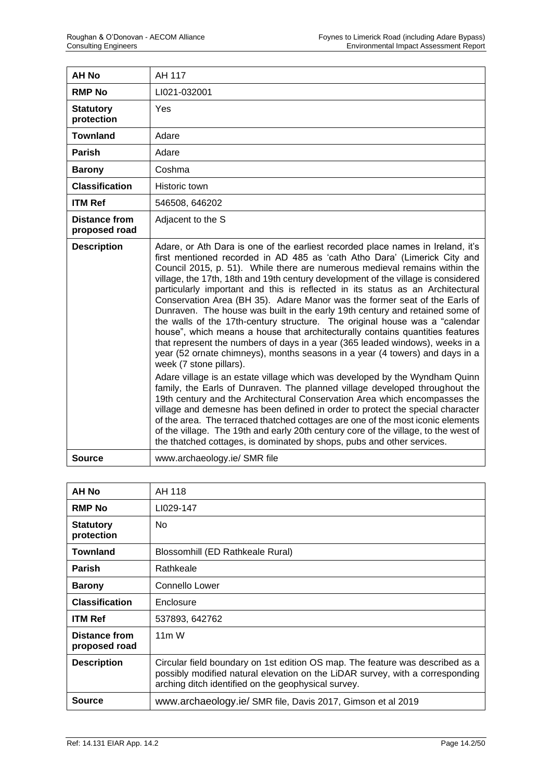| <b>AH No</b>                          | AH 117                                                                                                                                                                                                                                                                                                                                                                                                                                                                                                                                                                                                                                                                                                                                                                                                                                                                                                                                                                                                                                                                                                                                                                                                                                                                                                                                                                                                                                                                                                                        |
|---------------------------------------|-------------------------------------------------------------------------------------------------------------------------------------------------------------------------------------------------------------------------------------------------------------------------------------------------------------------------------------------------------------------------------------------------------------------------------------------------------------------------------------------------------------------------------------------------------------------------------------------------------------------------------------------------------------------------------------------------------------------------------------------------------------------------------------------------------------------------------------------------------------------------------------------------------------------------------------------------------------------------------------------------------------------------------------------------------------------------------------------------------------------------------------------------------------------------------------------------------------------------------------------------------------------------------------------------------------------------------------------------------------------------------------------------------------------------------------------------------------------------------------------------------------------------------|
| <b>RMP No</b>                         | LI021-032001                                                                                                                                                                                                                                                                                                                                                                                                                                                                                                                                                                                                                                                                                                                                                                                                                                                                                                                                                                                                                                                                                                                                                                                                                                                                                                                                                                                                                                                                                                                  |
| <b>Statutory</b><br>protection        | Yes                                                                                                                                                                                                                                                                                                                                                                                                                                                                                                                                                                                                                                                                                                                                                                                                                                                                                                                                                                                                                                                                                                                                                                                                                                                                                                                                                                                                                                                                                                                           |
| <b>Townland</b>                       | Adare                                                                                                                                                                                                                                                                                                                                                                                                                                                                                                                                                                                                                                                                                                                                                                                                                                                                                                                                                                                                                                                                                                                                                                                                                                                                                                                                                                                                                                                                                                                         |
| Parish                                | Adare                                                                                                                                                                                                                                                                                                                                                                                                                                                                                                                                                                                                                                                                                                                                                                                                                                                                                                                                                                                                                                                                                                                                                                                                                                                                                                                                                                                                                                                                                                                         |
| <b>Barony</b>                         | Coshma                                                                                                                                                                                                                                                                                                                                                                                                                                                                                                                                                                                                                                                                                                                                                                                                                                                                                                                                                                                                                                                                                                                                                                                                                                                                                                                                                                                                                                                                                                                        |
| <b>Classification</b>                 | Historic town                                                                                                                                                                                                                                                                                                                                                                                                                                                                                                                                                                                                                                                                                                                                                                                                                                                                                                                                                                                                                                                                                                                                                                                                                                                                                                                                                                                                                                                                                                                 |
| <b>ITM Ref</b>                        | 546508, 646202                                                                                                                                                                                                                                                                                                                                                                                                                                                                                                                                                                                                                                                                                                                                                                                                                                                                                                                                                                                                                                                                                                                                                                                                                                                                                                                                                                                                                                                                                                                |
| <b>Distance from</b><br>proposed road | Adjacent to the S                                                                                                                                                                                                                                                                                                                                                                                                                                                                                                                                                                                                                                                                                                                                                                                                                                                                                                                                                                                                                                                                                                                                                                                                                                                                                                                                                                                                                                                                                                             |
| <b>Description</b>                    | Adare, or Ath Dara is one of the earliest recorded place names in Ireland, it's<br>first mentioned recorded in AD 485 as 'cath Atho Dara' (Limerick City and<br>Council 2015, p. 51). While there are numerous medieval remains within the<br>village, the 17th, 18th and 19th century development of the village is considered<br>particularly important and this is reflected in its status as an Architectural<br>Conservation Area (BH 35). Adare Manor was the former seat of the Earls of<br>Dunraven. The house was built in the early 19th century and retained some of<br>the walls of the 17th-century structure. The original house was a "calendar<br>house", which means a house that architecturally contains quantities features<br>that represent the numbers of days in a year (365 leaded windows), weeks in a<br>year (52 ornate chimneys), months seasons in a year (4 towers) and days in a<br>week (7 stone pillars).<br>Adare village is an estate village which was developed by the Wyndham Quinn<br>family, the Earls of Dunraven. The planned village developed throughout the<br>19th century and the Architectural Conservation Area which encompasses the<br>village and demesne has been defined in order to protect the special character<br>of the area. The terraced thatched cottages are one of the most iconic elements<br>of the village. The 19th and early 20th century core of the village, to the west of<br>the thatched cottages, is dominated by shops, pubs and other services. |
| <b>Source</b>                         | www.archaeology.ie/ SMR file                                                                                                                                                                                                                                                                                                                                                                                                                                                                                                                                                                                                                                                                                                                                                                                                                                                                                                                                                                                                                                                                                                                                                                                                                                                                                                                                                                                                                                                                                                  |

| AH No                          | AH 118                                                                                                                                                                                                                |
|--------------------------------|-----------------------------------------------------------------------------------------------------------------------------------------------------------------------------------------------------------------------|
| <b>RMP No</b>                  | LI029-147                                                                                                                                                                                                             |
| <b>Statutory</b><br>protection | No.                                                                                                                                                                                                                   |
| <b>Townland</b>                | Blossomhill (ED Rathkeale Rural)                                                                                                                                                                                      |
| <b>Parish</b>                  | Rathkeale                                                                                                                                                                                                             |
| <b>Barony</b>                  | Connello Lower                                                                                                                                                                                                        |
| <b>Classification</b>          | Enclosure                                                                                                                                                                                                             |
| <b>ITM Ref</b>                 | 537893, 642762                                                                                                                                                                                                        |
| Distance from<br>proposed road | $11m$ W                                                                                                                                                                                                               |
| <b>Description</b>             | Circular field boundary on 1st edition OS map. The feature was described as a<br>possibly modified natural elevation on the LiDAR survey, with a corresponding<br>arching ditch identified on the geophysical survey. |
| Source                         | www.archaeology.ie/ SMR file, Davis 2017, Gimson et al 2019                                                                                                                                                           |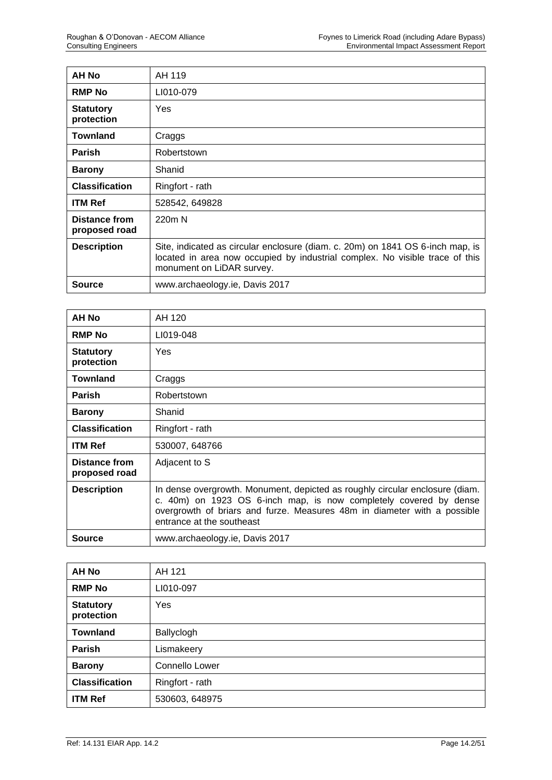| AH No                                 | AH 119                                                                                                                                                                                      |
|---------------------------------------|---------------------------------------------------------------------------------------------------------------------------------------------------------------------------------------------|
| <b>RMP No</b>                         | LI010-079                                                                                                                                                                                   |
| <b>Statutory</b><br>protection        | <b>Yes</b>                                                                                                                                                                                  |
| <b>Townland</b>                       | Craggs                                                                                                                                                                                      |
| <b>Parish</b>                         | Robertstown                                                                                                                                                                                 |
| <b>Barony</b>                         | Shanid                                                                                                                                                                                      |
| <b>Classification</b>                 | Ringfort - rath                                                                                                                                                                             |
| <b>ITM Ref</b>                        | 528542, 649828                                                                                                                                                                              |
| <b>Distance from</b><br>proposed road | 220m N                                                                                                                                                                                      |
| <b>Description</b>                    | Site, indicated as circular enclosure (diam. c. 20m) on 1841 OS 6-inch map, is<br>located in area now occupied by industrial complex. No visible trace of this<br>monument on LiDAR survey. |
| Source                                | www.archaeology.ie, Davis 2017                                                                                                                                                              |

| AH No                                 | AH 120                                                                                                                                                                                                                                                     |
|---------------------------------------|------------------------------------------------------------------------------------------------------------------------------------------------------------------------------------------------------------------------------------------------------------|
| <b>RMP No</b>                         | LI019-048                                                                                                                                                                                                                                                  |
| <b>Statutory</b><br>protection        | <b>Yes</b>                                                                                                                                                                                                                                                 |
| <b>Townland</b>                       | Craggs                                                                                                                                                                                                                                                     |
| <b>Parish</b>                         | Robertstown                                                                                                                                                                                                                                                |
| <b>Barony</b>                         | Shanid                                                                                                                                                                                                                                                     |
| <b>Classification</b>                 | Ringfort - rath                                                                                                                                                                                                                                            |
| <b>ITM Ref</b>                        | 530007, 648766                                                                                                                                                                                                                                             |
| <b>Distance from</b><br>proposed road | Adjacent to S                                                                                                                                                                                                                                              |
| <b>Description</b>                    | In dense overgrowth. Monument, depicted as roughly circular enclosure (diam.<br>c. 40m) on 1923 OS 6-inch map, is now completely covered by dense<br>overgrowth of briars and furze. Measures 48m in diameter with a possible<br>entrance at the southeast |
| <b>Source</b>                         | www.archaeology.ie, Davis 2017                                                                                                                                                                                                                             |

| <b>AH No</b>                   | AH 121          |
|--------------------------------|-----------------|
| <b>RMP No</b>                  | LI010-097       |
| <b>Statutory</b><br>protection | Yes             |
| <b>Townland</b>                | Ballyclogh      |
| <b>Parish</b>                  | Lismakeery      |
| <b>Barony</b>                  | Connello Lower  |
| <b>Classification</b>          | Ringfort - rath |
| <b>ITM Ref</b>                 | 530603, 648975  |